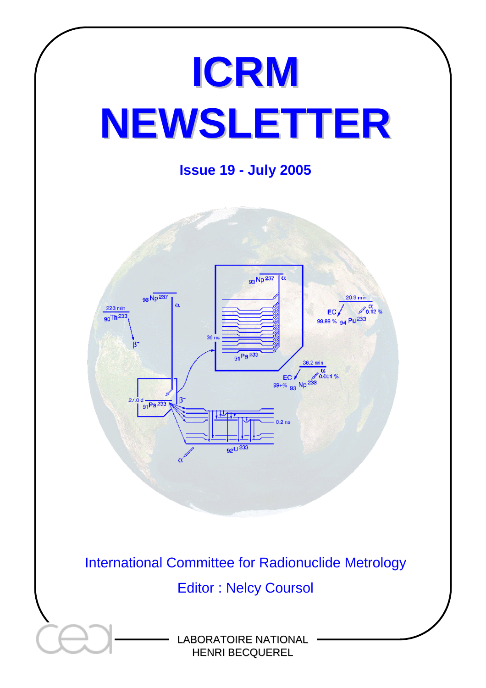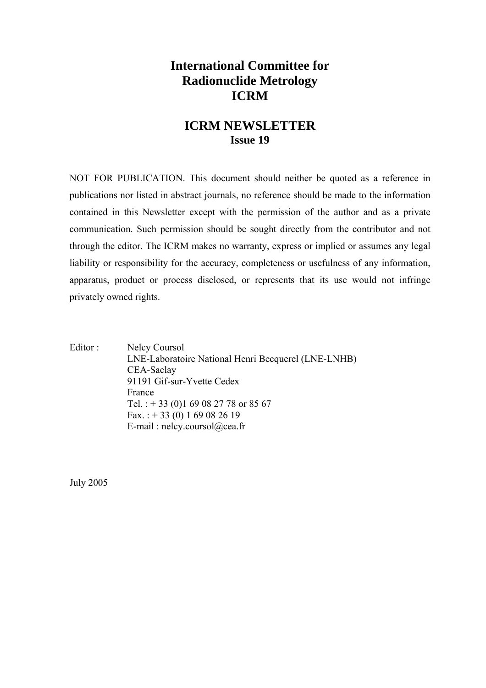# **International Committee for Radionuclide Metrology ICRM**

# **ICRM NEWSLETTER Issue 19**

NOT FOR PUBLICATION. This document should neither be quoted as a reference in publications nor listed in abstract journals, no reference should be made to the information contained in this Newsletter except with the permission of the author and as a private communication. Such permission should be sought directly from the contributor and not through the editor. The ICRM makes no warranty, express or implied or assumes any legal liability or responsibility for the accuracy, completeness or usefulness of any information, apparatus, product or process disclosed, or represents that its use would not infringe privately owned rights.

Editor : Nelcy Coursol LNE-Laboratoire National Henri Becquerel (LNE-LNHB) CEA-Saclay 91191 Gif-sur-Yvette Cedex France Tel. : + 33 (0)1 69 08 27 78 or 85 67 Fax. :  $+ 33 (0) 1 69 08 26 19$ E-mail : nelcy.coursol@cea.fr

July 2005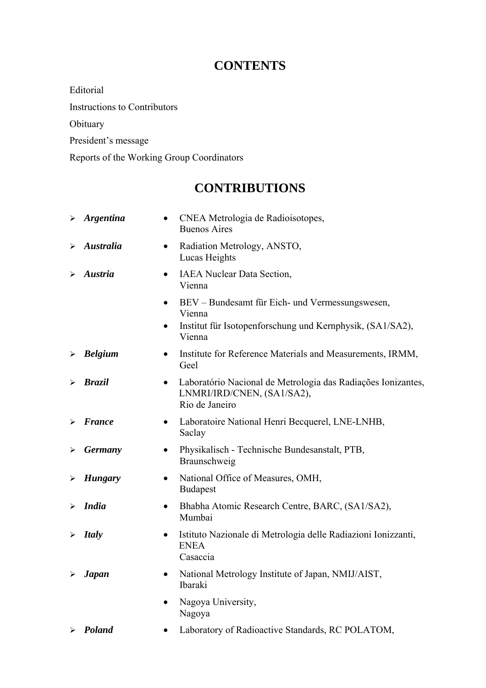# **CONTENTS**

Editorial

Instructions to Contributors

Obituary

President's message

Reports of the Working Group Coordinators

# **CONTRIBUTIONS**

|                       | $\triangleright$ Argentina | CNEA Metrologia de Radioisotopes,<br>$\bullet$<br><b>Buenos Aires</b>                                                     |
|-----------------------|----------------------------|---------------------------------------------------------------------------------------------------------------------------|
| ⋗                     | <b>Australia</b>           | Radiation Metrology, ANSTO,<br>$\bullet$<br>Lucas Heights                                                                 |
| ⋗                     | Austria                    | <b>IAEA</b> Nuclear Data Section,<br>$\bullet$<br>Vienna                                                                  |
|                       |                            | BEV - Bundesamt für Eich- und Vermessungswesen,<br>$\bullet$<br>Vienna                                                    |
|                       |                            | Institut für Isotopenforschung und Kernphysik, (SA1/SA2),<br>$\bullet$<br>Vienna                                          |
| $\blacktriangleright$ | <b>Belgium</b>             | Institute for Reference Materials and Measurements, IRMM,<br>$\bullet$<br>Geel                                            |
|                       | <b>Brazil</b>              | Laboratório Nacional de Metrologia das Radiações Ionizantes,<br>$\bullet$<br>LNMRI/IRD/CNEN, (SA1/SA2),<br>Rio de Janeiro |
|                       | <b>France</b>              | Laboratoire National Henri Becquerel, LNE-LNHB,<br>$\bullet$<br>Saclay                                                    |
| ➤                     | <b>Germany</b>             | Physikalisch - Technische Bundesanstalt, PTB,<br>$\bullet$<br>Braunschweig                                                |
| ➤                     | <b>Hungary</b>             | National Office of Measures, OMH,<br>$\bullet$<br><b>Budapest</b>                                                         |
|                       | <b>India</b>               | Bhabha Atomic Research Centre, BARC, (SA1/SA2),<br>$\bullet$<br>Mumbai                                                    |
| ➤                     | <b>Italy</b>               | Istituto Nazionale di Metrologia delle Radiazioni Ionizzanti,<br>$\bullet$<br><b>ENEA</b><br>Casaccia                     |
|                       | <b>Japan</b>               | National Metrology Institute of Japan, NMIJ/AIST,<br>$\bullet$<br>Ibaraki                                                 |
|                       |                            | Nagoya University,<br>Nagoya                                                                                              |
|                       | $\triangleright$ Poland    | Laboratory of Radioactive Standards, RC POLATOM,                                                                          |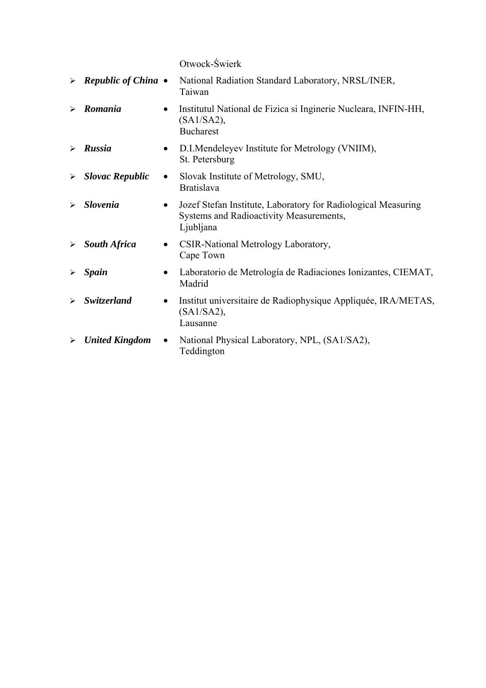Otwock-Świerk

|                       | $\triangleright$ Republic of China $\bullet$ |           | National Radiation Standard Laboratory, NRSL/INER,<br>Taiwan                                                          |
|-----------------------|----------------------------------------------|-----------|-----------------------------------------------------------------------------------------------------------------------|
|                       | Romania                                      | $\bullet$ | Institutul National de Fizica si Inginerie Nucleara, INFIN-HH,<br>$(SA1/SA2)$ ,<br><b>Bucharest</b>                   |
| $\blacktriangleright$ | Russia                                       | $\bullet$ | D.I.Mendeleyev Institute for Metrology (VNIIM),<br>St. Petersburg                                                     |
| $\blacktriangleright$ | <b>Slovac Republic</b>                       | $\bullet$ | Slovak Institute of Metrology, SMU,<br><b>Bratislava</b>                                                              |
| ➤                     | <b>Slovenia</b>                              | $\bullet$ | Jozef Stefan Institute, Laboratory for Radiological Measuring<br>Systems and Radioactivity Measurements,<br>Ljubljana |
| ➤                     | <b>South Africa</b>                          | $\bullet$ | CSIR-National Metrology Laboratory,<br>Cape Town                                                                      |
| $\blacktriangleright$ | <b>Spain</b>                                 |           | Laboratorio de Metrología de Radiaciones Ionizantes, CIEMAT,<br>Madrid                                                |
| ➤                     | <b>Switzerland</b>                           | ٠         | Institut universitaire de Radiophysique Appliquée, IRA/METAS,<br>(SA1/SA2),<br>Lausanne                               |
| $\blacktriangleright$ | <b>United Kingdom</b>                        | $\bullet$ | National Physical Laboratory, NPL, (SA1/SA2),<br>Teddington                                                           |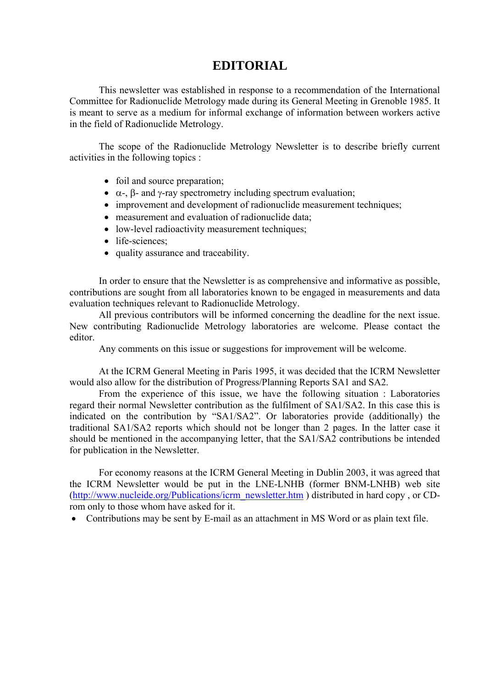# **EDITORIAL**

This newsletter was established in response to a recommendation of the International Committee for Radionuclide Metrology made during its General Meeting in Grenoble 1985. It is meant to serve as a medium for informal exchange of information between workers active in the field of Radionuclide Metrology.

The scope of the Radionuclide Metrology Newsletter is to describe briefly current activities in the following topics :

- foil and source preparation;
- $\alpha$ -,  $\beta$  and  $\gamma$ -ray spectrometry including spectrum evaluation;
- improvement and development of radionuclide measurement techniques;
- measurement and evaluation of radionuclide data;
- low-level radioactivity measurement techniques;
- life-sciences:
- quality assurance and traceability.

In order to ensure that the Newsletter is as comprehensive and informative as possible, contributions are sought from all laboratories known to be engaged in measurements and data evaluation techniques relevant to Radionuclide Metrology.

All previous contributors will be informed concerning the deadline for the next issue. New contributing Radionuclide Metrology laboratories are welcome. Please contact the editor.

Any comments on this issue or suggestions for improvement will be welcome.

At the ICRM General Meeting in Paris 1995, it was decided that the ICRM Newsletter would also allow for the distribution of Progress/Planning Reports SA1 and SA2.

From the experience of this issue, we have the following situation : Laboratories regard their normal Newsletter contribution as the fulfilment of SA1/SA2. In this case this is indicated on the contribution by "SA1/SA2". Or laboratories provide (additionally) the traditional SA1/SA2 reports which should not be longer than 2 pages. In the latter case it should be mentioned in the accompanying letter, that the SA1/SA2 contributions be intended for publication in the Newsletter.

For economy reasons at the ICRM General Meeting in Dublin 2003, it was agreed that the ICRM Newsletter would be put in the LNE-LNHB (former BNM-LNHB) web site [\(http://www.nucleide.org/Publications/icrm\\_newsletter.htm](http://www.nucleide.org/Publications/icrm_newsletter.htm) ) distributed in hard copy , or CDrom only to those whom have asked for it.

• Contributions may be sent by E-mail as an attachment in MS Word or as plain text file.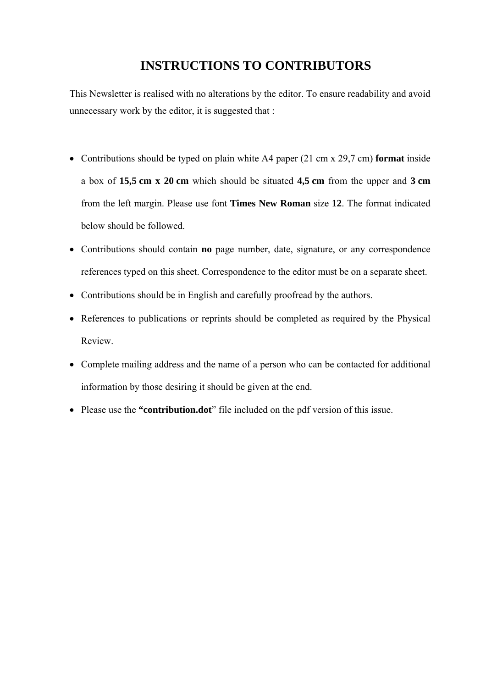# **INSTRUCTIONS TO CONTRIBUTORS**

This Newsletter is realised with no alterations by the editor. To ensure readability and avoid unnecessary work by the editor, it is suggested that :

- Contributions should be typed on plain white A4 paper (21 cm x 29,7 cm) **format** inside a box of **15,5 cm x 20 cm** which should be situated **4,5 cm** from the upper and **3 cm** from the left margin. Please use font **Times New Roman** size **12**. The format indicated below should be followed.
- Contributions should contain **no** page number, date, signature, or any correspondence references typed on this sheet. Correspondence to the editor must be on a separate sheet.
- Contributions should be in English and carefully proofread by the authors.
- References to publications or reprints should be completed as required by the Physical Review.
- Complete mailing address and the name of a person who can be contacted for additional information by those desiring it should be given at the end.
- Please use the **"contribution.dot**" file included on the pdf version of this issue.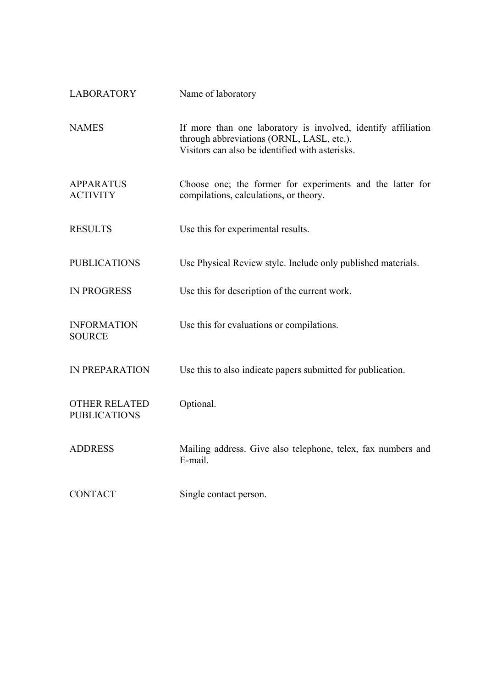| <b>LABORATORY</b>                           | Name of laboratory                                                                                                                                            |
|---------------------------------------------|---------------------------------------------------------------------------------------------------------------------------------------------------------------|
| <b>NAMES</b>                                | If more than one laboratory is involved, identify affiliation<br>through abbreviations (ORNL, LASL, etc.).<br>Visitors can also be identified with asterisks. |
| <b>APPARATUS</b><br><b>ACTIVITY</b>         | Choose one; the former for experiments and the latter for<br>compilations, calculations, or theory.                                                           |
| <b>RESULTS</b>                              | Use this for experimental results.                                                                                                                            |
| <b>PUBLICATIONS</b>                         | Use Physical Review style. Include only published materials.                                                                                                  |
| <b>IN PROGRESS</b>                          | Use this for description of the current work.                                                                                                                 |
| <b>INFORMATION</b><br><b>SOURCE</b>         | Use this for evaluations or compilations.                                                                                                                     |
| <b>IN PREPARATION</b>                       | Use this to also indicate papers submitted for publication.                                                                                                   |
| <b>OTHER RELATED</b><br><b>PUBLICATIONS</b> | Optional.                                                                                                                                                     |
| <b>ADDRESS</b>                              | Mailing address. Give also telephone, telex, fax numbers and<br>E-mail.                                                                                       |
| <b>CONTACT</b>                              | Single contact person.                                                                                                                                        |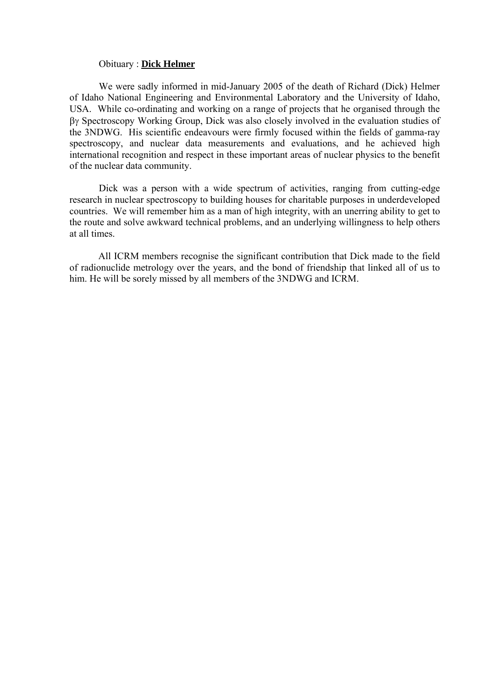#### Obituary : **Dick Helmer**

We were sadly informed in mid-January 2005 of the death of Richard (Dick) Helmer of Idaho National Engineering and Environmental Laboratory and the University of Idaho, USA. While co-ordinating and working on a range of projects that he organised through the βγ Spectroscopy Working Group, Dick was also closely involved in the evaluation studies of the 3NDWG. His scientific endeavours were firmly focused within the fields of gamma-ray spectroscopy, and nuclear data measurements and evaluations, and he achieved high international recognition and respect in these important areas of nuclear physics to the benefit of the nuclear data community.

Dick was a person with a wide spectrum of activities, ranging from cutting-edge research in nuclear spectroscopy to building houses for charitable purposes in underdeveloped countries. We will remember him as a man of high integrity, with an unerring ability to get to the route and solve awkward technical problems, and an underlying willingness to help others at all times.

All ICRM members recognise the significant contribution that Dick made to the field of radionuclide metrology over the years, and the bond of friendship that linked all of us to him. He will be sorely missed by all members of the 3NDWG and ICRM.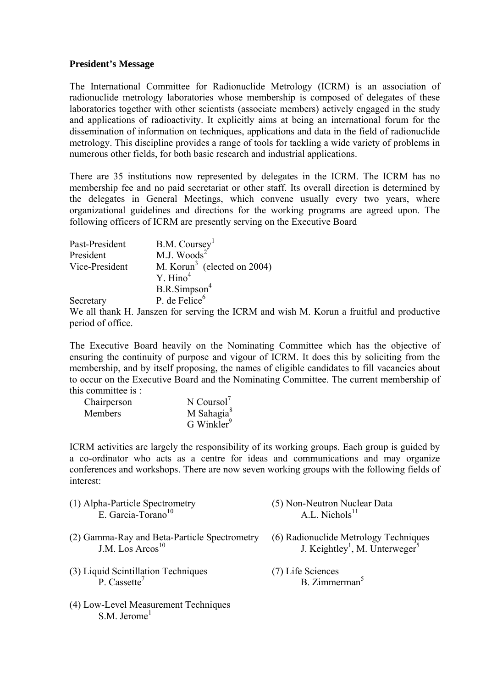## **President's Message**

The International Committee for Radionuclide Metrology (ICRM) is an association of radionuclide metrology laboratories whose membership is composed of delegates of these laboratories together with other scientists (associate members) actively engaged in the study and applications of radioactivity. It explicitly aims at being an international forum for the dissemination of information on techniques, applications and data in the field of radionuclide metrology. This discipline provides a range of tools for tackling a wide variety of problems in numerous other fields, for both basic research and industrial applications.

There are 35 institutions now represented by delegates in the ICRM. The ICRM has no membership fee and no paid secretariat or other staff. Its overall direction is determined by the delegates in General Meetings, which convene usually every two years, where organizational guidelines and directions for the working programs are agreed upon. The following officers of ICRM are presently serving on the Executive Board

| Past-President | B.M. Coursey <sup>1</sup>                                                   |
|----------------|-----------------------------------------------------------------------------|
| President      | M.J. Woods $2$                                                              |
| Vice-President | M. Korun <sup>3</sup> (elected on 2004)                                     |
|                | Y. Hino <sup>4</sup>                                                        |
|                | B.R.Simpson <sup>4</sup>                                                    |
| Secretary      | P. de Felice $6$                                                            |
| $TT$ 11 $\mu$  | TCDI<br>$\mathcal{C}$ and $\mathcal{C}$ and $\mathcal{C}$ and $\mathcal{C}$ |

We all thank H. Janszen for serving the ICRM and wish M. Korun a fruitful and productive period of office.

The Executive Board heavily on the Nominating Committee which has the objective of ensuring the continuity of purpose and vigour of ICRM. It does this by soliciting from the membership, and by itself proposing, the names of eligible candidates to fill vacancies about to occur on the Executive Board and the Nominating Committee. The current membership of this committee is :

| Chairperson    | N Coursol <sup>7</sup> |
|----------------|------------------------|
| <b>Members</b> | M Sahagia <sup>8</sup> |
|                | G Winkler <sup>9</sup> |

(4) Low-Level Measurement Techniques

 $S. M.$  Jerome<sup>1</sup>

ICRM activities are largely the responsibility of its working groups. Each group is guided by a co-ordinator who acts as a centre for ideas and communications and may organize conferences and workshops. There are now seven working groups with the following fields of interest:

| (1) Alpha-Particle Spectrometry<br>E. Garcia-Torano <sup>10</sup>            | (5) Non-Neutron Nuclear Data<br>A.L. Nichols <sup>11</sup>                                      |
|------------------------------------------------------------------------------|-------------------------------------------------------------------------------------------------|
| (2) Gamma-Ray and Beta-Particle Spectrometry<br>J.M. Los Arcos <sup>10</sup> | (6) Radionuclide Metrology Techniques<br>J. Keightley <sup>1</sup> , M. Unterweger <sup>5</sup> |
| (3) Liquid Scintillation Techniques<br>P. Cassette <sup>7</sup>              | (7) Life Sciences<br>B. Zimmerman <sup>5</sup>                                                  |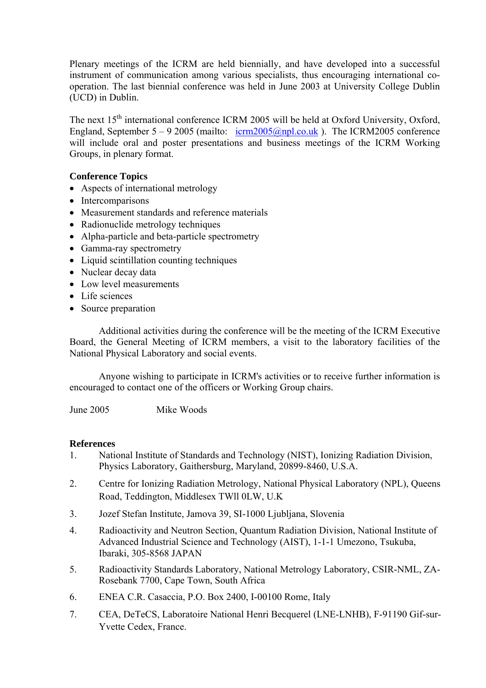Plenary meetings of the ICRM are held biennially, and have developed into a successful instrument of communication among various specialists, thus encouraging international cooperation. The last biennial conference was held in June 2003 at University College Dublin (UCD) in Dublin.

The next  $15<sup>th</sup>$  international conference ICRM 2005 will be held at Oxford University, Oxford, England, September 5 – 9 2005 (mailto:  $icrm 2005@npl.co.uk$ ). The ICRM2005 conference will include oral and poster presentations and business meetings of the ICRM Working Groups, in plenary format.

# **Conference Topics**

- Aspects of international metrology
- Intercomparisons
- Measurement standards and reference materials
- Radionuclide metrology techniques
- Alpha-particle and beta-particle spectrometry
- Gamma-ray spectrometry
- Liquid scintillation counting techniques
- Nuclear decay data
- Low level measurements
- Life sciences
- Source preparation

Additional activities during the conference will be the meeting of the ICRM Executive Board, the General Meeting of ICRM members, a visit to the laboratory facilities of the National Physical Laboratory and social events.

Anyone wishing to participate in ICRM's activities or to receive further information is encouraged to contact one of the officers or Working Group chairs.

June 2005 Mike Woods

## **References**

- 1. National Institute of Standards and Technology (NIST), Ionizing Radiation Division, Physics Laboratory, Gaithersburg, Maryland, 20899-8460, U.S.A.
- 2. Centre for Ionizing Radiation Metrology, National Physical Laboratory (NPL), Queens Road, Teddington, Middlesex TWll 0LW, U.K
- 3. Jozef Stefan Institute, Jamova 39, SI-1000 Ljubljana, Slovenia
- 4. Radioactivity and Neutron Section, Quantum Radiation Division, National Institute of Advanced Industrial Science and Technology (AIST), 1-1-1 Umezono, Tsukuba, Ibaraki, 305-8568 JAPAN
- 5. Radioactivity Standards Laboratory, National Metrology Laboratory, CSIR-NML, ZA-Rosebank 7700, Cape Town, South Africa
- 6. ENEA C.R. Casaccia, P.O. Box 2400, I-00100 Rome, Italy
- 7. CEA, DeTeCS, Laboratoire National Henri Becquerel (LNE-LNHB), F-91190 Gif-sur-Yvette Cedex, France.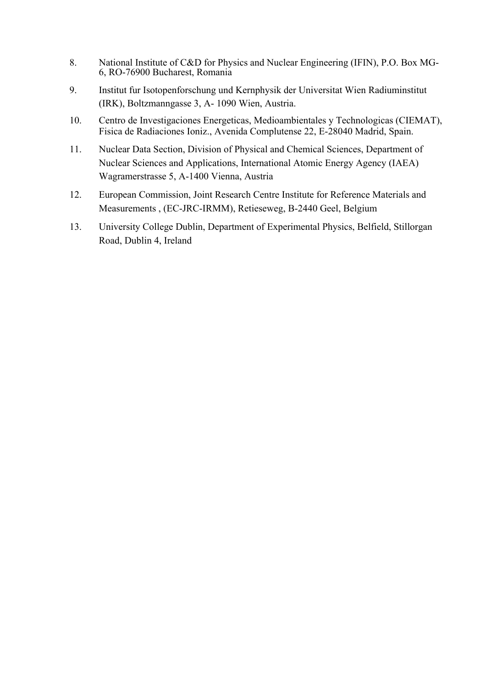- 8. National Institute of C&D for Physics and Nuclear Engineering (IFIN), P.O. Box MG-6, RO-76900 Bucharest, Romania
- 9. Institut fur Isotopenforschung und Kernphysik der Universitat Wien Radiuminstitut (IRK), Boltzmanngasse 3, A- 1090 Wien, Austria.
- 10. Centro de Investigaciones Energeticas, Medioambientales y Technologicas (CIEMAT), Fisica de Radiaciones Ioniz., Avenida Complutense 22, E-28040 Madrid, Spain.
- 11. Nuclear Data Section, Division of Physical and Chemical Sciences, Department of Nuclear Sciences and Applications, International Atomic Energy Agency (IAEA) Wagramerstrasse 5, A-1400 Vienna, Austria
- 12. European Commission, Joint Research Centre Institute for Reference Materials and Measurements , (EC-JRC-IRMM), Retieseweg, B-2440 Geel, Belgium
- 13. University College Dublin, Department of Experimental Physics, Belfield, Stillorgan Road, Dublin 4, Ireland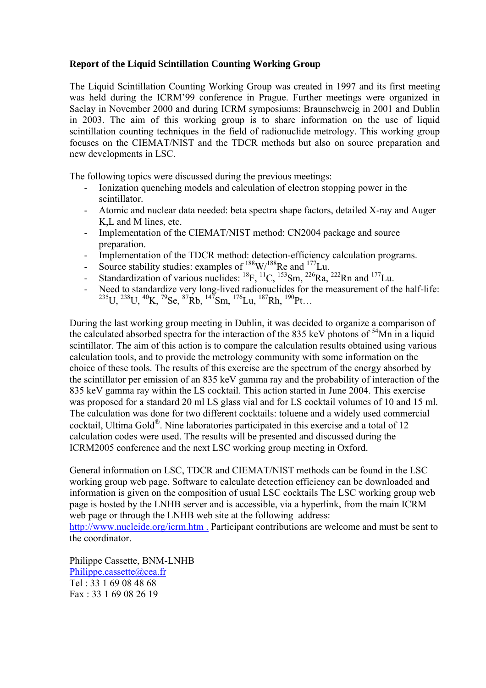## **Report of the Liquid Scintillation Counting Working Group**

The Liquid Scintillation Counting Working Group was created in 1997 and its first meeting was held during the ICRM'99 conference in Prague. Further meetings were organized in Saclay in November 2000 and during ICRM symposiums: Braunschweig in 2001 and Dublin in 2003. The aim of this working group is to share information on the use of liquid scintillation counting techniques in the field of radionuclide metrology. This working group focuses on the CIEMAT/NIST and the TDCR methods but also on source preparation and new developments in LSC.

The following topics were discussed during the previous meetings:

- Ionization quenching models and calculation of electron stopping power in the scintillator.
- Atomic and nuclear data needed: beta spectra shape factors, detailed X-ray and Auger K,L and M lines, etc.
- Implementation of the CIEMAT/NIST method: CN2004 package and source preparation.
- Implementation of the TDCR method: detection-efficiency calculation programs.
- Source stability studies: examples of  $188 \text{W}/188 \text{Re}$  and  $177 \text{Lu}$ .
- Standardization of various nuclides:  ${}^{18}F, {}^{11}C, {}^{153}Sm, {}^{226}Ra, {}^{222}Rn$  and  ${}^{177}Lu$ .
- Need to standardize very long-lived radionuclides for the measurement of the half-life:  $^{235}$ U,  $^{238}$ U,  $^{40}$ K,  $^{79}$ Se,  $^{87}$ Rb,  $^{147}$ Sm,  $^{176}$ Lu,  $^{187}$ Rh,  $^{190}$ Pt…

During the last working group meeting in Dublin, it was decided to organize a comparison of the calculated absorbed spectra for the interaction of the 835 keV photons of  $54$ Mn in a liquid scintillator. The aim of this action is to compare the calculation results obtained using various calculation tools, and to provide the metrology community with some information on the choice of these tools. The results of this exercise are the spectrum of the energy absorbed by the scintillator per emission of an 835 keV gamma ray and the probability of interaction of the 835 keV gamma ray within the LS cocktail. This action started in June 2004. This exercise was proposed for a standard 20 ml LS glass vial and for LS cocktail volumes of 10 and 15 ml. The calculation was done for two different cocktails: toluene and a widely used commercial cocktail, Ultima Gold®. Nine laboratories participated in this exercise and a total of 12 calculation codes were used. The results will be presented and discussed during the ICRM2005 conference and the next LSC working group meeting in Oxford.

General information on LSC, TDCR and CIEMAT/NIST methods can be found in the LSC working group web page. Software to calculate detection efficiency can be downloaded and information is given on the composition of usual LSC cocktails The LSC working group web page is hosted by the LNHB server and is accessible, via a hyperlink, from the main ICRM web page or through the LNHB web site at the following address:

<http://www.nucleide.org/icrm.htm> . Participant contributions are welcome and must be sent to the coordinator.

Philippe Cassette, BNM-LNHB Philippe.cassette@cea.fr Tel : 33 1 69 08 48 68 Fax : 33 1 69 08 26 19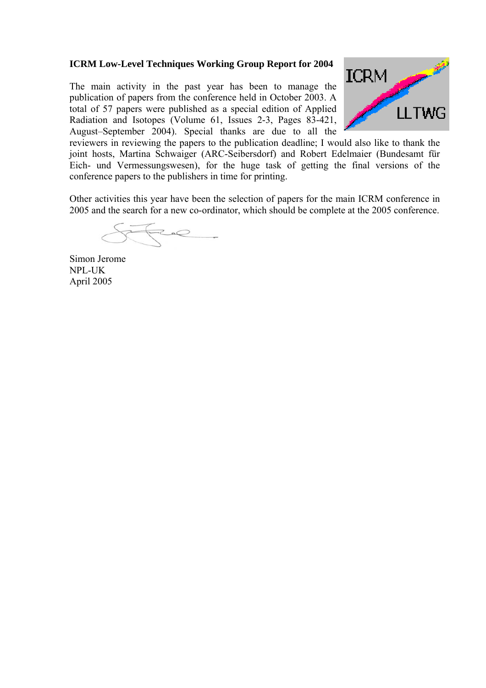# **ICRM Low-Level Techniques Working Group Report for 2004**

The main activity in the past year has been to manage the publication of papers from the conference held in October 2003. A total of 57 papers were published as a special edition of Applied Radiation and Isotopes (Volume 61, Issues 2-3, Pages 83-421, August–September 2004). Special thanks are due to all the



reviewers in reviewing the papers to the publication deadline; I would also like to thank the joint hosts, Martina Schwaiger (ARC-Seibersdorf) and Robert Edelmaier (Bundesamt für Eich- und Vermessungswesen), for the huge task of getting the final versions of the conference papers to the publishers in time for printing.

Other activities this year have been the selection of papers for the main ICRM conference in 2005 and the search for a new co-ordinator, which should be complete at the 2005 conference.

Fee

Simon Jerome NPL-UK April 2005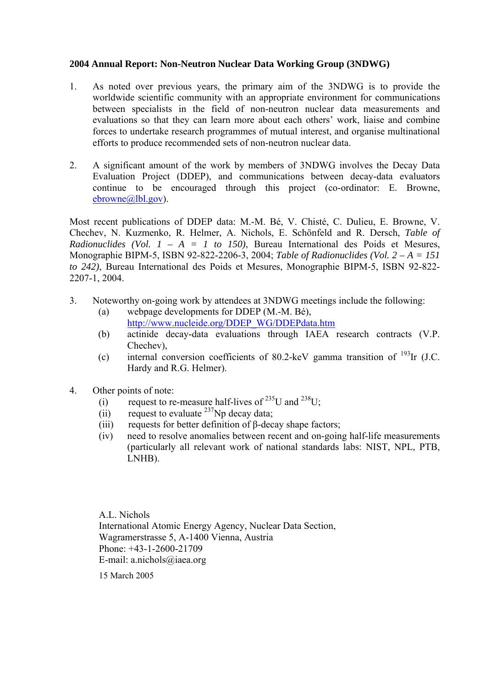## **2004 Annual Report: Non-Neutron Nuclear Data Working Group (3NDWG)**

- 1. As noted over previous years, the primary aim of the 3NDWG is to provide the worldwide scientific community with an appropriate environment for communications between specialists in the field of non-neutron nuclear data measurements and evaluations so that they can learn more about each others' work, liaise and combine forces to undertake research programmes of mutual interest, and organise multinational efforts to produce recommended sets of non-neutron nuclear data.
- 2. A significant amount of the work by members of 3NDWG involves the Decay Data Evaluation Project (DDEP), and communications between decay-data evaluators continue to be encouraged through this project (co-ordinator: E. Browne, [ebrowne@lbl.gov](mailto:ebrowne@lbl.gov)).

Most recent publications of DDEP data: M.-M. Bé, V. Chisté, C. Dulieu, E. Browne, V. Chechev, N. Kuzmenko, R. Helmer, A. Nichols, E. Schönfeld and R. Dersch, *Table of Radionuclides (Vol. 1 – A = 1 to 150)*, Bureau International des Poids et Mesures, Monographie BIPM-5, ISBN 92-822-2206-3, 2004; *Table of Radionuclides (Vol. 2 – A = 151 to 242)*, Bureau International des Poids et Mesures, Monographie BIPM-5, ISBN 92-822- 2207-1, 2004.

- 3. Noteworthy on-going work by attendees at 3NDWG meetings include the following:
	- (a) webpage developments for DDEP (M.-M. Bé), [http://www.nucleide.org/DDEP\\_WG/DDEPdata.htm](http://www.nucleide.org/DDEP_WG/DDEPdata.htm)
	- (b) actinide decay-data evaluations through IAEA research contracts (V.P. Chechev)
	- (c) internal conversion coefficients of 80.2-keV gamma transition of  $^{193}$ Ir (J.C. Hardy and R.G. Helmer).
- 4. Other points of note:
	- (i) request to re-measure half-lives of  $^{235}$ U and  $^{238}$ U;
	- (ii) request to evaluate  $^{237}$ Np decay data;
	- (iii) requests for better definition of  $\beta$ -decay shape factors;
	- (iv) need to resolve anomalies between recent and on-going half-life measurements (particularly all relevant work of national standards labs: NIST, NPL, PTB, LNHB).

A.L. Nichols International Atomic Energy Agency, Nuclear Data Section, Wagramerstrasse 5, A-1400 Vienna, Austria Phone: +43-1-2600-21709 E-mail: a.nichols@iaea.org

15 March 2005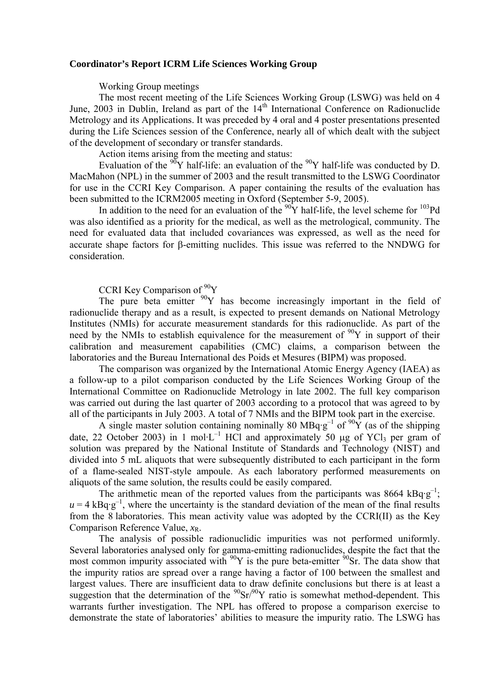#### **Coordinator's Report ICRM Life Sciences Working Group**

Working Group meetings

The most recent meeting of the Life Sciences Working Group (LSWG) was held on 4 June, 2003 in Dublin, Ireland as part of the  $14<sup>th</sup>$  International Conference on Radionuclide Metrology and its Applications. It was preceded by 4 oral and 4 poster presentations presented during the Life Sciences session of the Conference, nearly all of which dealt with the subject of the development of secondary or transfer standards.

Action items arising from the meeting and status:

Evaluation of the  $90Y$  half-life: an evaluation of the  $90Y$  half-life was conducted by D. MacMahon (NPL) in the summer of 2003 and the result transmitted to the LSWG Coordinator for use in the CCRI Key Comparison. A paper containing the results of the evaluation has been submitted to the ICRM2005 meeting in Oxford (September 5-9, 2005).

In addition to the need for an evaluation of the  $\frac{90}{90}$ Y half-life, the level scheme for  $\frac{103}{90}$ Pd was also identified as a priority for the medical, as well as the metrological, community. The need for evaluated data that included covariances was expressed, as well as the need for accurate shape factors for β-emitting nuclides. This issue was referred to the NNDWG for consideration.

# CCRI Key Comparison of <sup>90</sup>Y

The pure beta emitter  $90Y$  has become increasingly important in the field of radionuclide therapy and as a result, is expected to present demands on National Metrology Institutes (NMIs) for accurate measurement standards for this radionuclide. As part of the need by the NMIs to establish equivalence for the measurement of  $90Y$  in support of their calibration and measurement capabilities (CMC) claims, a comparison between the laboratories and the Bureau International des Poids et Mesures (BIPM) was proposed.

The comparison was organized by the International Atomic Energy Agency (IAEA) as a follow-up to a pilot comparison conducted by the Life Sciences Working Group of the International Committee on Radionuclide Metrology in late 2002. The full key comparison was carried out during the last quarter of 2003 according to a protocol that was agreed to by all of the participants in July 2003. A total of 7 NMIs and the BIPM took part in the exercise.

A single master solution containing nominally 80 MBq·g<sup>-1</sup> of <sup>90</sup>Y (as of the shipping date, 22 October 2003) in 1 mol·L<sup>-1</sup> HCl and approximately 50  $\mu$ g of YCl<sub>3</sub> per gram of solution was prepared by the National Institute of Standards and Technology (NIST) and divided into 5 mL aliquots that were subsequently distributed to each participant in the form of a flame-sealed NIST-style ampoule. As each laboratory performed measurements on aliquots of the same solution, the results could be easily compared.

The arithmetic mean of the reported values from the participants was  $8664 \text{ kBq·g}^{-1}$ ;  $u = 4$  kBq·g<sup>-1</sup>, where the uncertainty is the standard deviation of the mean of the final results from the 8 laboratories. This mean activity value was adopted by the CCRI(II) as the Key Comparison Reference Value,  $x_R$ .

The analysis of possible radionuclidic impurities was not performed uniformly. Several laboratories analysed only for gamma-emitting radionuclides, despite the fact that the most common impurity associated with  $90Y$  is the pure beta-emitter  $90S$ r. The data show that the impurity ratios are spread over a range having a factor of 100 between the smallest and largest values. There are insufficient data to draw definite conclusions but there is at least a suggestion that the determination of the  $90\text{Sr}/90\text{Y}$  ratio is somewhat method-dependent. This warrants further investigation. The NPL has offered to propose a comparison exercise to demonstrate the state of laboratories' abilities to measure the impurity ratio. The LSWG has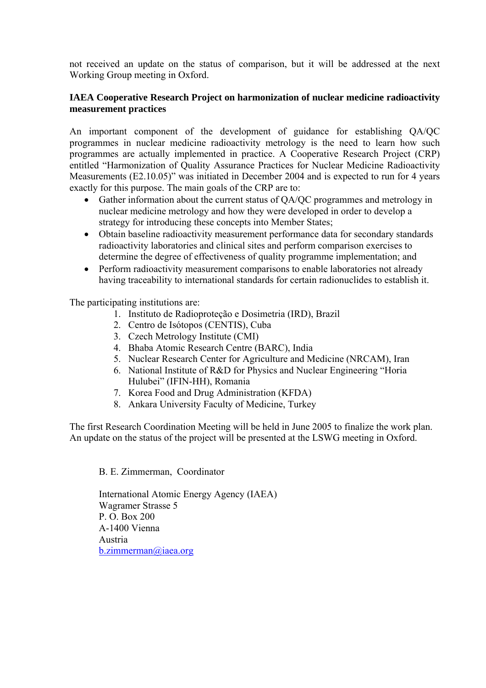not received an update on the status of comparison, but it will be addressed at the next Working Group meeting in Oxford.

## **IAEA Cooperative Research Project on harmonization of nuclear medicine radioactivity measurement practices**

An important component of the development of guidance for establishing QA/QC programmes in nuclear medicine radioactivity metrology is the need to learn how such programmes are actually implemented in practice. A Cooperative Research Project (CRP) entitled "Harmonization of Quality Assurance Practices for Nuclear Medicine Radioactivity Measurements (E2.10.05)" was initiated in December 2004 and is expected to run for 4 years exactly for this purpose. The main goals of the CRP are to:

- Gather information about the current status of QA/QC programmes and metrology in nuclear medicine metrology and how they were developed in order to develop a strategy for introducing these concepts into Member States;
- Obtain baseline radioactivity measurement performance data for secondary standards radioactivity laboratories and clinical sites and perform comparison exercises to determine the degree of effectiveness of quality programme implementation; and
- Perform radioactivity measurement comparisons to enable laboratories not already having traceability to international standards for certain radionuclides to establish it.

The participating institutions are:

- 1. Instituto de Radioproteção e Dosimetria (IRD), Brazil
- 2. Centro de Isótopos (CENTIS), Cuba
- 3. Czech Metrology Institute (CMI)
- 4. Bhaba Atomic Research Centre (BARC), India
- 5. Nuclear Research Center for Agriculture and Medicine (NRCAM), Iran
- 6. National Institute of R&D for Physics and Nuclear Engineering "Horia Hulubei" (IFIN-HH), Romania
- 7. Korea Food and Drug Administration (KFDA)
- 8. Ankara University Faculty of Medicine, Turkey

The first Research Coordination Meeting will be held in June 2005 to finalize the work plan. An update on the status of the project will be presented at the LSWG meeting in Oxford.

B. E. Zimmerman, Coordinator

International Atomic Energy Agency (IAEA) Wagramer Strasse 5 P. O. Box 200 A-1400 Vienna Austria [b.zimmerman@iaea.org](mailto:b.zimmerman@iaea.org)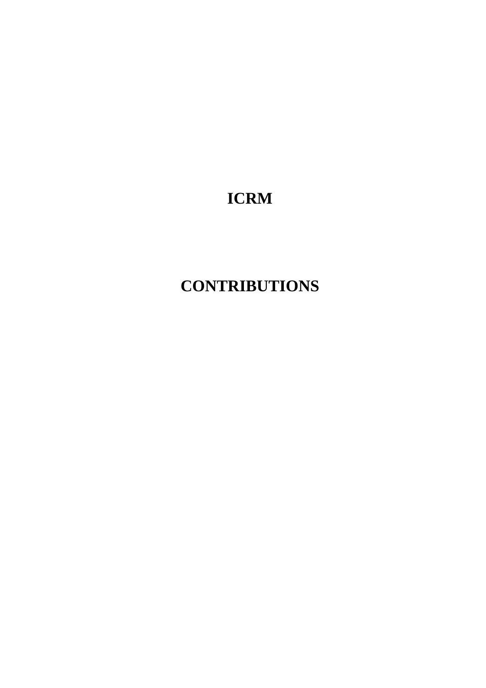# **ICRM**

# **CONTRIBUTIONS**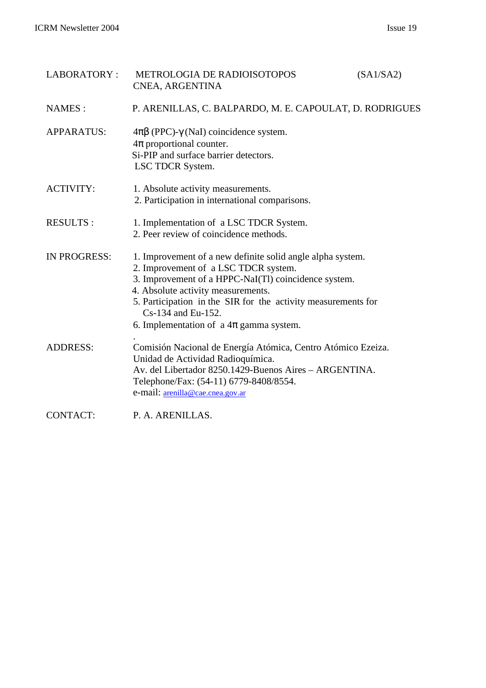| <b>LABORATORY:</b>  | <b>METROLOGIA DE RADIOISOTOPOS</b><br>CNEA, ARGENTINA                                                                                                                                                                                                                                                                                     | (SA1/SA2) |
|---------------------|-------------------------------------------------------------------------------------------------------------------------------------------------------------------------------------------------------------------------------------------------------------------------------------------------------------------------------------------|-----------|
| <b>NAMES:</b>       | P. ARENILLAS, C. BALPARDO, M. E. CAPOULAT, D. RODRIGUES                                                                                                                                                                                                                                                                                   |           |
| <b>APPARATUS:</b>   | $4\pi\beta$ (PPC)- $\gamma$ (NaI) coincidence system.<br>$4\pi$ proportional counter.<br>Si-PIP and surface barrier detectors.<br>LSC TDCR System.                                                                                                                                                                                        |           |
| <b>ACTIVITY:</b>    | 1. Absolute activity measurements.<br>2. Participation in international comparisons.                                                                                                                                                                                                                                                      |           |
| <b>RESULTS:</b>     | 1. Implementation of a LSC TDCR System.<br>2. Peer review of coincidence methods.                                                                                                                                                                                                                                                         |           |
| <b>IN PROGRESS:</b> | 1. Improvement of a new definite solid angle alpha system.<br>2. Improvement of a LSC TDCR system.<br>3. Improvement of a HPPC-NaI(Tl) coincidence system.<br>4. Absolute activity measurements.<br>5. Participation in the SIR for the activity measurements for<br>Cs-134 and Eu-152.<br>6. Implementation of $a \, 4\pi$ gamma system. |           |
| <b>ADDRESS:</b>     | Comisión Nacional de Energía Atómica, Centro Atómico Ezeiza.<br>Unidad de Actividad Radioquímica.<br>Av. del Libertador 8250.1429-Buenos Aires - ARGENTINA.<br>Telephone/Fax: (54-11) 6779-8408/8554.<br>e-mail: arenilla@cae.cnea.gov.ar                                                                                                 |           |
| <b>CONTACT:</b>     | P. A. ARENILLAS.                                                                                                                                                                                                                                                                                                                          |           |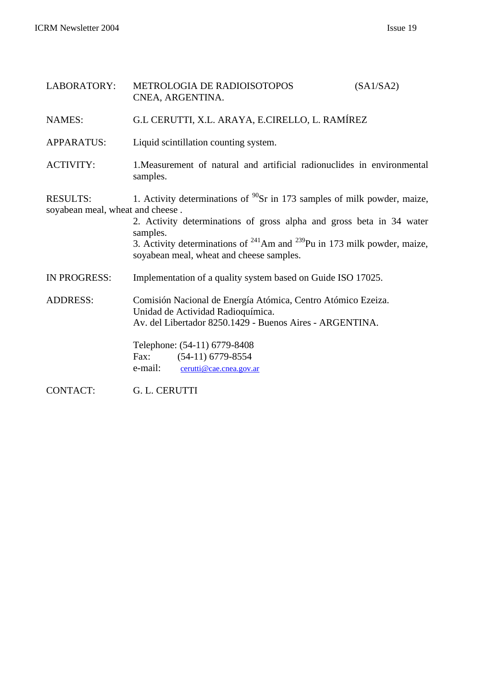| LABORATORY:                                         | METROLOGIA DE RADIOISOTOPOS<br>CNEA, ARGENTINA.                                                                                                                                                                                                                                                       | (SA1/SA2) |
|-----------------------------------------------------|-------------------------------------------------------------------------------------------------------------------------------------------------------------------------------------------------------------------------------------------------------------------------------------------------------|-----------|
| <b>NAMES:</b>                                       | G.L CERUTTI, X.L. ARAYA, E.CIRELLO, L. RAMÍREZ                                                                                                                                                                                                                                                        |           |
| <b>APPARATUS:</b>                                   | Liquid scintillation counting system.                                                                                                                                                                                                                                                                 |           |
| <b>ACTIVITY:</b>                                    | 1. Measurement of natural and artificial radionuclides in environmental<br>samples.                                                                                                                                                                                                                   |           |
| <b>RESULTS:</b><br>soyabean meal, wheat and cheese. | 1. Activity determinations of $^{90}Sr$ in 173 samples of milk powder, maize,<br>2. Activity determinations of gross alpha and gross beta in 34 water<br>samples.<br>3. Activity determinations of $^{241}$ Am and $^{239}$ Pu in 173 milk powder, maize,<br>soyabean meal, wheat and cheese samples. |           |
| <b>IN PROGRESS:</b>                                 | Implementation of a quality system based on Guide ISO 17025.                                                                                                                                                                                                                                          |           |
| <b>ADDRESS:</b>                                     | Comisión Nacional de Energía Atómica, Centro Atómico Ezeiza.<br>Unidad de Actividad Radioquímica.<br>Av. del Libertador 8250.1429 - Buenos Aires - ARGENTINA.<br>Telephone: (54-11) 6779-8408<br>$(54-11)$ 6779-8554<br>Fax:<br>e-mail:<br>cerutti@cae.cnea.gov.ar                                    |           |
| <b>CONTACT:</b>                                     | G. L. CERUTTI                                                                                                                                                                                                                                                                                         |           |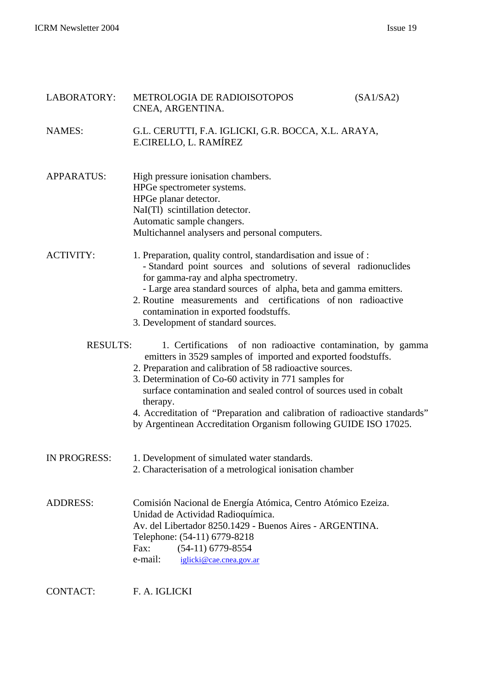| LABORATORY:       | METROLOGIA DE RADIOISOTOPOS<br>CNEA, ARGENTINA.                                                                                                                                                                                                                                                                                                                                                                                                                                         | (SA1/SA2) |
|-------------------|-----------------------------------------------------------------------------------------------------------------------------------------------------------------------------------------------------------------------------------------------------------------------------------------------------------------------------------------------------------------------------------------------------------------------------------------------------------------------------------------|-----------|
| <b>NAMES:</b>     | G.L. CERUTTI, F.A. IGLICKI, G.R. BOCCA, X.L. ARAYA,<br>E.CIRELLO, L. RAMÍREZ                                                                                                                                                                                                                                                                                                                                                                                                            |           |
| <b>APPARATUS:</b> | High pressure ionisation chambers.<br>HPGe spectrometer systems.<br>HPGe planar detector.<br>NaI(Tl) scintillation detector.<br>Automatic sample changers.<br>Multichannel analysers and personal computers.                                                                                                                                                                                                                                                                            |           |
| <b>ACTIVITY:</b>  | 1. Preparation, quality control, standardisation and issue of :<br>- Standard point sources and solutions of several radionuclides<br>for gamma-ray and alpha spectrometry.<br>- Large area standard sources of alpha, beta and gamma emitters.<br>2. Routine measurements and certifications of non radioactive<br>contamination in exported foodstuffs.<br>3. Development of standard sources.                                                                                        |           |
| <b>RESULTS:</b>   | 1. Certifications of non radioactive contamination, by gamma<br>emitters in 3529 samples of imported and exported foodstuffs.<br>2. Preparation and calibration of 58 radioactive sources.<br>3. Determination of Co-60 activity in 771 samples for<br>surface contamination and sealed control of sources used in cobalt<br>therapy.<br>4. Accreditation of "Preparation and calibration of radioactive standards"<br>by Argentinean Accreditation Organism following GUIDE ISO 17025. |           |
| IN PROGRESS:      | 1. Development of simulated water standards.<br>2. Characterisation of a metrological ionisation chamber                                                                                                                                                                                                                                                                                                                                                                                |           |
| <b>ADDRESS:</b>   | Comisión Nacional de Energía Atómica, Centro Atómico Ezeiza.<br>Unidad de Actividad Radioquímica.<br>Av. del Libertador 8250.1429 - Buenos Aires - ARGENTINA.<br>Telephone: (54-11) 6779-8218<br>Fax:<br>$(54-11)$ 6779-8554<br>e-mail:<br>iglicki@cae.cnea.gov.ar                                                                                                                                                                                                                      |           |

CONTACT: F. A. IGLICKI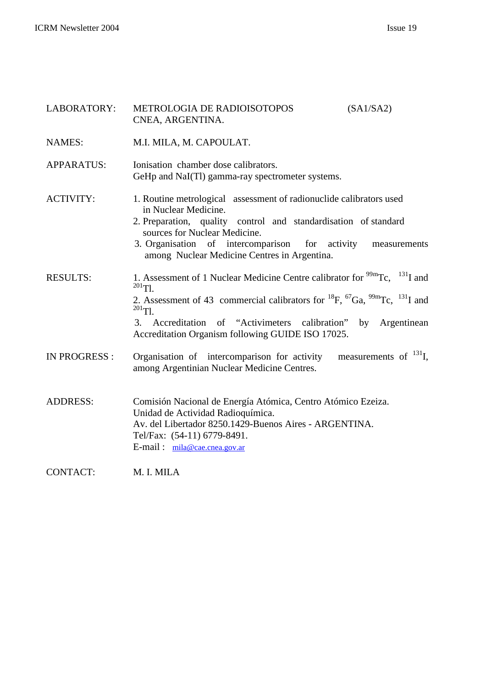| LABORATORY:       | METROLOGIA DE RADIOISOTOPOS<br>CNEA, ARGENTINA.                                                                                                                                                                                                                                                                                                                           | (SA1/SA2)                   |
|-------------------|---------------------------------------------------------------------------------------------------------------------------------------------------------------------------------------------------------------------------------------------------------------------------------------------------------------------------------------------------------------------------|-----------------------------|
| <b>NAMES:</b>     | M.I. MILA, M. CAPOULAT.                                                                                                                                                                                                                                                                                                                                                   |                             |
| <b>APPARATUS:</b> | Ionisation chamber dose calibrators.<br>GeHp and NaI(Tl) gamma-ray spectrometer systems.                                                                                                                                                                                                                                                                                  |                             |
| <b>ACTIVITY:</b>  | 1. Routine metrological assessment of radionuclide calibrators used<br>in Nuclear Medicine.<br>2. Preparation, quality control and standardisation of standard<br>sources for Nuclear Medicine.<br>3. Organisation of intercomparison for activity<br>among Nuclear Medicine Centres in Argentina.                                                                        | measurements                |
| <b>RESULTS:</b>   | 1. Assessment of 1 Nuclear Medicine Centre calibrator for $\frac{99m}{\text{TC}}$ , $\frac{131 \text{ J}}{\text{D}}$ and<br>$^{201}$ Tl.<br>2. Assessment of 43 commercial calibrators for $^{18}F$ , $^{67}Ga$ , $^{99m}Tc$ , $^{131}I$ and<br>$^{201}$ Tl.<br>Accreditation of "Activimeters calibration" by<br>3.<br>Accreditation Organism following GUIDE ISO 17025. | Argentinean                 |
| IN PROGRESS :     | Organisation of intercomparison for activity<br>among Argentinian Nuclear Medicine Centres.                                                                                                                                                                                                                                                                               | measurements of $^{131}$ I, |
| <b>ADDRESS:</b>   | Comisión Nacional de Energía Atómica, Centro Atómico Ezeiza.<br>Unidad de Actividad Radioquímica.<br>Av. del Libertador 8250.1429-Buenos Aires - ARGENTINA.<br>Tel/Fax: (54-11) 6779-8491.<br>E-mail: mila@cae.cnea.gov.ar                                                                                                                                                |                             |
| <b>CONTACT:</b>   | M. I. MILA                                                                                                                                                                                                                                                                                                                                                                |                             |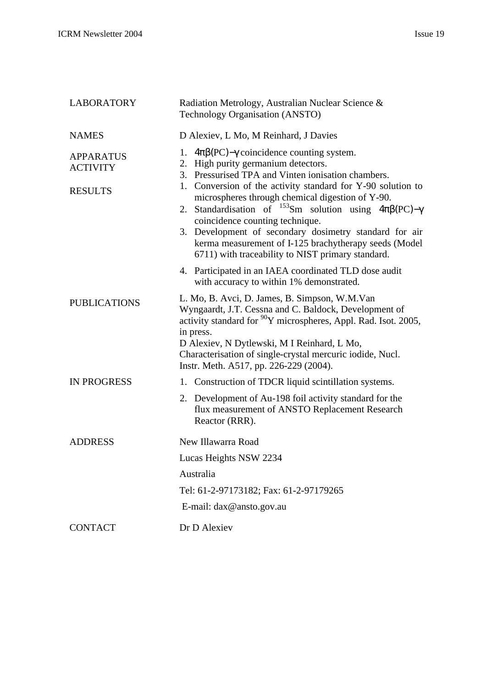| <b>LABORATORY</b>                                     | Radiation Metrology, Australian Nuclear Science &<br>Technology Organisation (ANSTO)                                                                                                                                                                                                                                                                                                                                                                                                                                                                                           |
|-------------------------------------------------------|--------------------------------------------------------------------------------------------------------------------------------------------------------------------------------------------------------------------------------------------------------------------------------------------------------------------------------------------------------------------------------------------------------------------------------------------------------------------------------------------------------------------------------------------------------------------------------|
| <b>NAMES</b>                                          | D Alexiev, L Mo, M Reinhard, J Davies                                                                                                                                                                                                                                                                                                                                                                                                                                                                                                                                          |
| <b>APPARATUS</b><br><b>ACTIVITY</b><br><b>RESULTS</b> | $4\pi\beta$ (PC)- $\gamma$ coincidence counting system.<br>1.<br>High purity germanium detectors.<br>2.<br>3. Pressurised TPA and Vinten ionisation chambers.<br>1. Conversion of the activity standard for Y-90 solution to<br>microspheres through chemical digestion of Y-90.<br>2. Standardisation of <sup>153</sup> Sm solution using $4\pi\beta(PC) - \gamma$<br>coincidence counting technique.<br>3. Development of secondary dosimetry standard for air<br>kerma measurement of I-125 brachytherapy seeds (Model<br>6711) with traceability to NIST primary standard. |
|                                                       | 4. Participated in an IAEA coordinated TLD dose audit<br>with accuracy to within 1% demonstrated.                                                                                                                                                                                                                                                                                                                                                                                                                                                                              |
| <b>PUBLICATIONS</b>                                   | L. Mo, B. Avci, D. James, B. Simpson, W.M.Van<br>Wyngaardt, J.T. Cessna and C. Baldock, Development of<br>activity standard for <sup>90</sup> Y microspheres, Appl. Rad. Isot. 2005,<br>in press.<br>D Alexiev, N Dytlewski, M I Reinhard, L Mo,<br>Characterisation of single-crystal mercuric iodide, Nucl.<br>Instr. Meth. A517, pp. 226-229 (2004).                                                                                                                                                                                                                        |
| <b>IN PROGRESS</b>                                    | Construction of TDCR liquid scintillation systems.<br>1.                                                                                                                                                                                                                                                                                                                                                                                                                                                                                                                       |
|                                                       | 2. Development of Au-198 foil activity standard for the<br>flux measurement of ANSTO Replacement Research<br>Reactor (RRR).                                                                                                                                                                                                                                                                                                                                                                                                                                                    |
| <b>ADDRESS</b>                                        | New Illawarra Road                                                                                                                                                                                                                                                                                                                                                                                                                                                                                                                                                             |
|                                                       | Lucas Heights NSW 2234                                                                                                                                                                                                                                                                                                                                                                                                                                                                                                                                                         |
|                                                       | Australia                                                                                                                                                                                                                                                                                                                                                                                                                                                                                                                                                                      |
|                                                       | Tel: 61-2-97173182; Fax: 61-2-97179265                                                                                                                                                                                                                                                                                                                                                                                                                                                                                                                                         |
|                                                       | E-mail: dax@ansto.gov.au                                                                                                                                                                                                                                                                                                                                                                                                                                                                                                                                                       |
| <b>CONTACT</b>                                        | Dr D Alexiev                                                                                                                                                                                                                                                                                                                                                                                                                                                                                                                                                                   |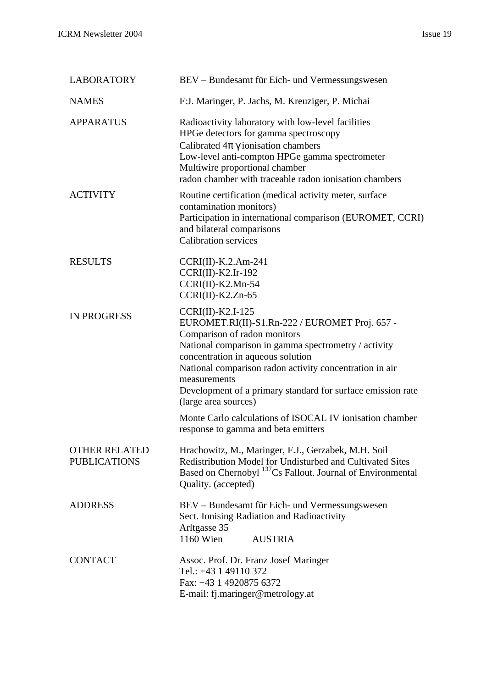| <b>LABORATORY</b>                           | BEV – Bundesamt für Eich- und Vermessungswesen                                                                                                                                                                                                                                                                                                                     |
|---------------------------------------------|--------------------------------------------------------------------------------------------------------------------------------------------------------------------------------------------------------------------------------------------------------------------------------------------------------------------------------------------------------------------|
| <b>NAMES</b>                                | F:J. Maringer, P. Jachs, M. Kreuziger, P. Michai                                                                                                                                                                                                                                                                                                                   |
| <b>APPARATUS</b>                            | Radioactivity laboratory with low-level facilities<br>HPGe detectors for gamma spectroscopy<br>Calibrated $4\pi \gamma$ ionisation chambers<br>Low-level anti-compton HPGe gamma spectrometer<br>Multiwire proportional chamber<br>radon chamber with traceable radon ionisation chambers                                                                          |
| <b>ACTIVITY</b>                             | Routine certification (medical activity meter, surface<br>contamination monitors)<br>Participation in international comparison (EUROMET, CCRI)<br>and bilateral comparisons<br><b>Calibration services</b>                                                                                                                                                         |
| <b>RESULTS</b>                              | $CCRI(II)-K.2.Am-241$<br>$CCRI(II)-K2.Ir-192$<br>$CCRI(II)-K2.Mn-54$<br>$CCRI(II)-K2.Zn-65$                                                                                                                                                                                                                                                                        |
| <b>IN PROGRESS</b>                          | CCRI(II)-K2.I-125<br>EUROMET.RI(II)-S1.Rn-222 / EUROMET Proj. 657 -<br>Comparison of radon monitors<br>National comparison in gamma spectrometry / activity<br>concentration in aqueous solution<br>National comparison radon activity concentration in air<br>measurements<br>Development of a primary standard for surface emission rate<br>(large area sources) |
|                                             | Monte Carlo calculations of ISOCAL IV ionisation chamber<br>response to gamma and beta emitters                                                                                                                                                                                                                                                                    |
| <b>OTHER RELATED</b><br><b>PUBLICATIONS</b> | Hrachowitz, M., Maringer, F.J., Gerzabek, M.H. Soil<br>Redistribution Model for Undisturbed and Cultivated Sites<br>Based on Chernobyl <sup>137</sup> Cs Fallout. Journal of Environmental<br>Quality. (accepted)                                                                                                                                                  |
| <b>ADDRESS</b>                              | BEV – Bundesamt für Eich- und Vermessungswesen<br>Sect. Ionising Radiation and Radioactivity<br>Arltgasse 35<br>1160 Wien<br><b>AUSTRIA</b>                                                                                                                                                                                                                        |
| <b>CONTACT</b>                              | Assoc. Prof. Dr. Franz Josef Maringer<br>Tel.: +43 1 49110 372<br>Fax: +43 1 4920875 6372<br>E-mail: fj.maringer@metrology.at                                                                                                                                                                                                                                      |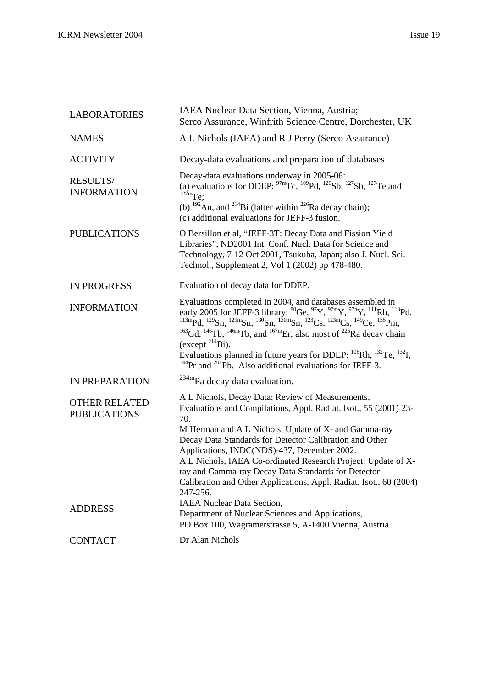| <b>LABORATORIES</b>                                           | IAEA Nuclear Data Section, Vienna, Austria;<br>Serco Assurance, Winfrith Science Centre, Dorchester, UK                                                                                                                                                                                                                                                                                                                                                                                                                                                                                                                                              |
|---------------------------------------------------------------|------------------------------------------------------------------------------------------------------------------------------------------------------------------------------------------------------------------------------------------------------------------------------------------------------------------------------------------------------------------------------------------------------------------------------------------------------------------------------------------------------------------------------------------------------------------------------------------------------------------------------------------------------|
| <b>NAMES</b>                                                  | A L Nichols (IAEA) and R J Perry (Serco Assurance)                                                                                                                                                                                                                                                                                                                                                                                                                                                                                                                                                                                                   |
| <b>ACTIVITY</b>                                               | Decay-data evaluations and preparation of databases                                                                                                                                                                                                                                                                                                                                                                                                                                                                                                                                                                                                  |
| <b>RESULTS/</b><br><b>INFORMATION</b>                         | Decay-data evaluations underway in 2005-06:<br>(a) evaluations for DDEP: $97 \text{mT}c$ , $109 \text{Pd}$ , $126 \text{Sb}$ , $127 \text{Sb}$ , $127 \text{Te}$ and<br>$127 \text{m}$ Te:<br>(b) $^{192}$ Au, and $^{214}$ Bi (latter within $^{226}$ Ra decay chain);                                                                                                                                                                                                                                                                                                                                                                              |
|                                                               | (c) additional evaluations for JEFF-3 fusion.                                                                                                                                                                                                                                                                                                                                                                                                                                                                                                                                                                                                        |
| <b>PUBLICATIONS</b>                                           | O Bersillon et al, "JEFF-3T: Decay Data and Fission Yield<br>Libraries", ND2001 Int. Conf. Nucl. Data for Science and<br>Technology, 7-12 Oct 2001, Tsukuba, Japan; also J. Nucl. Sci.<br>Technol., Supplement 2, Vol 1 (2002) pp 478-480.                                                                                                                                                                                                                                                                                                                                                                                                           |
| <b>IN PROGRESS</b>                                            | Evaluation of decay data for DDEP.                                                                                                                                                                                                                                                                                                                                                                                                                                                                                                                                                                                                                   |
| <b>INFORMATION</b>                                            | Evaluations completed in 2004, and databases assembled in<br>early 2005 for JEFF-3 library: ${}^{80}$ Ge, ${}^{97}$ Y, ${}^{97m}$ Y, ${}^{97m}$ Y, ${}^{111}$ Rh, ${}^{113}$ Pd, ${}^{113m}$ Pd, ${}^{129}$ Sn, ${}^{129m}$ Sn, ${}^{130m}$ Sn, ${}^{130m}$ Sn, ${}^{123}$ Cs, ${}^{123m}$ Cs, ${}^{149}$ Ce, ${}^{155}$ Pm,<br><sup>163</sup> Gd, <sup>146</sup> Tb, <sup>146m</sup> Tb, and <sup>167m</sup> Er; also most of <sup>226</sup> Ra decay chain<br>(except $^{214}$ Bi).<br>Evaluations planned in future years for DDEP: $^{106}Rh$ , $^{132}Te$ , $^{132}I$ ,<br>$^{144}$ Pr and $^{201}$ Pb. Also additional evaluations for JEFF-3. |
| IN PREPARATION                                                | <sup>234m</sup> Pa decay data evaluation.                                                                                                                                                                                                                                                                                                                                                                                                                                                                                                                                                                                                            |
| <b>OTHER RELATED</b><br><b>PUBLICATIONS</b><br><b>ADDRESS</b> | A L Nichols, Decay Data: Review of Measurements,<br>Evaluations and Compilations, Appl. Radiat. Isot., 55 (2001) 23-<br>70.<br>M Herman and A L Nichols, Update of X- and Gamma-ray<br>Decay Data Standards for Detector Calibration and Other<br>Applications, INDC(NDS)-437, December 2002.<br>A L Nichols, IAEA Co-ordinated Research Project: Update of X-<br>ray and Gamma-ray Decay Data Standards for Detector<br>Calibration and Other Applications, Appl. Radiat. Isot., 60 (2004)<br>247-256.<br><b>IAEA Nuclear Data Section,</b><br>Department of Nuclear Sciences and Applications,                                                     |
|                                                               | PO Box 100, Wagramerstrasse 5, A-1400 Vienna, Austria.                                                                                                                                                                                                                                                                                                                                                                                                                                                                                                                                                                                               |
| <b>CONTACT</b>                                                | Dr Alan Nichols                                                                                                                                                                                                                                                                                                                                                                                                                                                                                                                                                                                                                                      |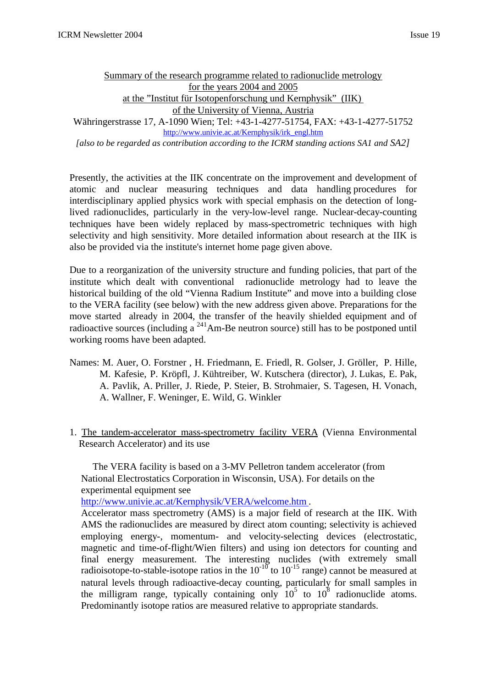# Summary of the research programme related to radionuclide metrology for the years 2004 and 2005 at the "Institut für Isotopenforschung und Kernphysik" (IIK) of the University of Vienna, Austria

Währingerstrasse 17, A-1090 Wien; Tel: +43-1-4277-51754, FAX: +43-1-4277-51752 http://www.univie.ac.at/Kernphysik/irk\_engl.htm

*[also to be regarded as contribution according to the ICRM standing actions SA1 and SA2]*

Presently, the activities at the IIK concentrate on the improvement and development of atomic and nuclear measuring techniques and data handling procedures for interdisciplinary applied physics work with special emphasis on the detection of longlived radionuclides, particularly in the very-low-level range. Nuclear-decay-counting techniques have been widely replaced by mass-spectrometric techniques with high selectivity and high sensitivity. More detailed information about research at the IIK is also be provided via the institute's internet home page given above.

Due to a reorganization of the university structure and funding policies, that part of the institute which dealt with conventional radionuclide metrology had to leave the historical building of the old "Vienna Radium Institute" and move into a building close to the VERA facility (see below) with the new address given above. Preparations for the move started already in 2004, the transfer of the heavily shielded equipment and of radioactive sources (including a <sup>241</sup>Am-Be neutron source) still has to be postponed until working rooms have been adapted.

- Names: M. Auer, O. Forstner , H. Friedmann, E. Friedl, R. Golser, J. Gröller, P. Hille, M. Kafesie, P. Kröpfl, J. Kühtreiber, W. Kutschera (director), J. Lukas, E. Pak, A. Pavlik, A. Priller, J. Riede, P. Steier, B. Strohmaier, S. Tagesen, H. Vonach, A. Wallner, F. Weninger, E. Wild, G. Winkler
- 1. The tandem-accelerator mass-spectrometry facility VERA (Vienna Environmental Research Accelerator) and its use

The VERA facility is based on a 3-MV Pelletron tandem accelerator (from National Electrostatics Corporation in Wisconsin, USA). For details on the experimental equipment see

http://www.univie.ac.at/Kernphysik/VERA/welcome.htm .

Accelerator mass spectrometry (AMS) is a major field of research at the IIK. With AMS the radionuclides are measured by direct atom counting; selectivity is achieved employing energy-, momentum- and velocity-selecting devices (electrostatic, magnetic and time-of-flight/Wien filters) and using ion detectors for counting and final energy measurement. The interesting nuclides (with extremely small radioisotope-to-stable-isotope ratios in the  $10^{-10}$  to  $10^{-15}$  range) cannot be measured at natural levels through radioactive-decay counting, particularly for small samples in the milligram range, typically containing only  $10^5$  to  $10^8$  radionuclide atoms. Predominantly isotope ratios are measured relative to appropriate standards.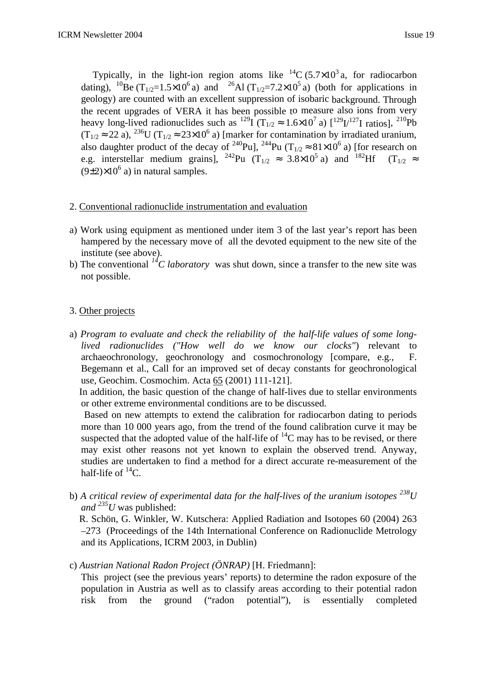Typically, in the light-ion region atoms like  ${}^{14}C (5.7 \times 10^3 a)$ , for radiocarbon dating), <sup>10</sup>Be (T<sub>1/2</sub>=1.5×10<sup>6</sup> a) and <sup>26</sup>Al (T<sub>1/2</sub>=7.2×10<sup>5</sup> a) (both for applications in geology) are counted with an excellent suppression of isobaric background. Through the recent upgrades of VERA it has been possible to measure also ions from very heavy long-lived radionuclides such as  $^{129}I(T_{1/2} \approx 1.6 \times 10^7 \text{ a})$   $\left[^{129}I^{127}I \text{ ratios}\right]$ ,  $^{210}Pb$  $(T_{1/2} \approx 22 \text{ a})$ ,  $^{236}$ U (T<sub>1/2</sub>  $\approx 23 \times 10^6$  a) [marker for contamination by irradiated uranium, also daughter product of the decay of <sup>240</sup>Pu], <sup>244</sup>Pu (T<sub>1/2</sub>  $\approx 81 \times 10^6$  a) [for research on e.g. interstellar medium grains], <sup>242</sup>Pu (T<sub>1/2</sub>  $\approx$  3.8×10<sup>5</sup> a) and <sup>182</sup>Hf (T<sub>1/2</sub>  $\approx$  $(9\pm2)\times10^6$  a) in natural samples.

## 2. Conventional radionuclide instrumentation and evaluation

- a) Work using equipment as mentioned under item 3 of the last year's report has been hampered by the necessary move of all the devoted equipment to the new site of the institute (see above).
- b) The conventional *<sup>14</sup>C laboratory* was shut down, since a transfer to the new site was not possible.

# 3. Other projects

a) *Program to evaluate and check the reliability of the half-life values of some longlived radionuclides ("How well do we know our clocks"*) relevant to archaeochronology, geochronology and cosmochronology [compare, e.g., F. Begemann et al., Call for an improved set of decay constants for geochronological use, Geochim. Cosmochim. Acta 65 (2001) 111-121].

 In addition, the basic question of the change of half-lives due to stellar environments or other extreme environmental conditions are to be discussed.

 Based on new attempts to extend the calibration for radiocarbon dating to periods more than 10 000 years ago, from the trend of the found calibration curve it may be suspected that the adopted value of the half-life of  ${}^{14}C$  may has to be revised, or there may exist other reasons not yet known to explain the observed trend. Anyway, studies are undertaken to find a method for a direct accurate re-measurement of the half-life of  ${}^{14}C$ .

b) *A critical review of experimental data for the half-lives of the uranium isotopes <sup>238</sup>U and*  $^{235}U$  was published:

 R. Schön, G. Winkler, W. Kutschera: Applied Radiation and Isotopes 60 (2004) 263 –273 (Proceedings of the 14th International Conference on Radionuclide Metrology and its Applications, ICRM 2003, in Dublin)

c) *Austrian National Radon Project (ÖNRAP)* [H. Friedmann]:

This project (see the previous years' reports) to determine the radon exposure of the population in Austria as well as to classify areas according to their potential radon risk from the ground ("radon potential"), is essentially completed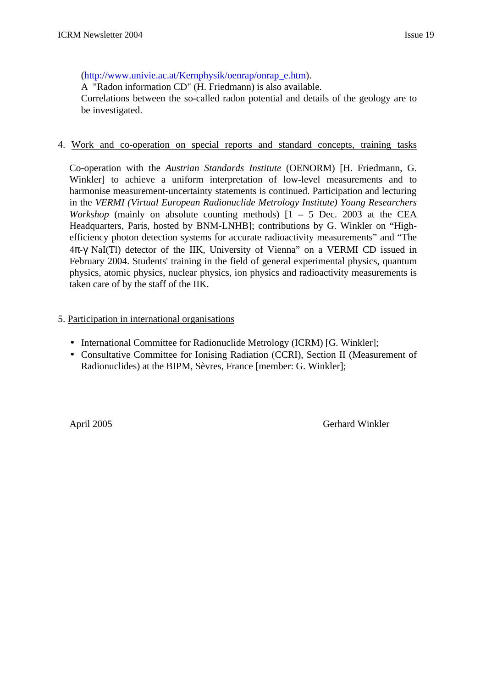## (http://www.univie.ac.at/Kernphysik/oenrap/onrap\_e.htm).

A "Radon information CD" (H. Friedmann) is also available.

Correlations between the so-called radon potential and details of the geology are to be investigated.

## 4. Work and co-operation on special reports and standard concepts, training tasks

Co-operation with the *Austrian Standards Institute* (OENORM) [H. Friedmann, G. Winkler] to achieve a uniform interpretation of low-level measurements and to harmonise measurement-uncertainty statements is continued. Participation and lecturing in the *VERMI (Virtual European Radionuclide Metrology Institute) Young Researchers Workshop* (mainly on absolute counting methods)  $\begin{bmatrix} 1 & -5 \end{bmatrix}$  Dec. 2003 at the CEA Headquarters, Paris, hosted by BNM-LNHB]; contributions by G. Winkler on "Highefficiency photon detection systems for accurate radioactivity measurements" and "The 4π-γ NaI(Tl) detector of the IIK, University of Vienna" on a VERMI CD issued in February 2004. Students' training in the field of general experimental physics, quantum physics, atomic physics, nuclear physics, ion physics and radioactivity measurements is taken care of by the staff of the IIK.

## 5. Participation in international organisations

- International Committee for Radionuclide Metrology (ICRM) [G. Winkler];
- Consultative Committee for Ionising Radiation (CCRI), Section II (Measurement of Radionuclides) at the BIPM, Sèvres, France [member: G. Winkler];

April 2005 Gerhard Winkler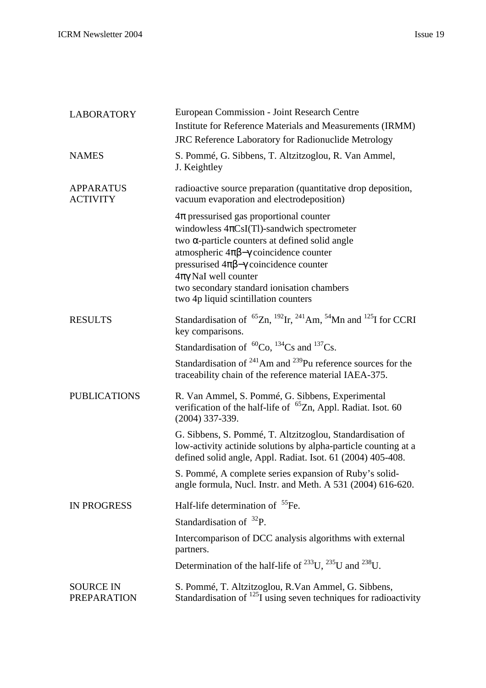| <b>LABORATORY</b>                      | European Commission - Joint Research Centre                                                                                                                                                                                                                                                                                                                                                  |
|----------------------------------------|----------------------------------------------------------------------------------------------------------------------------------------------------------------------------------------------------------------------------------------------------------------------------------------------------------------------------------------------------------------------------------------------|
|                                        | Institute for Reference Materials and Measurements (IRMM)                                                                                                                                                                                                                                                                                                                                    |
|                                        | <b>JRC Reference Laboratory for Radionuclide Metrology</b>                                                                                                                                                                                                                                                                                                                                   |
| <b>NAMES</b>                           | S. Pommé, G. Sibbens, T. Altzitzoglou, R. Van Ammel,<br>J. Keightley                                                                                                                                                                                                                                                                                                                         |
| <b>APPARATUS</b><br><b>ACTIVITY</b>    | radioactive source preparation (quantitative drop deposition,<br>vacuum evaporation and electrodeposition)                                                                                                                                                                                                                                                                                   |
|                                        | $4\pi$ pressurised gas proportional counter<br>windowless $4\pi CsI(Tl)$ -sandwich spectrometer<br>two $\alpha$ -particle counters at defined solid angle<br>atmospheric $4\pi\beta-\gamma$ coincidence counter<br>pressurised $4\pi\beta-\gamma$ coincidence counter<br>$4\pi\gamma$ NaI well counter<br>two secondary standard ionisation chambers<br>two 4p liquid scintillation counters |
| <b>RESULTS</b>                         | Standardisation of ${}^{65}Zn$ , ${}^{192}Ir$ , ${}^{241}Am$ , ${}^{54}Mn$ and ${}^{125}I$ for CCRI<br>key comparisons.                                                                                                                                                                                                                                                                      |
|                                        | Standardisation of ${}^{60}Co$ , ${}^{134}Cs$ and ${}^{137}Cs$ .                                                                                                                                                                                                                                                                                                                             |
|                                        | Standardisation of $^{241}$ Am and $^{239}$ Pu reference sources for the<br>traceability chain of the reference material IAEA-375.                                                                                                                                                                                                                                                           |
| <b>PUBLICATIONS</b>                    | R. Van Ammel, S. Pommé, G. Sibbens, Experimental<br>verification of the half-life of ${}^{65}Zn$ , Appl. Radiat. Isot. 60<br>$(2004)$ 337-339.                                                                                                                                                                                                                                               |
|                                        | G. Sibbens, S. Pommé, T. Altzitzoglou, Standardisation of<br>low-activity actinide solutions by alpha-particle counting at a<br>defined solid angle, Appl. Radiat. Isot. 61 (2004) 405-408.                                                                                                                                                                                                  |
|                                        | S. Pommé, A complete series expansion of Ruby's solid-<br>angle formula, Nucl. Instr. and Meth. A 531 (2004) 616-620.                                                                                                                                                                                                                                                                        |
| <b>IN PROGRESS</b>                     | Half-life determination of <sup>55</sup> Fe.                                                                                                                                                                                                                                                                                                                                                 |
|                                        | Standardisation of $^{32}P$ .                                                                                                                                                                                                                                                                                                                                                                |
|                                        | Intercomparison of DCC analysis algorithms with external<br>partners.                                                                                                                                                                                                                                                                                                                        |
|                                        | Determination of the half-life of $^{233}$ U, $^{235}$ U and $^{238}$ U.                                                                                                                                                                                                                                                                                                                     |
| <b>SOURCE IN</b><br><b>PREPARATION</b> | S. Pommé, T. Altzitzoglou, R. Van Ammel, G. Sibbens,<br>Standardisation of $^{125}$ I using seven techniques for radioactivity                                                                                                                                                                                                                                                               |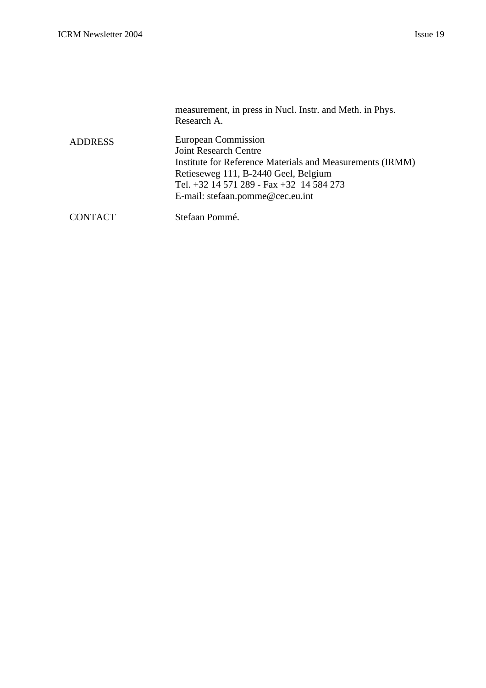|                | measurement, in press in Nucl. Instr. and Meth. in Phys.<br>Research A.                                                                                                                                                                  |
|----------------|------------------------------------------------------------------------------------------------------------------------------------------------------------------------------------------------------------------------------------------|
| <b>ADDRESS</b> | European Commission<br><b>Joint Research Centre</b><br>Institute for Reference Materials and Measurements (IRMM)<br>Retieseweg 111, B-2440 Geel, Belgium<br>Tel. +32 14 571 289 - Fax +32 14 584 273<br>E-mail: stefaan.pomme@cec.eu.int |
| <b>CONTACT</b> | Stefaan Pommé.                                                                                                                                                                                                                           |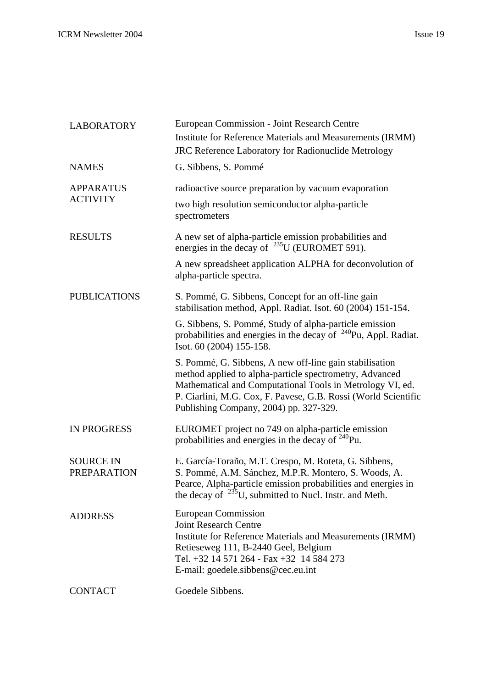| <b>LABORATORY</b>                      | European Commission - Joint Research Centre                                                                                                                                                                                                                                                 |
|----------------------------------------|---------------------------------------------------------------------------------------------------------------------------------------------------------------------------------------------------------------------------------------------------------------------------------------------|
|                                        | Institute for Reference Materials and Measurements (IRMM)                                                                                                                                                                                                                                   |
|                                        | <b>JRC Reference Laboratory for Radionuclide Metrology</b>                                                                                                                                                                                                                                  |
| <b>NAMES</b>                           | G. Sibbens, S. Pommé                                                                                                                                                                                                                                                                        |
| <b>APPARATUS</b><br><b>ACTIVITY</b>    | radioactive source preparation by vacuum evaporation                                                                                                                                                                                                                                        |
|                                        | two high resolution semiconductor alpha-particle<br>spectrometers                                                                                                                                                                                                                           |
| <b>RESULTS</b>                         | A new set of alpha-particle emission probabilities and<br>energies in the decay of $^{235}$ U (EUROMET 591).                                                                                                                                                                                |
|                                        | A new spreadsheet application ALPHA for deconvolution of<br>alpha-particle spectra.                                                                                                                                                                                                         |
| <b>PUBLICATIONS</b>                    | S. Pommé, G. Sibbens, Concept for an off-line gain<br>stabilisation method, Appl. Radiat. Isot. 60 (2004) 151-154.                                                                                                                                                                          |
|                                        | G. Sibbens, S. Pommé, Study of alpha-particle emission<br>probabilities and energies in the decay of $^{240}$ Pu, Appl. Radiat.<br>Isot. 60 (2004) 155-158.                                                                                                                                 |
|                                        | S. Pommé, G. Sibbens, A new off-line gain stabilisation<br>method applied to alpha-particle spectrometry, Advanced<br>Mathematical and Computational Tools in Metrology VI, ed.<br>P. Ciarlini, M.G. Cox, F. Pavese, G.B. Rossi (World Scientific<br>Publishing Company, 2004) pp. 327-329. |
| <b>IN PROGRESS</b>                     | EUROMET project no 749 on alpha-particle emission<br>probabilities and energies in the decay of $240$ Pu.                                                                                                                                                                                   |
| <b>SOURCE IN</b><br><b>PREPARATION</b> | E. García-Toraño, M.T. Crespo, M. Roteta, G. Sibbens,<br>S. Pommé, A.M. Sánchez, M.P.R. Montero, S. Woods, A.<br>Pearce, Alpha-particle emission probabilities and energies in<br>the decay of $^{235}$ U, submitted to Nucl. Instr. and Meth.                                              |
| <b>ADDRESS</b>                         | European Commission<br><b>Joint Research Centre</b><br>Institute for Reference Materials and Measurements (IRMM)<br>Retieseweg 111, B-2440 Geel, Belgium<br>Tel. +32 14 571 264 - Fax +32 14 584 273<br>E-mail: goedele.sibbens@cec.eu.int                                                  |
| <b>CONTACT</b>                         | Goedele Sibbens.                                                                                                                                                                                                                                                                            |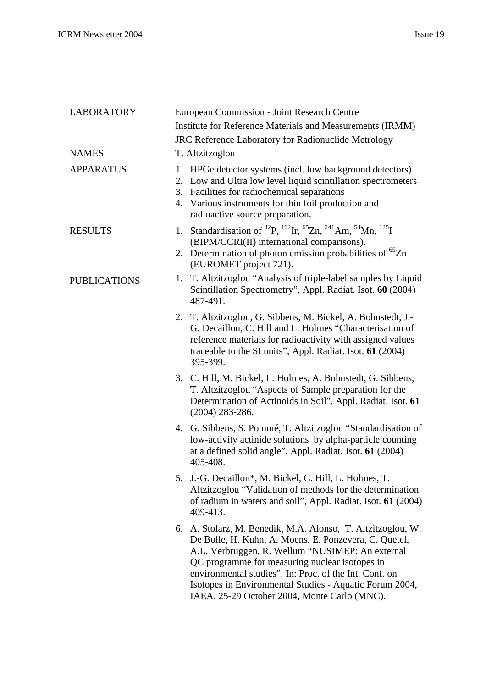| <b>LABORATORY</b>   | European Commission - Joint Research Centre                                                                                                                                                                                                                                                                                                                                                     |
|---------------------|-------------------------------------------------------------------------------------------------------------------------------------------------------------------------------------------------------------------------------------------------------------------------------------------------------------------------------------------------------------------------------------------------|
|                     | Institute for Reference Materials and Measurements (IRMM)                                                                                                                                                                                                                                                                                                                                       |
|                     | JRC Reference Laboratory for Radionuclide Metrology                                                                                                                                                                                                                                                                                                                                             |
| <b>NAMES</b>        | T. Altzitzoglou                                                                                                                                                                                                                                                                                                                                                                                 |
| <b>APPARATUS</b>    | 1. HPGe detector systems (incl. low background detectors)<br>2. Low and Ultra low level liquid scintillation spectrometers<br>3. Facilities for radiochemical separations<br>4. Various instruments for thin foil production and<br>radioactive source preparation.                                                                                                                             |
| <b>RESULTS</b>      | 1. Standardisation of <sup>32</sup> P, <sup>192</sup> Ir, <sup>65</sup> Zn, <sup>241</sup> Am, <sup>54</sup> Mn, <sup>125</sup> I<br>(BIPM/CCRI(II) international comparisons).<br>2. Determination of photon emission probabilities of <sup>65</sup> Zn<br>(EUROMET project 721).                                                                                                              |
| <b>PUBLICATIONS</b> | T. Altzitzoglou "Analysis of triple-label samples by Liquid<br>1.<br>Scintillation Spectrometry", Appl. Radiat. Isot. 60 (2004)<br>487-491.                                                                                                                                                                                                                                                     |
|                     | 2. T. Altzitzoglou, G. Sibbens, M. Bickel, A. Bohnstedt, J.-<br>G. Decaillon, C. Hill and L. Holmes "Characterisation of<br>reference materials for radioactivity with assigned values<br>traceable to the SI units", Appl. Radiat. Isot. 61 (2004)<br>395-399.                                                                                                                                 |
|                     | 3. C. Hill, M. Bickel, L. Holmes, A. Bohnstedt, G. Sibbens,<br>T. Altzitzoglou "Aspects of Sample preparation for the<br>Determination of Actinoids in Soil", Appl. Radiat. Isot. 61<br>$(2004)$ 283-286.                                                                                                                                                                                       |
|                     | 4. G. Sibbens, S. Pommé, T. Altzitzoglou "Standardisation of<br>low-activity actinide solutions by alpha-particle counting<br>at a defined solid angle", Appl. Radiat. Isot. 61 (2004)<br>405-408.                                                                                                                                                                                              |
|                     | 5. J.-G. Decaillon*, M. Bickel, C. Hill, L. Holmes, T.<br>Altzitzoglou "Validation of methods for the determination<br>of radium in waters and soil", Appl. Radiat. Isot. 61 (2004)<br>409-413.                                                                                                                                                                                                 |
|                     | 6. A. Stolarz, M. Benedik, M.A. Alonso, T. Altzitzoglou, W.<br>De Bolle, H. Kuhn, A. Moens, E. Ponzevera, C. Quetel,<br>A.L. Verbruggen, R. Wellum "NUSIMEP: An external<br>QC programme for measuring nuclear isotopes in<br>environmental studies". In: Proc. of the Int. Conf. on<br>Isotopes in Environmental Studies - Aquatic Forum 2004,<br>IAEA, 25-29 October 2004, Monte Carlo (MNC). |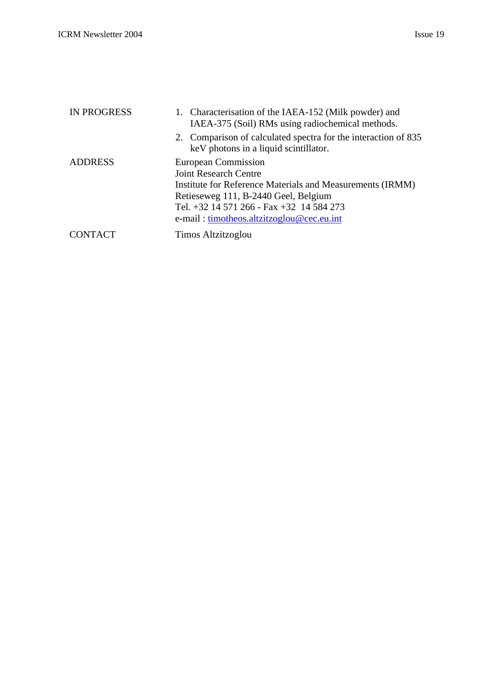| <b>IN PROGRESS</b> | 1. Characterisation of the IAEA-152 (Milk powder) and<br>IAEA-375 (Soil) RMs using radiochemical methods.                                                                                                                                         |
|--------------------|---------------------------------------------------------------------------------------------------------------------------------------------------------------------------------------------------------------------------------------------------|
|                    | 2. Comparison of calculated spectra for the interaction of 835<br>keV photons in a liquid scintillator.                                                                                                                                           |
| <b>ADDRESS</b>     | European Commission<br><b>Joint Research Centre</b><br>Institute for Reference Materials and Measurements (IRMM)<br>Retieseweg 111, B-2440 Geel, Belgium<br>Tel. +32 14 571 266 - Fax +32 14 584 273<br>e-mail: timotheos.altzitzoglou@cec.eu.int |
| <b>CONTACT</b>     | Timos Altzitzoglou                                                                                                                                                                                                                                |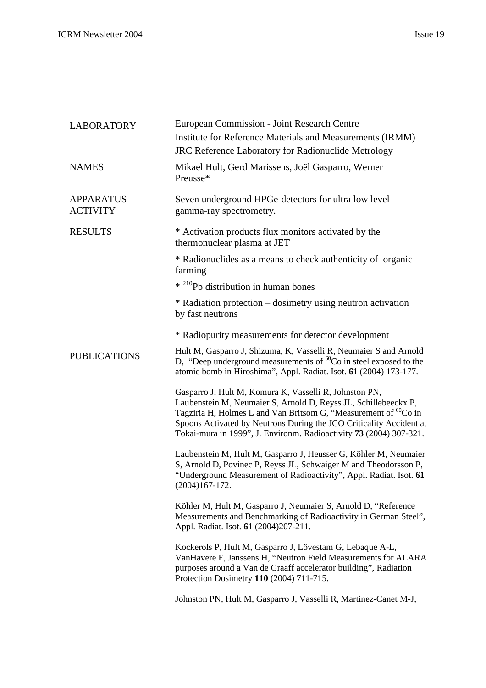| <b>LABORATORY</b>                   | European Commission - Joint Research Centre                                                                                                                                                                                                                                                                                                      |
|-------------------------------------|--------------------------------------------------------------------------------------------------------------------------------------------------------------------------------------------------------------------------------------------------------------------------------------------------------------------------------------------------|
|                                     | Institute for Reference Materials and Measurements (IRMM)                                                                                                                                                                                                                                                                                        |
|                                     | JRC Reference Laboratory for Radionuclide Metrology                                                                                                                                                                                                                                                                                              |
| <b>NAMES</b>                        | Mikael Hult, Gerd Marissens, Joël Gasparro, Werner<br>Preusse*                                                                                                                                                                                                                                                                                   |
| <b>APPARATUS</b><br><b>ACTIVITY</b> | Seven underground HPGe-detectors for ultra low level<br>gamma-ray spectrometry.                                                                                                                                                                                                                                                                  |
| <b>RESULTS</b>                      | * Activation products flux monitors activated by the<br>thermonuclear plasma at JET                                                                                                                                                                                                                                                              |
|                                     | * Radionuclides as a means to check authenticity of organic<br>farming                                                                                                                                                                                                                                                                           |
|                                     | * <sup>210</sup> Pb distribution in human bones                                                                                                                                                                                                                                                                                                  |
|                                     | * Radiation protection – dosimetry using neutron activation<br>by fast neutrons                                                                                                                                                                                                                                                                  |
|                                     | * Radiopurity measurements for detector development                                                                                                                                                                                                                                                                                              |
| <b>PUBLICATIONS</b>                 | Hult M, Gasparro J, Shizuma, K, Vasselli R, Neumaier S and Arnold<br>D, "Deep underground measurements of ${}^{60}Co$ in steel exposed to the<br>atomic bomb in Hiroshima", Appl. Radiat. Isot. 61 (2004) 173-177.                                                                                                                               |
|                                     | Gasparro J, Hult M, Komura K, Vasselli R, Johnston PN,<br>Laubenstein M, Neumaier S, Arnold D, Reyss JL, Schillebeeckx P,<br>Tagziria H, Holmes L and Van Britsom G, "Measurement of ${}^{60}Co$ in<br>Spoons Activated by Neutrons During the JCO Criticality Accident at<br>Tokai-mura in 1999", J. Environm. Radioactivity 73 (2004) 307-321. |
|                                     | Laubenstein M, Hult M, Gasparro J, Heusser G, Köhler M, Neumaier<br>S, Arnold D, Povinec P, Reyss JL, Schwaiger M and Theodorsson P,<br>"Underground Measurement of Radioactivity", Appl. Radiat. Isot. 61<br>$(2004)167 - 172.$                                                                                                                 |
|                                     | Köhler M, Hult M, Gasparro J, Neumaier S, Arnold D, "Reference<br>Measurements and Benchmarking of Radioactivity in German Steel",<br>Appl. Radiat. Isot. 61 (2004)207-211.                                                                                                                                                                      |
|                                     | Kockerols P, Hult M, Gasparro J, Lövestam G, Lebaque A-L,<br>VanHavere F, Janssens H, "Neutron Field Measurements for ALARA<br>purposes around a Van de Graaff accelerator building", Radiation<br>Protection Dosimetry 110 (2004) 711-715.                                                                                                      |
|                                     | Johnston PN, Hult M, Gasparro J, Vasselli R, Martinez-Canet M-J,                                                                                                                                                                                                                                                                                 |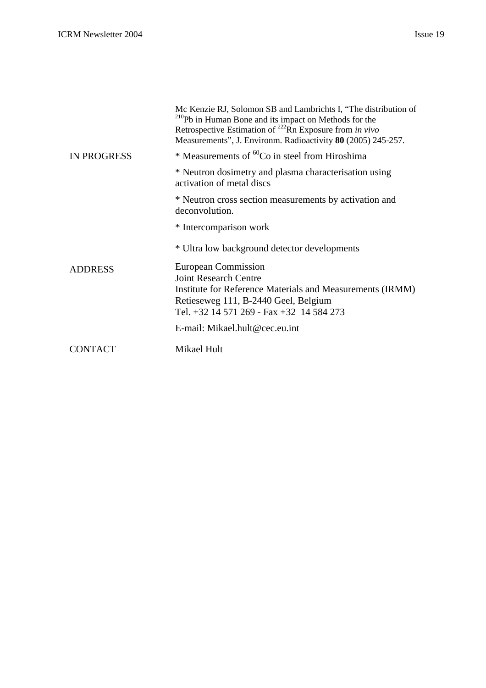|                    | Mc Kenzie RJ, Solomon SB and Lambrichts I, "The distribution of<br><sup>210</sup> Pb in Human Bone and its impact on Methods for the<br>Retrospective Estimation of <sup>222</sup> Rn Exposure from in vivo<br>Measurements", J. Environm. Radioactivity 80 (2005) 245-257. |
|--------------------|-----------------------------------------------------------------------------------------------------------------------------------------------------------------------------------------------------------------------------------------------------------------------------|
| <b>IN PROGRESS</b> | * Measurements of <sup>60</sup> Co in steel from Hiroshima                                                                                                                                                                                                                  |
|                    | * Neutron dosimetry and plasma characterisation using<br>activation of metal discs                                                                                                                                                                                          |
|                    | * Neutron cross section measurements by activation and<br>deconvolution.                                                                                                                                                                                                    |
|                    | * Intercomparison work                                                                                                                                                                                                                                                      |
|                    | * Ultra low background detector developments                                                                                                                                                                                                                                |
| <b>ADDRESS</b>     | European Commission                                                                                                                                                                                                                                                         |
|                    | <b>Joint Research Centre</b>                                                                                                                                                                                                                                                |
|                    | Institute for Reference Materials and Measurements (IRMM)                                                                                                                                                                                                                   |
|                    | Retieseweg 111, B-2440 Geel, Belgium                                                                                                                                                                                                                                        |
|                    | Tel. +32 14 571 269 - Fax +32 14 584 273                                                                                                                                                                                                                                    |
|                    | E-mail: Mikael.hult@cec.eu.int                                                                                                                                                                                                                                              |
| CONTACT            | Mikael Hult                                                                                                                                                                                                                                                                 |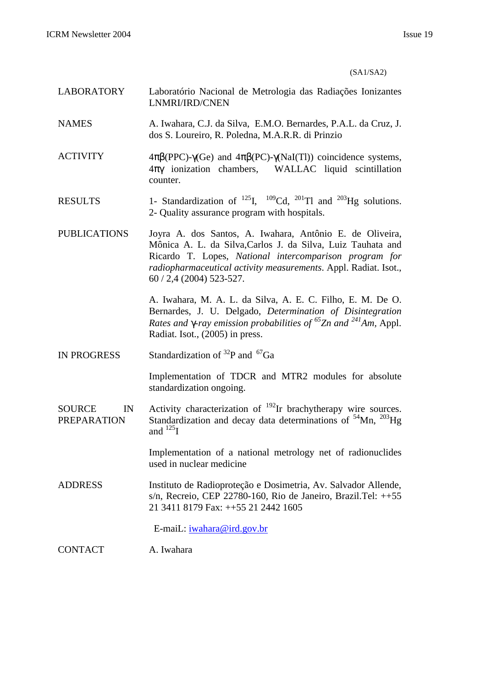#### (SA1/SA2)

- LABORATORY Laboratório Nacional de Metrologia das Radiações Ionizantes LNMRI/IRD/CNEN
- NAMES A. Iwahara, C.J. da Silva, E.M.O. Bernardes, P.A.L. da Cruz, J. dos S. Loureiro, R. Poledna, M.A.R.R. di Prinzio
- ACTIVITY  $4\pi\beta(PPC) \gamma(Ge)$  and  $4\pi\beta(PC) \gamma(NaI(TI))$  coincidence systems, 4πγ ionization chambers, WALLAC liquid scintillation counter.
- RESULTS 1- Standardization of  $^{125}$ I,  $^{109}$ Cd,  $^{201}$ Tl and  $^{203}$ Hg solutions. 2- Quality assurance program with hospitals.
- PUBLICATIONS Joyra A. dos Santos, A. Iwahara, Antônio E. de Oliveira, Mônica A. L. da Silva,Carlos J. da Silva, Luiz Tauhata and Ricardo T. Lopes, *National intercomparison program for radiopharmaceutical activity measurements*. Appl. Radiat. Isot., 60 / 2,4 (2004) 523-527.

A. Iwahara, M. A. L. da Silva, A. E. C. Filho, E. M. De O. Bernardes, J. U. Delgado, *Determination of Disintegration Rates and g-ray emission probabilities of <sup>65</sup>Zn and <sup>241</sup>Am,* Appl. Radiat. Isot., (2005) in press.

IN PROGRESS Standardization of  $^{32}P$  and  $^{67}Ga$ 

Implementation of TDCR and MTR2 modules for absolute standardization ongoing.

SOURCE IN PREPARATION Activity characterization of  $192$ Ir brachytherapy wire sources. Standardization and decay data determinations of  $54$ Mn,  $203$ Hg and  $^{125}$ I

> Implementation of a national metrology net of radionuclides used in nuclear medicine

ADDRESS Instituto de Radioproteção e Dosimetria, Av. Salvador Allende, s/n, Recreio, CEP 22780-160, Rio de Janeiro, Brazil.Tel: ++55 21 3411 8179 Fax: ++55 21 2442 1605

E-maiL: iwahara@ird.gov.br

CONTACT A. Iwahara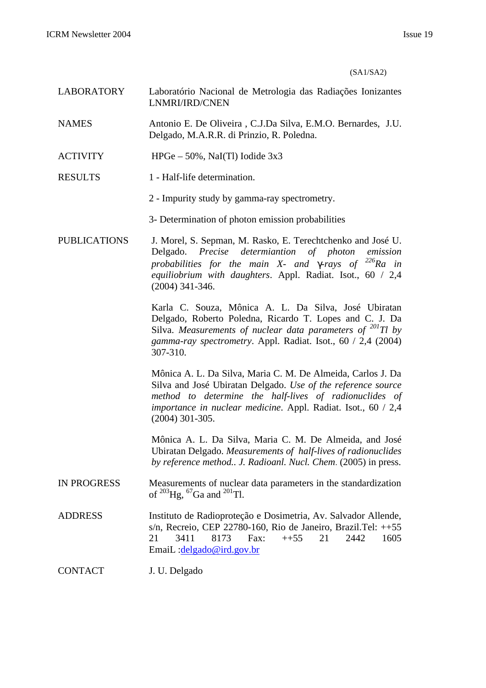(SA1/SA2)

- LABORATORY Laboratório Nacional de Metrologia das Radiações Ionizantes LNMRI/IRD/CNEN
- NAMES Antonio E. De Oliveira , C.J.Da Silva, E.M.O. Bernardes, J.U. Delgado, M.A.R.R. di Prinzio, R. Poledna.
- ACTIVITY HPGe 50%, NaI(Tl) Iodide 3x3
- RESULTS 1 Half-life determination.
	- 2 Impurity study by gamma-ray spectrometry.
	- 3- Determination of photon emission probabilities
- PUBLICATIONS J. Morel, S. Sepman, M. Rasko, E. Terechtchenko and José U. Delgado. *Precise determiantion of photon emission probabilities for the main X- and g-rays of <sup>226</sup>Ra in equiliobrium with daughters*. Appl. Radiat. Isot., 60 / 2,4 (2004) 341-346.

Karla C. Souza, Mônica A. L. Da Silva, José Ubiratan Delgado, Roberto Poledna, Ricardo T. Lopes and C. J. Da Silva. *Measurements of nuclear data parameters of <sup>201</sup>Tl by gamma-ray spectrometry*. Appl. Radiat. Isot., 60 / 2,4 (2004) 307-310.

Mônica A. L. Da Silva, Maria C. M. De Almeida, Carlos J. Da Silva and José Ubiratan Delgado. *Use of the reference source method to determine the half-lives of radionuclides of importance in nuclear medicine*. Appl. Radiat. Isot., 60 / 2,4 (2004) 301-305.

Mônica A. L. Da Silva, Maria C. M. De Almeida, and José Ubiratan Delgado. *Measurements of half-lives of radionuclides by reference method.. J. Radioanl. Nucl. Chem*. (2005) in press.

- IN PROGRESS Measurements of nuclear data parameters in the standardization of  $^{203}$ Hg,  $^{67}$ Ga and  $^{201}$ Tl.
- ADDRESS Instituto de Radioproteção e Dosimetria, Av. Salvador Allende, s/n, Recreio, CEP 22780-160, Rio de Janeiro, Brazil.Tel:  $++55$ 21 3411 8173 Fax: ++55 21 2442 1605 EmaiL :delgado@ird.gov.br

CONTACT J. U. Delgado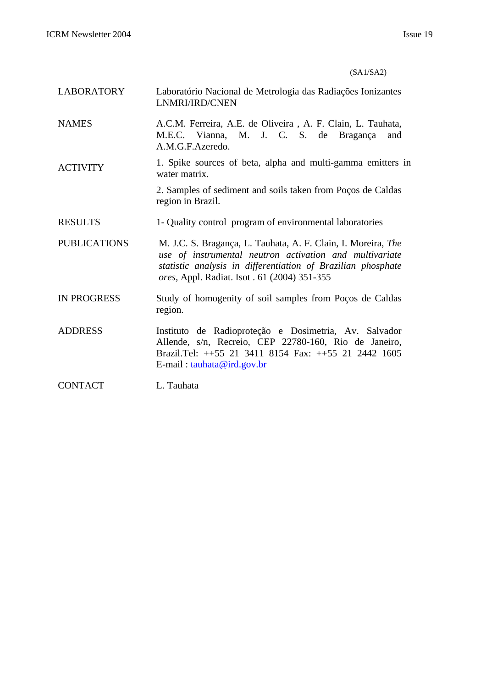## (SA1/SA2)

- LABORATORY Laboratório Nacional de Metrologia das Radiações Ionizantes LNMRI/IRD/CNEN
- NAMES A.C.M. Ferreira, A.E. de Oliveira , A. F. Clain, L. Tauhata, M.E.C. Vianna, M. J. C. S. de Bragança and A.M.G.F.Azeredo.
- ACTIVITY 1. Spike sources of beta, alpha and multi-gamma emitters in water matrix.

2. Samples of sediment and soils taken from Poços de Caldas region in Brazil.

- RESULTS 1- Quality control program of environmental laboratories
- PUBLICATIONS M. J.C. S. Bragança, L. Tauhata, A. F. Clain, I. Moreira, *The use of instrumental neutron activation and multivariate statistic analysis in differentiation of Brazilian phosphate ores,* Appl. Radiat. Isot . 61 (2004) 351-355
- IN PROGRESS Study of homogenity of soil samples from Poços de Caldas region.
- ADDRESS Instituto de Radioproteção e Dosimetria, Av. Salvador Allende, s/n, Recreio, CEP 22780-160, Rio de Janeiro, Brazil.Tel: ++55 21 3411 8154 Fax: ++55 21 2442 1605 E-mail : tauhata@ird.gov.br

CONTACT L. Tauhata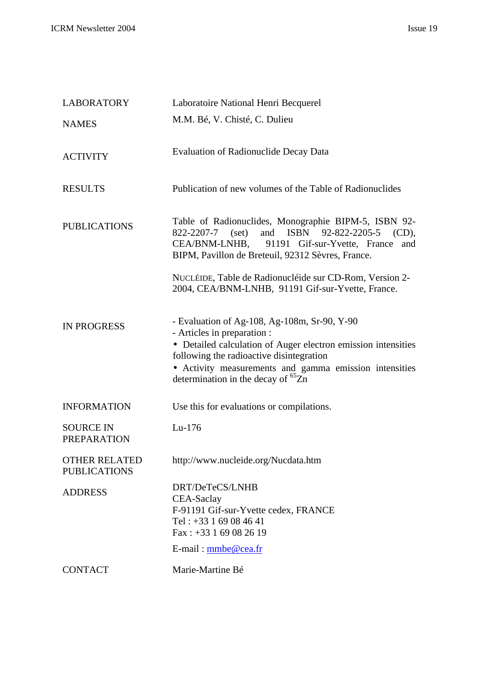| <b>LABORATORY</b>                           | Laboratoire National Henri Becquerel                                                                                                                                                                                                                                                            |
|---------------------------------------------|-------------------------------------------------------------------------------------------------------------------------------------------------------------------------------------------------------------------------------------------------------------------------------------------------|
| <b>NAMES</b>                                | M.M. Bé, V. Chisté, C. Dulieu                                                                                                                                                                                                                                                                   |
| <b>ACTIVITY</b>                             | <b>Evaluation of Radionuclide Decay Data</b>                                                                                                                                                                                                                                                    |
| <b>RESULTS</b>                              | Publication of new volumes of the Table of Radionuclides                                                                                                                                                                                                                                        |
| <b>PUBLICATIONS</b>                         | Table of Radionuclides, Monographie BIPM-5, ISBN 92-<br>and ISBN 92-822-2205-5 (CD),<br>$822 - 2207 - 7$ (set)<br>CEA/BNM-LNHB,<br>91191 Gif-sur-Yvette, France and<br>BIPM, Pavillon de Breteuil, 92312 Sèvres, France.<br>NUCLÉIDE, Table de Radionucléide sur CD-Rom, Version 2-             |
|                                             | 2004, CEA/BNM-LNHB, 91191 Gif-sur-Yvette, France.                                                                                                                                                                                                                                               |
| <b>IN PROGRESS</b>                          | - Evaluation of Ag-108, Ag-108m, Sr-90, Y-90<br>- Articles in preparation :<br>• Detailed calculation of Auger electron emission intensities<br>following the radioactive disintegration<br>• Activity measurements and gamma emission intensities<br>determination in the decay of ${}^{65}Zn$ |
| <b>INFORMATION</b>                          | Use this for evaluations or compilations.                                                                                                                                                                                                                                                       |
| <b>SOURCE IN</b><br><b>PREPARATION</b>      | $Lu-176$                                                                                                                                                                                                                                                                                        |
| <b>OTHER RELATED</b><br><b>PUBLICATIONS</b> | http://www.nucleide.org/Nucdata.htm                                                                                                                                                                                                                                                             |
| <b>ADDRESS</b>                              | DRT/DeTeCS/LNHB<br>CEA-Saclay<br>F-91191 Gif-sur-Yvette cedex, FRANCE<br>Tel: $+33$ 1 69 08 46 41<br>Fax: +33 1 69 08 26 19<br>$E$ -mail: mmbe@cea.fr                                                                                                                                           |
| <b>CONTACT</b>                              | Marie-Martine Bé                                                                                                                                                                                                                                                                                |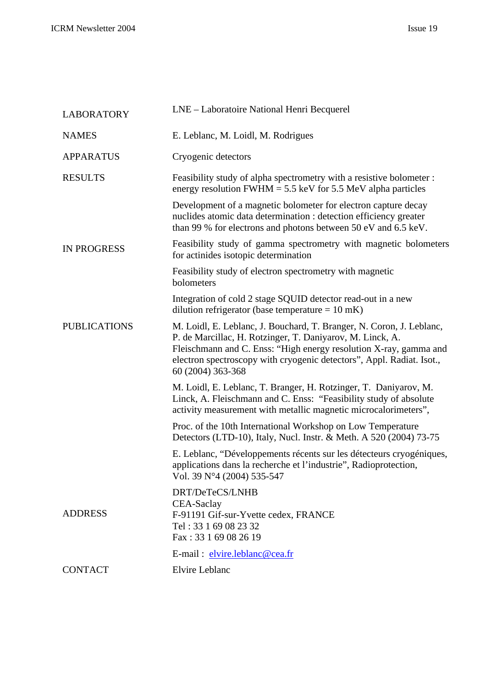| <b>LABORATORY</b>   | LNE – Laboratoire National Henri Becquerel                                                                                                                                                                                                                                                           |
|---------------------|------------------------------------------------------------------------------------------------------------------------------------------------------------------------------------------------------------------------------------------------------------------------------------------------------|
| <b>NAMES</b>        | E. Leblanc, M. Loidl, M. Rodrigues                                                                                                                                                                                                                                                                   |
| <b>APPARATUS</b>    | Cryogenic detectors                                                                                                                                                                                                                                                                                  |
| <b>RESULTS</b>      | Feasibility study of alpha spectrometry with a resistive bolometer :<br>energy resolution FWHM = $5.5$ keV for $5.5$ MeV alpha particles                                                                                                                                                             |
|                     | Development of a magnetic bolometer for electron capture decay<br>nuclides atomic data determination : detection efficiency greater<br>than 99 % for electrons and photons between 50 eV and 6.5 keV.                                                                                                |
| <b>IN PROGRESS</b>  | Feasibility study of gamma spectrometry with magnetic bolometers<br>for actinides isotopic determination                                                                                                                                                                                             |
|                     | Feasibility study of electron spectrometry with magnetic<br>bolometers                                                                                                                                                                                                                               |
|                     | Integration of cold 2 stage SQUID detector read-out in a new<br>dilution refrigerator (base temperature = $10$ mK)                                                                                                                                                                                   |
| <b>PUBLICATIONS</b> | M. Loidl, E. Leblanc, J. Bouchard, T. Branger, N. Coron, J. Leblanc,<br>P. de Marcillac, H. Rotzinger, T. Daniyarov, M. Linck, A.<br>Fleischmann and C. Enss: "High energy resolution X-ray, gamma and<br>electron spectroscopy with cryogenic detectors", Appl. Radiat. Isot.,<br>60 (2004) 363-368 |
|                     | M. Loidl, E. Leblanc, T. Branger, H. Rotzinger, T. Daniyarov, M.<br>Linck, A. Fleischmann and C. Enss: "Feasibility study of absolute<br>activity measurement with metallic magnetic microcalorimeters",                                                                                             |
|                     | Proc. of the 10th International Workshop on Low Temperature<br>Detectors (LTD-10), Italy, Nucl. Instr. & Meth. A 520 (2004) 73-75                                                                                                                                                                    |
|                     | E. Leblanc, "Développements récents sur les détecteurs cryogéniques,<br>applications dans la recherche et l'industrie", Radioprotection,<br>Vol. 39 N°4 (2004) 535-547                                                                                                                               |
| <b>ADDRESS</b>      | DRT/DeTeCS/LNHB<br>CEA-Saclay<br>F-91191 Gif-sur-Yvette cedex, FRANCE<br>Tel: 33 1 69 08 23 32<br>Fax: 33 1 69 08 26 19                                                                                                                                                                              |
|                     | E-mail: elvire.leblanc@cea.fr                                                                                                                                                                                                                                                                        |
| <b>CONTACT</b>      | Elvire Leblanc                                                                                                                                                                                                                                                                                       |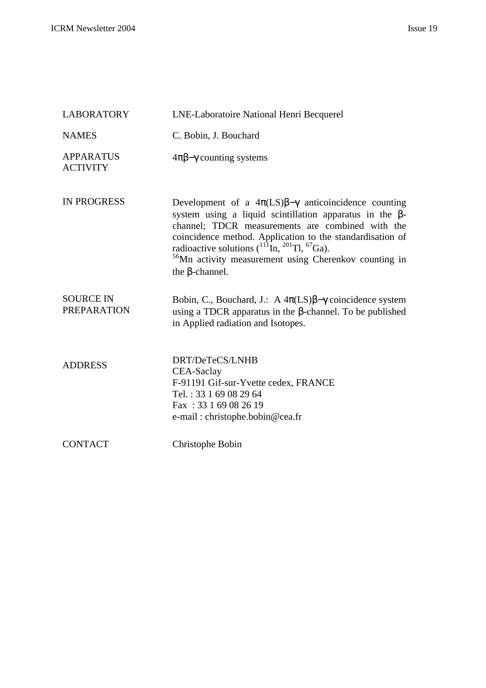| <b>LABORATORY</b>                      | LNE-Laboratoire National Henri Becquerel                                                                                                                                                                                                                                                                                                                                                                                         |
|----------------------------------------|----------------------------------------------------------------------------------------------------------------------------------------------------------------------------------------------------------------------------------------------------------------------------------------------------------------------------------------------------------------------------------------------------------------------------------|
| <b>NAMES</b>                           | C. Bobin, J. Bouchard                                                                                                                                                                                                                                                                                                                                                                                                            |
| <b>APPARATUS</b><br><b>ACTIVITY</b>    | $4\pi\beta-\gamma$ counting systems                                                                                                                                                                                                                                                                                                                                                                                              |
| <b>IN PROGRESS</b>                     | Development of a $4\pi$ (LS) $\beta$ - $\gamma$ anticoincidence counting<br>system using a liquid scintillation apparatus in the $\beta$ -<br>channel; TDCR measurements are combined with the<br>coincidence method. Application to the standardisation of<br>radioactive solutions $(^{111}$ In, $^{201}$ Tl, <sup>67</sup> Ga).<br><sup>56</sup> Mn activity measurement using Cherenkov counting in<br>the $\beta$ -channel. |
| <b>SOURCE IN</b><br><b>PREPARATION</b> | Bobin, C., Bouchard, J.: A $4\pi(LS)\beta-\gamma$ coincidence system<br>using a TDCR apparatus in the $\beta$ -channel. To be published<br>in Applied radiation and Isotopes.                                                                                                                                                                                                                                                    |
| <b>ADDRESS</b>                         | DRT/DeTeCS/LNHB<br>CEA-Saclay<br>F-91191 Gif-sur-Yvette cedex, FRANCE<br>Tel.: 33 1 69 08 29 64<br>Fax: 33 1 69 08 26 19<br>e-mail: christophe.bobin@cea.fr                                                                                                                                                                                                                                                                      |
| <b>CONTACT</b>                         | Christophe Bobin                                                                                                                                                                                                                                                                                                                                                                                                                 |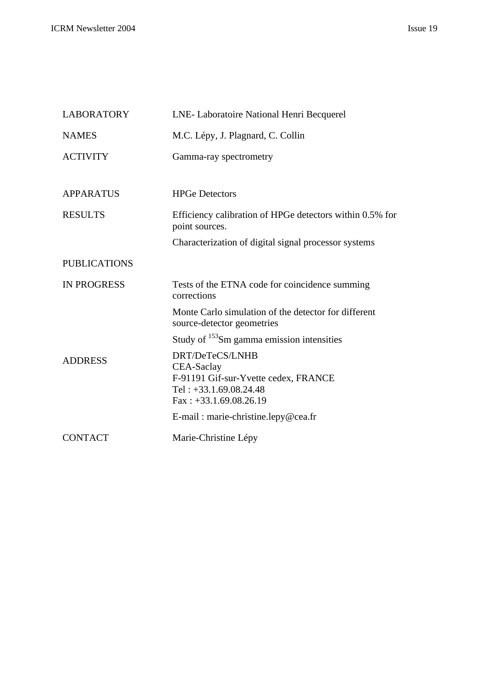| <b>LABORATORY</b>   | LNE- Laboratoire National Henri Becquerel                                          |
|---------------------|------------------------------------------------------------------------------------|
| <b>NAMES</b>        | M.C. Lépy, J. Plagnard, C. Collin                                                  |
| <b>ACTIVITY</b>     | Gamma-ray spectrometry                                                             |
|                     |                                                                                    |
| <b>APPARATUS</b>    | <b>HPGe Detectors</b>                                                              |
| <b>RESULTS</b>      | Efficiency calibration of HPGe detectors within 0.5% for<br>point sources.         |
|                     | Characterization of digital signal processor systems                               |
| <b>PUBLICATIONS</b> |                                                                                    |
| <b>IN PROGRESS</b>  | Tests of the ETNA code for coincidence summing<br>corrections                      |
|                     | Monte Carlo simulation of the detector for different<br>source-detector geometries |
|                     | Study of <sup>153</sup> Sm gamma emission intensities                              |
| <b>ADDRESS</b>      | DRT/DeTeCS/LNHB<br>CEA-Saclay                                                      |
|                     | F-91191 Gif-sur-Yvette cedex, FRANCE<br>Tel: $+33.1.69.08.24.48$                   |
|                     | $Fax: +33.1.69.08.26.19$                                                           |
|                     | E-mail: marie-christine.lepy@cea.fr                                                |
| <b>CONTACT</b>      | Marie-Christine Lépy                                                               |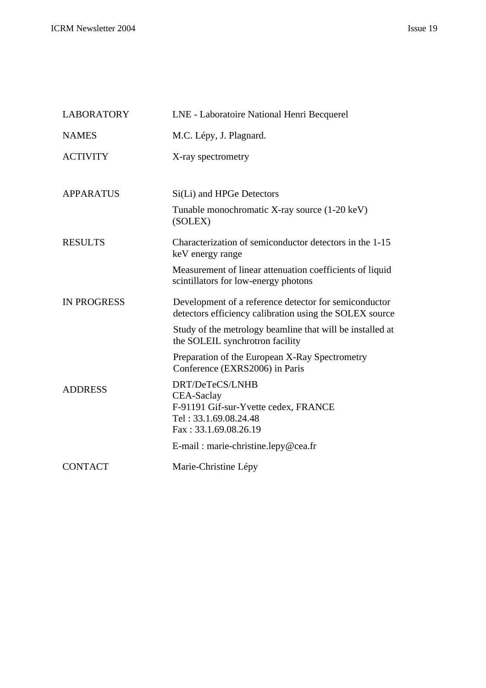| <b>LABORATORY</b>  | LNE - Laboratoire National Henri Becquerel                                                                              |
|--------------------|-------------------------------------------------------------------------------------------------------------------------|
| <b>NAMES</b>       | M.C. Lépy, J. Plagnard.                                                                                                 |
| <b>ACTIVITY</b>    | X-ray spectrometry                                                                                                      |
| <b>APPARATUS</b>   | Si(Li) and HPGe Detectors                                                                                               |
|                    | Tunable monochromatic X-ray source (1-20 keV)<br>(SOLEX)                                                                |
| <b>RESULTS</b>     | Characterization of semiconductor detectors in the 1-15<br>keV energy range                                             |
|                    | Measurement of linear attenuation coefficients of liquid<br>scintillators for low-energy photons                        |
| <b>IN PROGRESS</b> | Development of a reference detector for semiconductor<br>detectors efficiency calibration using the SOLEX source        |
|                    | Study of the metrology beamline that will be installed at<br>the SOLEIL synchrotron facility                            |
|                    | Preparation of the European X-Ray Spectrometry<br>Conference (EXRS2006) in Paris                                        |
| <b>ADDRESS</b>     | DRT/DeTeCS/LNHB<br>CEA-Saclay<br>F-91191 Gif-sur-Yvette cedex, FRANCE<br>Tel: 33.1.69.08.24.48<br>Fax: 33.1.69.08.26.19 |
|                    | E-mail: marie-christine.lepy@cea.fr                                                                                     |
| <b>CONTACT</b>     | Marie-Christine Lépy                                                                                                    |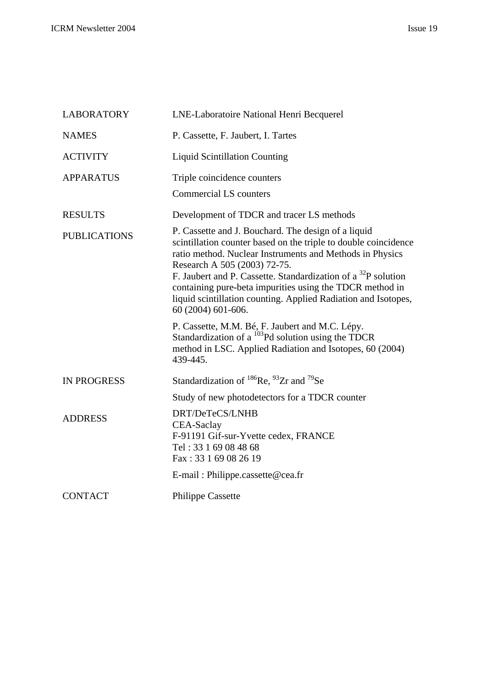| <b>LABORATORY</b>   | LNE-Laboratoire National Henri Becquerel                                                                                                                                                                                                                                                                                                                                                                                                            |
|---------------------|-----------------------------------------------------------------------------------------------------------------------------------------------------------------------------------------------------------------------------------------------------------------------------------------------------------------------------------------------------------------------------------------------------------------------------------------------------|
| <b>NAMES</b>        | P. Cassette, F. Jaubert, I. Tartes                                                                                                                                                                                                                                                                                                                                                                                                                  |
| <b>ACTIVITY</b>     | <b>Liquid Scintillation Counting</b>                                                                                                                                                                                                                                                                                                                                                                                                                |
| <b>APPARATUS</b>    | Triple coincidence counters<br><b>Commercial LS counters</b>                                                                                                                                                                                                                                                                                                                                                                                        |
| <b>RESULTS</b>      | Development of TDCR and tracer LS methods                                                                                                                                                                                                                                                                                                                                                                                                           |
| <b>PUBLICATIONS</b> | P. Cassette and J. Bouchard. The design of a liquid<br>scintillation counter based on the triple to double coincidence<br>ratio method. Nuclear Instruments and Methods in Physics<br>Research A 505 (2003) 72-75.<br>F. Jaubert and P. Cassette. Standardization of a <sup>32</sup> P solution<br>containing pure-beta impurities using the TDCR method in<br>liquid scintillation counting. Applied Radiation and Isotopes,<br>60 (2004) 601-606. |
|                     | P. Cassette, M.M. Bé, F. Jaubert and M.C. Lépy.<br>Standardization of a $^{103}$ Pd solution using the TDCR<br>method in LSC. Applied Radiation and Isotopes, 60 (2004)<br>439-445.                                                                                                                                                                                                                                                                 |
| <b>IN PROGRESS</b>  | Standardization of $^{186}$ Re, $^{93}Zr$ and $^{79}$ Se                                                                                                                                                                                                                                                                                                                                                                                            |
|                     | Study of new photodetectors for a TDCR counter                                                                                                                                                                                                                                                                                                                                                                                                      |
| <b>ADDRESS</b>      | DRT/DeTeCS/LNHB<br>CEA-Saclay<br>F-91191 Gif-sur-Yvette cedex, FRANCE<br>Tel: 33 1 69 08 48 68<br>Fax: 33 1 69 08 26 19                                                                                                                                                                                                                                                                                                                             |
|                     | E-mail: Philippe.cassette@cea.fr                                                                                                                                                                                                                                                                                                                                                                                                                    |
| <b>CONTACT</b>      | <b>Philippe Cassette</b>                                                                                                                                                                                                                                                                                                                                                                                                                            |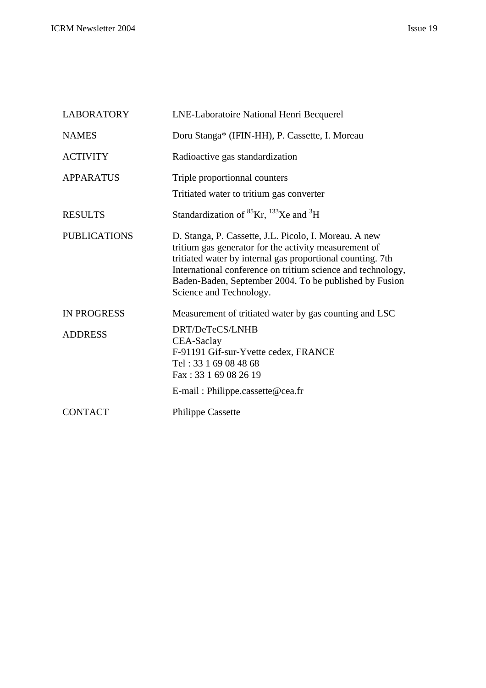| <b>LABORATORY</b>   | LNE-Laboratoire National Henri Becquerel                                                                                                                                                                                                                                                                                         |
|---------------------|----------------------------------------------------------------------------------------------------------------------------------------------------------------------------------------------------------------------------------------------------------------------------------------------------------------------------------|
| <b>NAMES</b>        | Doru Stanga* (IFIN-HH), P. Cassette, I. Moreau                                                                                                                                                                                                                                                                                   |
| <b>ACTIVITY</b>     | Radioactive gas standardization                                                                                                                                                                                                                                                                                                  |
| <b>APPARATUS</b>    | Triple proportionnal counters                                                                                                                                                                                                                                                                                                    |
|                     | Tritiated water to tritium gas converter                                                                                                                                                                                                                                                                                         |
| <b>RESULTS</b>      | Standardization of ${}^{85}Kr$ , ${}^{133}Xe$ and ${}^{3}H$                                                                                                                                                                                                                                                                      |
| <b>PUBLICATIONS</b> | D. Stanga, P. Cassette, J.L. Picolo, I. Moreau. A new<br>tritium gas generator for the activity measurement of<br>tritiated water by internal gas proportional counting. 7th<br>International conference on tritium science and technology,<br>Baden-Baden, September 2004. To be published by Fusion<br>Science and Technology. |
| <b>IN PROGRESS</b>  | Measurement of tritiated water by gas counting and LSC                                                                                                                                                                                                                                                                           |
| <b>ADDRESS</b>      | DRT/DeTeCS/LNHB<br>CEA-Saclay<br>F-91191 Gif-sur-Yvette cedex, FRANCE<br>Tel: 33 1 69 08 48 68<br>Fax: 33 1 69 08 26 19                                                                                                                                                                                                          |
|                     | E-mail: Philippe.cassette@cea.fr                                                                                                                                                                                                                                                                                                 |
| <b>CONTACT</b>      | <b>Philippe Cassette</b>                                                                                                                                                                                                                                                                                                         |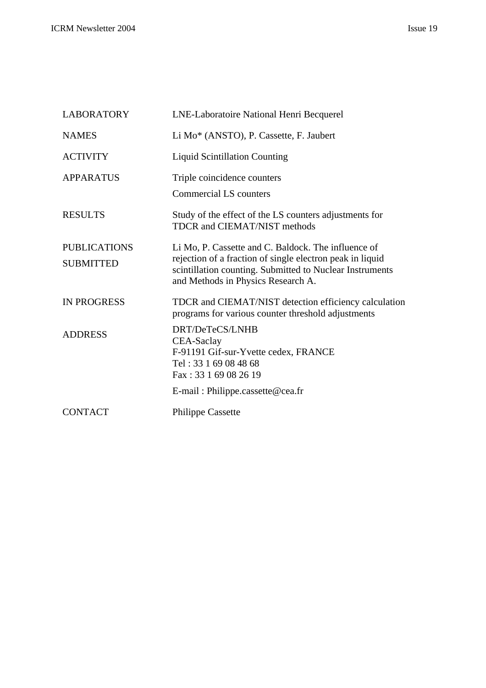| <b>LABORATORY</b>   | LNE-Laboratoire National Henri Becquerel                                                                                                                    |
|---------------------|-------------------------------------------------------------------------------------------------------------------------------------------------------------|
| <b>NAMES</b>        | Li Mo* (ANSTO), P. Cassette, F. Jaubert                                                                                                                     |
| <b>ACTIVITY</b>     | <b>Liquid Scintillation Counting</b>                                                                                                                        |
| <b>APPARATUS</b>    | Triple coincidence counters                                                                                                                                 |
|                     | <b>Commercial LS counters</b>                                                                                                                               |
| <b>RESULTS</b>      | Study of the effect of the LS counters adjustments for<br><b>TDCR</b> and <b>CIEMAT/NIST</b> methods                                                        |
| <b>PUBLICATIONS</b> | Li Mo, P. Cassette and C. Baldock. The influence of                                                                                                         |
| <b>SUBMITTED</b>    | rejection of a fraction of single electron peak in liquid<br>scintillation counting. Submitted to Nuclear Instruments<br>and Methods in Physics Research A. |
| <b>IN PROGRESS</b>  | TDCR and CIEMAT/NIST detection efficiency calculation<br>programs for various counter threshold adjustments                                                 |
| <b>ADDRESS</b>      | DRT/DeTeCS/LNHB                                                                                                                                             |
|                     | <b>CEA-Saclay</b><br>F-91191 Gif-sur-Yvette cedex, FRANCE                                                                                                   |
|                     | Tel: 33 1 69 08 48 68                                                                                                                                       |
|                     | Fax: 33 1 69 08 26 19                                                                                                                                       |
|                     | $E$ -mail: Philippe.cassette@cea.fr                                                                                                                         |
| <b>CONTACT</b>      | <b>Philippe Cassette</b>                                                                                                                                    |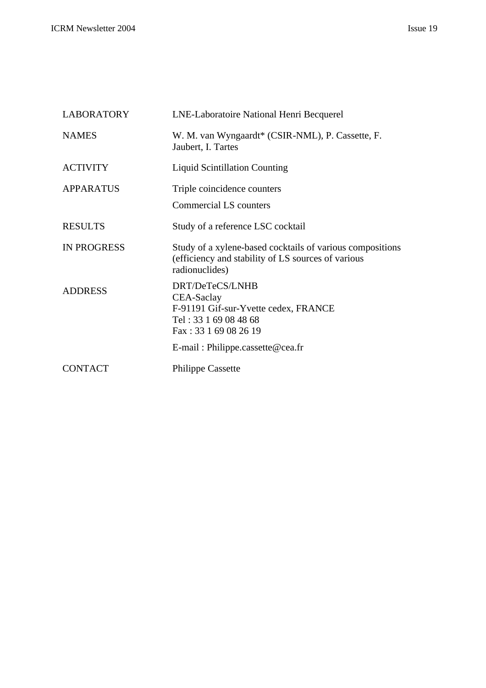| <b>LABORATORY</b>  | LNE-Laboratoire National Henri Becquerel                                                                                                                       |
|--------------------|----------------------------------------------------------------------------------------------------------------------------------------------------------------|
| <b>NAMES</b>       | W. M. van Wyngaardt* (CSIR-NML), P. Cassette, F.<br>Jaubert, I. Tartes                                                                                         |
| <b>ACTIVITY</b>    | <b>Liquid Scintillation Counting</b>                                                                                                                           |
| <b>APPARATUS</b>   | Triple coincidence counters                                                                                                                                    |
|                    | <b>Commercial LS counters</b>                                                                                                                                  |
| <b>RESULTS</b>     | Study of a reference LSC cocktail                                                                                                                              |
| <b>IN PROGRESS</b> | Study of a xylene-based cocktails of various compositions<br>(efficiency and stability of LS sources of various<br>radionuclides)                              |
| <b>ADDRESS</b>     | DRT/DeTeCS/LNHB<br>CEA-Saclay<br>F-91191 Gif-sur-Yvette cedex, FRANCE<br>Tel: 33 1 69 08 48 68<br>Fax: 33 1 69 08 26 19<br>$E$ -mail: Philippe.cassette@cea.fr |
| <b>CONTACT</b>     | <b>Philippe Cassette</b>                                                                                                                                       |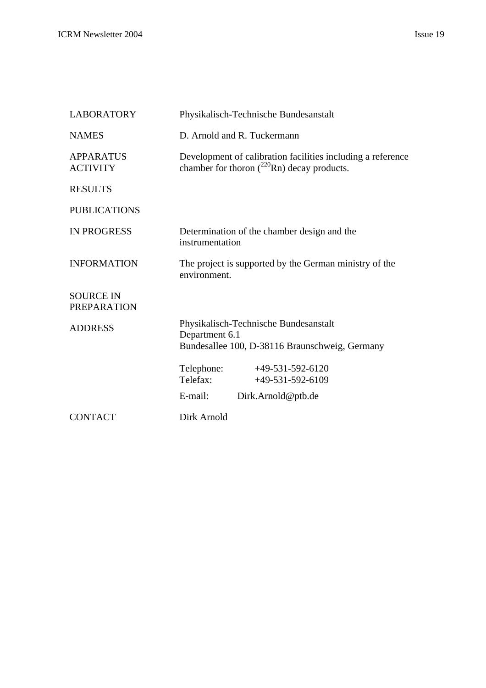| <b>LABORATORY</b>                      | Physikalisch-Technische Bundesanstalt                                                                           |
|----------------------------------------|-----------------------------------------------------------------------------------------------------------------|
| <b>NAMES</b>                           | D. Arnold and R. Tuckermann                                                                                     |
| <b>APPARATUS</b><br><b>ACTIVITY</b>    | Development of calibration facilities including a reference<br>chamber for thoron $(^{220}$ Rn) decay products. |
| <b>RESULTS</b>                         |                                                                                                                 |
| <b>PUBLICATIONS</b>                    |                                                                                                                 |
| <b>IN PROGRESS</b>                     | Determination of the chamber design and the<br>instrumentation                                                  |
| <b>INFORMATION</b>                     | The project is supported by the German ministry of the<br>environment.                                          |
| <b>SOURCE IN</b><br><b>PREPARATION</b> |                                                                                                                 |
| <b>ADDRESS</b>                         | Physikalisch-Technische Bundesanstalt<br>Department 6.1<br>Bundesallee 100, D-38116 Braunschweig, Germany       |
|                                        | Telephone:<br>$+49-531-592-6120$<br>Telefax:<br>$+49-531-592-6109$                                              |
|                                        | E-mail:<br>Dirk.Arnold@ptb.de                                                                                   |
| <b>CONTACT</b>                         | Dirk Arnold                                                                                                     |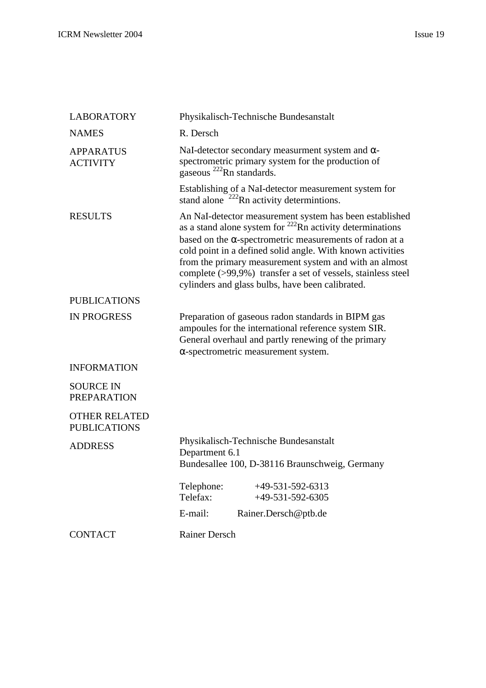| <b>LABORATORY</b>                           | Physikalisch-Technische Bundesanstalt                                                                                                                                                                                                                                                                                                                                                                                                     |
|---------------------------------------------|-------------------------------------------------------------------------------------------------------------------------------------------------------------------------------------------------------------------------------------------------------------------------------------------------------------------------------------------------------------------------------------------------------------------------------------------|
| <b>NAMES</b>                                | R. Dersch                                                                                                                                                                                                                                                                                                                                                                                                                                 |
| <b>APPARATUS</b><br><b>ACTIVITY</b>         | NaI-detector secondary measurment system and $\alpha$ -<br>spectrometric primary system for the production of<br>gaseous $^{222}$ Rn standards.                                                                                                                                                                                                                                                                                           |
|                                             | Establishing of a NaI-detector measurement system for<br>stand alone $222$ Rn activity determintions.                                                                                                                                                                                                                                                                                                                                     |
| <b>RESULTS</b>                              | An NaI-detector measurement system has been established<br>as a stand alone system for $^{222}$ Rn activity determinations<br>based on the $\alpha$ -spectrometric measurements of radon at a<br>cold point in a defined solid angle. With known activities<br>from the primary measurement system and with an almost<br>complete (>99,9%) transfer a set of vessels, stainless steel<br>cylinders and glass bulbs, have been calibrated. |
| <b>PUBLICATIONS</b>                         |                                                                                                                                                                                                                                                                                                                                                                                                                                           |
| <b>IN PROGRESS</b>                          | Preparation of gaseous radon standards in BIPM gas<br>ampoules for the international reference system SIR.<br>General overhaul and partly renewing of the primary<br>$\alpha$ -spectrometric measurement system.                                                                                                                                                                                                                          |
| <b>INFORMATION</b>                          |                                                                                                                                                                                                                                                                                                                                                                                                                                           |
| <b>SOURCE IN</b><br><b>PREPARATION</b>      |                                                                                                                                                                                                                                                                                                                                                                                                                                           |
| <b>OTHER RELATED</b><br><b>PUBLICATIONS</b> |                                                                                                                                                                                                                                                                                                                                                                                                                                           |
| <b>ADDRESS</b>                              | Physikalisch-Technische Bundesanstalt<br>Department 6.1<br>Bundesallee 100, D-38116 Braunschweig, Germany                                                                                                                                                                                                                                                                                                                                 |
|                                             | $+49-531-592-6313$<br>Telephone:<br>Telefax:<br>$+49-531-592-6305$                                                                                                                                                                                                                                                                                                                                                                        |
|                                             | E-mail:<br>Rainer.Dersch@ptb.de                                                                                                                                                                                                                                                                                                                                                                                                           |
| <b>CONTACT</b>                              | <b>Rainer Dersch</b>                                                                                                                                                                                                                                                                                                                                                                                                                      |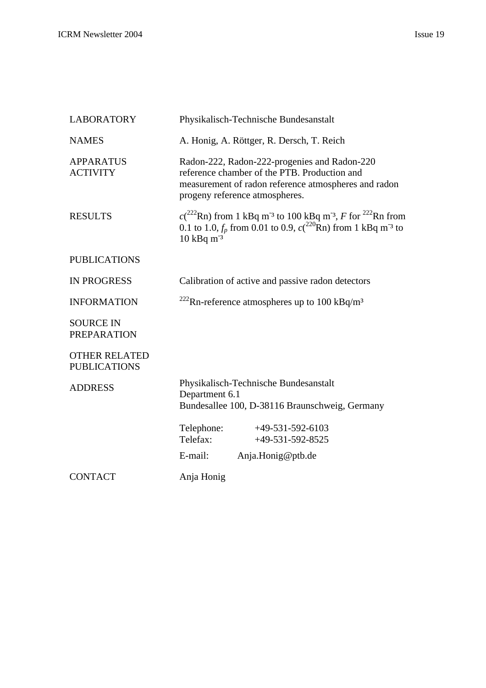| <b>LABORATORY</b>                           | Physikalisch-Technische Bundesanstalt                                                                                                                                                                              |
|---------------------------------------------|--------------------------------------------------------------------------------------------------------------------------------------------------------------------------------------------------------------------|
| <b>NAMES</b>                                | A. Honig, A. Röttger, R. Dersch, T. Reich                                                                                                                                                                          |
| <b>APPARATUS</b><br><b>ACTIVITY</b>         | Radon-222, Radon-222-progenies and Radon-220<br>reference chamber of the PTB. Production and<br>measurement of radon reference atmospheres and radon<br>progeny reference atmospheres.                             |
| <b>RESULTS</b>                              | $c(^{222}Rn)$ from 1 kBq m <sup>-3</sup> to 100 kBq m <sup>-3</sup> , F for <sup>222</sup> Rn from<br>0.1 to 1.0, $f_p$ from 0.01 to 0.9, $c(^{220}$ Rn) from 1 kBq m <sup>-3</sup> to<br>$10$ kBq m <sup>-3</sup> |
| <b>PUBLICATIONS</b>                         |                                                                                                                                                                                                                    |
| <b>IN PROGRESS</b>                          | Calibration of active and passive radon detectors                                                                                                                                                                  |
| <b>INFORMATION</b>                          | <sup>222</sup> Rn-reference atmospheres up to 100 kBq/m <sup>3</sup>                                                                                                                                               |
| <b>SOURCE IN</b><br><b>PREPARATION</b>      |                                                                                                                                                                                                                    |
| <b>OTHER RELATED</b><br><b>PUBLICATIONS</b> |                                                                                                                                                                                                                    |
| <b>ADDRESS</b>                              | Physikalisch-Technische Bundesanstalt<br>Department 6.1<br>Bundesallee 100, D-38116 Braunschweig, Germany                                                                                                          |
|                                             | Telephone:<br>$+49-531-592-6103$<br>Telefax:<br>$+49-531-592-8525$                                                                                                                                                 |
|                                             | E-mail:<br>Anja.Honig@ptb.de                                                                                                                                                                                       |
| <b>CONTACT</b>                              | Anja Honig                                                                                                                                                                                                         |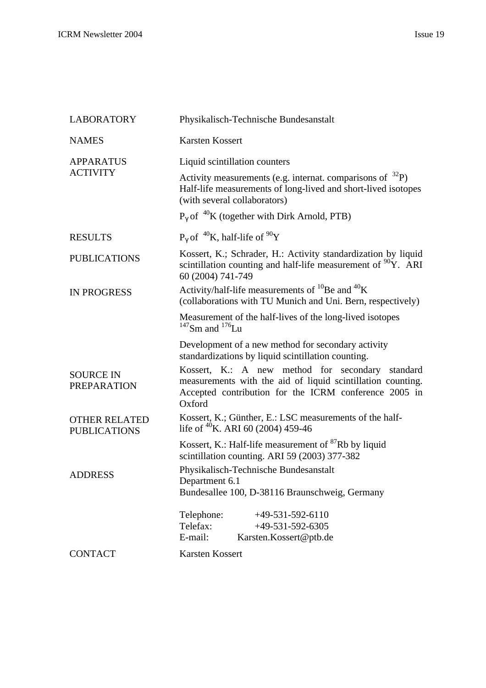| <b>LABORATORY</b>                           | Physikalisch-Technische Bundesanstalt                                                                                                                                              |
|---------------------------------------------|------------------------------------------------------------------------------------------------------------------------------------------------------------------------------------|
| <b>NAMES</b>                                | <b>Karsten Kossert</b>                                                                                                                                                             |
| <b>APPARATUS</b><br><b>ACTIVITY</b>         | Liquid scintillation counters                                                                                                                                                      |
|                                             | Activity measurements (e.g. internat. comparisons of $^{32}P$ )<br>Half-life measurements of long-lived and short-lived isotopes<br>(with several collaborators)                   |
|                                             | $P_{\gamma}$ of $^{40}$ K (together with Dirk Arnold, PTB)                                                                                                                         |
| <b>RESULTS</b>                              | $P_{\gamma}$ of <sup>40</sup> K, half-life of <sup>90</sup> Y                                                                                                                      |
| <b>PUBLICATIONS</b>                         | Kossert, K.; Schrader, H.: Activity standardization by liquid<br>scintillation counting and half-life measurement of <sup>90</sup> Y. ARI<br>60 (2004) 741-749                     |
| <b>IN PROGRESS</b>                          | Activity/half-life measurements of $^{10}$ Be and $^{40}$ K<br>(collaborations with TU Munich and Uni. Bern, respectively)                                                         |
|                                             | Measurement of the half-lives of the long-lived isotopes<br>$147$ Sm and $176$ Lu                                                                                                  |
|                                             | Development of a new method for secondary activity<br>standardizations by liquid scintillation counting.                                                                           |
| <b>SOURCE IN</b><br><b>PREPARATION</b>      | Kossert, K.: A new method for secondary standard<br>measurements with the aid of liquid scintillation counting.<br>Accepted contribution for the ICRM conference 2005 in<br>Oxford |
| <b>OTHER RELATED</b><br><b>PUBLICATIONS</b> | Kossert, K.; Günther, E.: LSC measurements of the half-<br>life of $^{40}$ K. ARI 60 (2004) 459-46                                                                                 |
|                                             | Kossert, K.: Half-life measurement of <sup>87</sup> Rb by liquid<br>scintillation counting. ARI 59 (2003) 377-382                                                                  |
| <b>ADDRESS</b>                              | Physikalisch-Technische Bundesanstalt<br>Department 6.1<br>Bundesallee 100, D-38116 Braunschweig, Germany                                                                          |
|                                             | $+49-531-592-6110$<br>Telephone:                                                                                                                                                   |
|                                             | Telefax:<br>$+49-531-592-6305$<br>E-mail:<br>Karsten.Kossert@ptb.de                                                                                                                |
| <b>CONTACT</b>                              | Karsten Kossert                                                                                                                                                                    |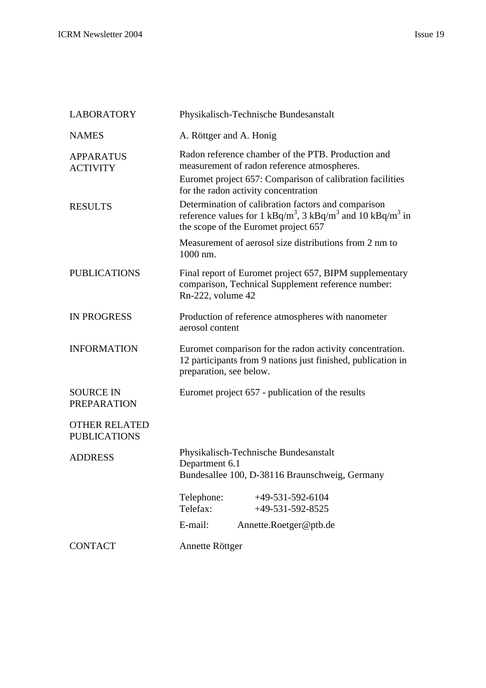| <b>LABORATORY</b>                           | Physikalisch-Technische Bundesanstalt                                                                                                                                                                  |
|---------------------------------------------|--------------------------------------------------------------------------------------------------------------------------------------------------------------------------------------------------------|
| <b>NAMES</b>                                | A. Röttger and A. Honig                                                                                                                                                                                |
| <b>APPARATUS</b><br><b>ACTIVITY</b>         | Radon reference chamber of the PTB. Production and<br>measurement of radon reference atmospheres.<br>Euromet project 657: Comparison of calibration facilities<br>for the radon activity concentration |
| <b>RESULTS</b>                              | Determination of calibration factors and comparison<br>reference values for 1 kBq/m <sup>3</sup> , 3 kBq/m <sup>3</sup> and 10 kBq/m <sup>3</sup> in<br>the scope of the Euromet project 657           |
|                                             | Measurement of aerosol size distributions from 2 nm to<br>1000 nm.                                                                                                                                     |
| <b>PUBLICATIONS</b>                         | Final report of Euromet project 657, BIPM supplementary<br>comparison, Technical Supplement reference number:<br>Rn-222, volume 42                                                                     |
| <b>IN PROGRESS</b>                          | Production of reference atmospheres with nanometer<br>aerosol content                                                                                                                                  |
| <b>INFORMATION</b>                          | Euromet comparison for the radon activity concentration.<br>12 participants from 9 nations just finished, publication in<br>preparation, see below.                                                    |
| <b>SOURCE IN</b><br><b>PREPARATION</b>      | Euromet project 657 - publication of the results                                                                                                                                                       |
| <b>OTHER RELATED</b><br><b>PUBLICATIONS</b> |                                                                                                                                                                                                        |
| <b>ADDRESS</b>                              | Physikalisch-Technische Bundesanstalt<br>Department 6.1<br>Bundesallee 100, D-38116 Braunschweig, Germany                                                                                              |
|                                             | Telephone:<br>+49-531-592-6104<br>Telefax:<br>$+49-531-592-8525$                                                                                                                                       |
|                                             | E-mail:<br>Annette.Roetger@ptb.de                                                                                                                                                                      |
| <b>CONTACT</b>                              | Annette Röttger                                                                                                                                                                                        |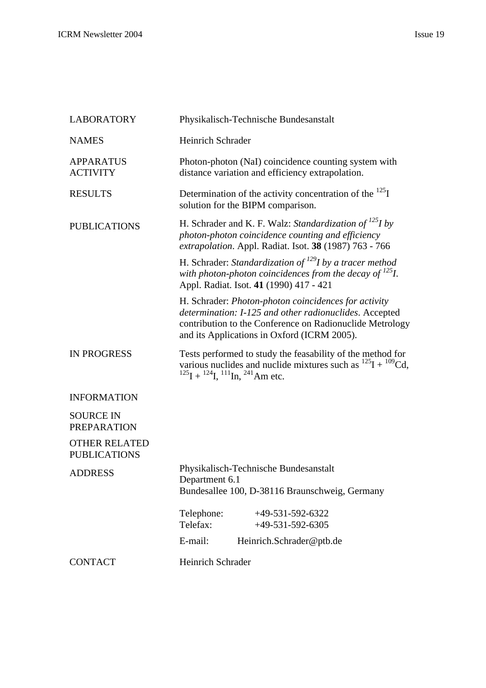| <b>LABORATORY</b>                           | Physikalisch-Technische Bundesanstalt                                                                                                                                                                                     |
|---------------------------------------------|---------------------------------------------------------------------------------------------------------------------------------------------------------------------------------------------------------------------------|
| <b>NAMES</b>                                | Heinrich Schrader                                                                                                                                                                                                         |
| <b>APPARATUS</b><br><b>ACTIVITY</b>         | Photon-photon (NaI) coincidence counting system with<br>distance variation and efficiency extrapolation.                                                                                                                  |
| <b>RESULTS</b>                              | Determination of the activity concentration of the $^{125}I$<br>solution for the BIPM comparison.                                                                                                                         |
| <b>PUBLICATIONS</b>                         | H. Schrader and K. F. Walz: Standardization of <sup>125</sup> I by<br>photon-photon coincidence counting and efficiency<br>extrapolation. Appl. Radiat. Isot. 38 (1987) 763 - 766                                         |
|                                             | H. Schrader: Standardization of $^{129}I$ by a tracer method<br>with photon-photon coincidences from the decay of $^{125}I$ .<br>Appl. Radiat. Isot. 41 (1990) 417 - 421                                                  |
|                                             | H. Schrader: Photon-photon coincidences for activity<br>determination: I-125 and other radionuclides. Accepted<br>contribution to the Conference on Radionuclide Metrology<br>and its Applications in Oxford (ICRM 2005). |
| <b>IN PROGRESS</b>                          | Tests performed to study the feasability of the method for<br>various nuclides and nuclide mixtures such as $^{125}I + ^{109}Cd$ ,<br>$^{125}$ I + $^{124}$ I, $^{111}$ In, $^{241}$ Am etc.                              |
| <b>INFORMATION</b>                          |                                                                                                                                                                                                                           |
| <b>SOURCE IN</b><br><b>PREPARATION</b>      |                                                                                                                                                                                                                           |
| <b>OTHER RELATED</b><br><b>PUBLICATIONS</b> |                                                                                                                                                                                                                           |
| <b>ADDRESS</b>                              | Physikalisch-Technische Bundesanstalt<br>Department 6.1<br>Bundesallee 100, D-38116 Braunschweig, Germany                                                                                                                 |
|                                             | Telephone:<br>$+49-531-592-6322$<br>Telefax:<br>$+49-531-592-6305$                                                                                                                                                        |
|                                             | E-mail:<br>Heinrich.Schrader@ptb.de                                                                                                                                                                                       |
| <b>CONTACT</b>                              | Heinrich Schrader                                                                                                                                                                                                         |
|                                             |                                                                                                                                                                                                                           |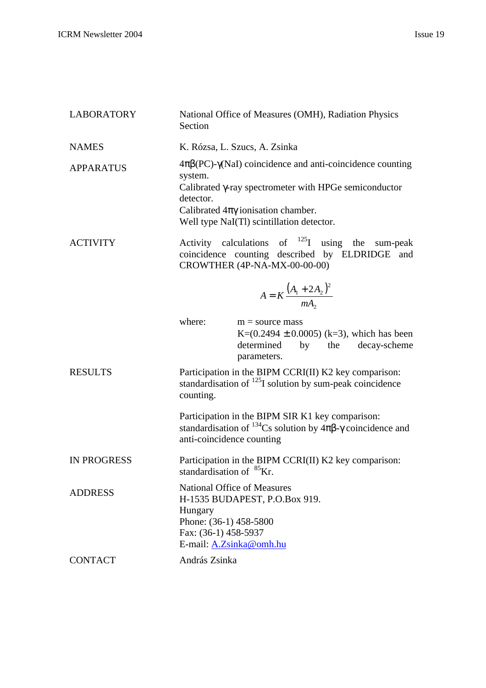| <b>LABORATORY</b>  | National Office of Measures (OMH), Radiation Physics<br>Section                                                                                                                                                                                                 |
|--------------------|-----------------------------------------------------------------------------------------------------------------------------------------------------------------------------------------------------------------------------------------------------------------|
| <b>NAMES</b>       | K. Rózsa, L. Szucs, A. Zsinka                                                                                                                                                                                                                                   |
| <b>APPARATUS</b>   | $4\pi\beta$ (PC)- $\gamma$ (NaI) coincidence and anti-coincidence counting<br>system.<br>Calibrated $\gamma$ -ray spectrometer with HPGe semiconductor<br>detector.<br>Calibrated $4\pi\gamma$ ionisation chamber.<br>Well type NaI(Tl) scintillation detector. |
| <b>ACTIVITY</b>    | Activity calculations of $^{125}I$ using the sum-peak<br>coincidence counting described by ELDRIDGE and<br>CROWTHER (4P-NA-MX-00-00-00)                                                                                                                         |
|                    | $A = K \frac{(A_1 + 2A_2)^2}{mA_2}$                                                                                                                                                                                                                             |
|                    | where:<br>$m =$ source mass<br>K= $(0.2494 \pm 0.0005)$ (k=3), which has been<br>determined<br>by the decay-scheme<br>parameters.                                                                                                                               |
| <b>RESULTS</b>     | Participation in the BIPM CCRI(II) K2 key comparison:<br>standardisation of $^{125}I$ solution by sum-peak coincidence<br>counting.                                                                                                                             |
|                    | Participation in the BIPM SIR K1 key comparison:<br>standardisation of <sup>134</sup> Cs solution by $4\pi\beta$ - $\gamma$ coincidence and<br>anti-coincidence counting                                                                                        |
| <b>IN PROGRESS</b> | Participation in the BIPM CCRI(II) K2 key comparison:<br>standardisation of <sup>85</sup> Kr.                                                                                                                                                                   |
| <b>ADDRESS</b>     | <b>National Office of Measures</b><br>H-1535 BUDAPEST, P.O.Box 919.<br>Hungary<br>Phone: (36-1) 458-5800<br>Fax: (36-1) 458-5937<br>E-mail: A.Zsinka@omh.hu                                                                                                     |
| <b>CONTACT</b>     | András Zsinka                                                                                                                                                                                                                                                   |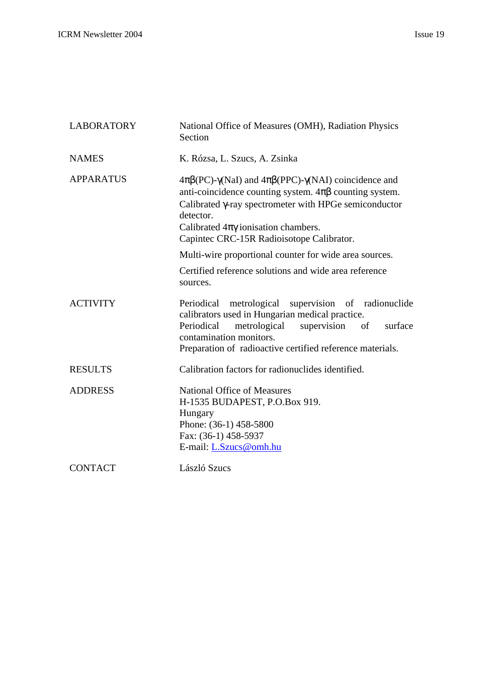| <b>LABORATORY</b> | National Office of Measures (OMH), Radiation Physics<br>Section                                                                                                                                                                                                                                                             |
|-------------------|-----------------------------------------------------------------------------------------------------------------------------------------------------------------------------------------------------------------------------------------------------------------------------------------------------------------------------|
| <b>NAMES</b>      | K. Rózsa, L. Szucs, A. Zsinka                                                                                                                                                                                                                                                                                               |
| <b>APPARATUS</b>  | $4\pi\beta$ (PC)- $\gamma$ (NaI) and $4\pi\beta$ (PPC)- $\gamma$ (NAI) coincidence and<br>anti-coincidence counting system. $4\pi\beta$ counting system.<br>Calibrated y-ray spectrometer with HPGe semiconductor<br>detector.<br>Calibrated $4\pi\gamma$ ionisation chambers.<br>Capintec CRC-15R Radioisotope Calibrator. |
|                   | Multi-wire proportional counter for wide area sources.                                                                                                                                                                                                                                                                      |
|                   | Certified reference solutions and wide area reference<br>sources.                                                                                                                                                                                                                                                           |
| <b>ACTIVITY</b>   | Periodical metrological supervision of radionuclide<br>calibrators used in Hungarian medical practice.<br>metrological<br>Periodical<br>supervision<br>of<br>surface<br>contamination monitors.<br>Preparation of radioactive certified reference materials.                                                                |
| <b>RESULTS</b>    | Calibration factors for radionuclides identified.                                                                                                                                                                                                                                                                           |
| <b>ADDRESS</b>    | <b>National Office of Measures</b><br>H-1535 BUDAPEST, P.O.Box 919.<br>Hungary<br>Phone: (36-1) 458-5800<br>Fax: (36-1) 458-5937<br>E-mail: L.Szucs@omh.hu                                                                                                                                                                  |
| <b>CONTACT</b>    | László Szucs                                                                                                                                                                                                                                                                                                                |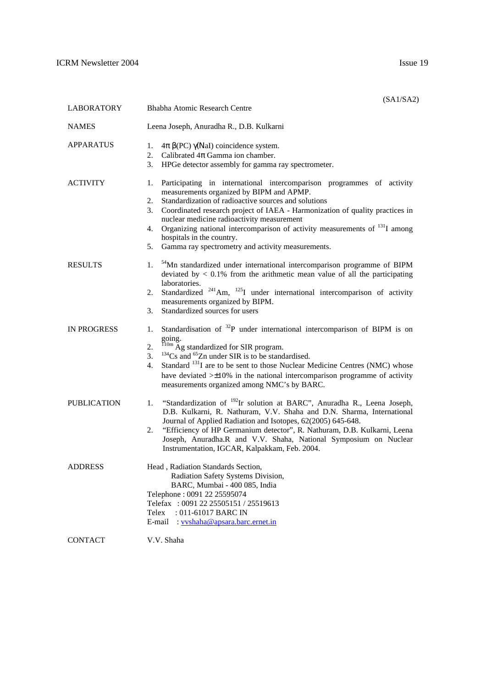|                    | (SA1/SA2)                                                                                                                                                                                                                                                                                                                                                                                                                                                                                                         |
|--------------------|-------------------------------------------------------------------------------------------------------------------------------------------------------------------------------------------------------------------------------------------------------------------------------------------------------------------------------------------------------------------------------------------------------------------------------------------------------------------------------------------------------------------|
| <b>LABORATORY</b>  | Bhabha Atomic Research Centre                                                                                                                                                                                                                                                                                                                                                                                                                                                                                     |
| <b>NAMES</b>       | Leena Joseph, Anuradha R., D.B. Kulkarni                                                                                                                                                                                                                                                                                                                                                                                                                                                                          |
| <b>APPARATUS</b>   | 1.<br>$4\pi \beta$ (PC) $\gamma$ (NaI) coincidence system.<br>2.<br>Calibrated $4\pi$ Gamma ion chamber.<br>3.<br>HPGe detector assembly for gamma ray spectrometer.                                                                                                                                                                                                                                                                                                                                              |
| <b>ACTIVITY</b>    | Participating in international intercomparison programmes of activity<br>1.<br>measurements organized by BIPM and APMP.<br>2.<br>Standardization of radioactive sources and solutions<br>Coordinated research project of IAEA - Harmonization of quality practices in<br>3.<br>nuclear medicine radioactivity measurement<br>Organizing national intercomparison of activity measurements of <sup>131</sup> I among<br>4.<br>hospitals in the country.<br>Gamma ray spectrometry and activity measurements.<br>5. |
| <b>RESULTS</b>     | <sup>54</sup> Mn standardized under international intercomparison programme of BIPM<br>1.<br>deviated by $< 0.1\%$ from the arithmetic mean value of all the participating<br>laboratories.<br>Standardized $^{241}$ Am, $^{125}$ I under international intercomparison of activity<br>2.<br>measurements organized by BIPM.<br>Standardized sources for users<br>3.                                                                                                                                              |
| <b>IN PROGRESS</b> | Standardisation of $32P$ under international intercomparison of BIPM is on<br>1.<br>going.<br>$\frac{100m}{\text{Ag}}$ Ag standardized for SIR program.<br>2.<br>$134$ Cs and <sup>65</sup> Zn under SIR is to be standardised.<br>3.<br>Standard <sup>131</sup> I are to be sent to those Nuclear Medicine Centres (NMC) whose<br>4.<br>have deviated $> \pm 10\%$ in the national intercomparison programme of activity<br>measurements organized among NMC's by BARC.                                          |
| <b>PUBLICATION</b> | "Standardization of <sup>192</sup> Ir solution at BARC", Anuradha R., Leena Joseph,<br>1.<br>D.B. Kulkarni, R. Nathuram, V.V. Shaha and D.N. Sharma, International<br>Journal of Applied Radiation and Isotopes, 62(2005) 645-648.<br>2.<br>"Efficiency of HP Germanium detector", R. Nathuram, D.B. Kulkarni, Leena<br>Joseph, Anuradha.R and V.V. Shaha, National Symposium on Nuclear<br>Instrumentation, IGCAR, Kalpakkam, Feb. 2004.                                                                         |
| <b>ADDRESS</b>     | Head, Radiation Standards Section,<br>Radiation Safety Systems Division,<br>BARC, Mumbai - 400 085, India<br>Telephone: 0091 22 25595074<br>Telefax: 0091 22 25505151 / 25519613<br>: 011-61017 BARC IN<br>Telex                                                                                                                                                                                                                                                                                                  |

E-mail : vvshaha@apsara.barc.ernet.in

CONTACT V.V. Shaha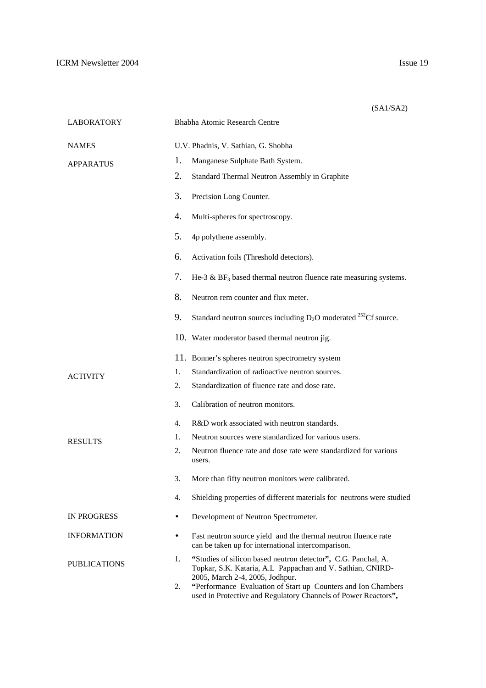|                     |           | (SA1/SA2)                                                                                                                                                          |
|---------------------|-----------|--------------------------------------------------------------------------------------------------------------------------------------------------------------------|
| <b>LABORATORY</b>   |           | Bhabha Atomic Research Centre                                                                                                                                      |
| <b>NAMES</b>        |           | U.V. Phadnis, V. Sathian, G. Shobha                                                                                                                                |
| <b>APPARATUS</b>    | 1.        | Manganese Sulphate Bath System.                                                                                                                                    |
|                     | 2.        | Standard Thermal Neutron Assembly in Graphite                                                                                                                      |
|                     | 3.        | Precision Long Counter.                                                                                                                                            |
|                     | 4.        | Multi-spheres for spectroscopy.                                                                                                                                    |
|                     | 5.        | 4p polythene assembly.                                                                                                                                             |
|                     | 6.        | Activation foils (Threshold detectors).                                                                                                                            |
|                     | 7.        | He-3 $\&$ BF <sub>3</sub> based thermal neutron fluence rate measuring systems.                                                                                    |
|                     | 8.        | Neutron rem counter and flux meter.                                                                                                                                |
|                     | 9.        | Standard neutron sources including $D_2O$ moderated <sup>252</sup> Cf source.                                                                                      |
|                     |           | 10. Water moderator based thermal neutron jig.                                                                                                                     |
|                     |           | 11. Bonner's spheres neutron spectrometry system                                                                                                                   |
| ACTIVITY            | 1.        | Standardization of radioactive neutron sources.                                                                                                                    |
|                     | 2.        | Standardization of fluence rate and dose rate.                                                                                                                     |
|                     | 3.        | Calibration of neutron monitors.                                                                                                                                   |
|                     | 4.        | R&D work associated with neutron standards.                                                                                                                        |
| <b>RESULTS</b>      | 1.        | Neutron sources were standardized for various users.                                                                                                               |
|                     | 2.        | Neutron fluence rate and dose rate were standardized for various<br>users.                                                                                         |
|                     | 3.        | More than fifty neutron monitors were calibrated.                                                                                                                  |
|                     | 4.        | Shielding properties of different materials for neutrons were studied                                                                                              |
| <b>IN PROGRESS</b>  | $\bullet$ | Development of Neutron Spectrometer.                                                                                                                               |
| <b>INFORMATION</b>  | $\bullet$ | Fast neutron source yield and the thermal neutron fluence rate<br>can be taken up for international intercomparison.                                               |
| <b>PUBLICATIONS</b> | 1.        | "Studies of silicon based neutron detector", C.G. Panchal, A.<br>Topkar, S.K. Kataria, A.L Pappachan and V. Sathian, CNIRD-                                        |
|                     | 2.        | 2005, March 2-4, 2005, Jodhpur.<br>"Performance Evaluation of Start up Counters and Ion Chambers<br>used in Protective and Regulatory Channels of Power Reactors", |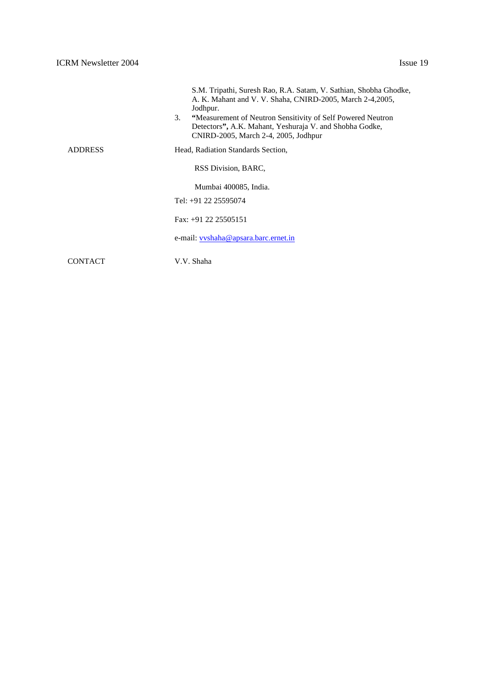|                | S.M. Tripathi, Suresh Rao, R.A. Satam, V. Sathian, Shobha Ghodke,<br>A. K. Mahant and V. V. Shaha, CNIRD-2005, March 2-4,2005,<br>Jodhpur.<br>3.<br>"Measurement of Neutron Sensitivity of Self Powered Neutron<br>Detectors", A.K. Mahant, Yeshuraja V. and Shobha Godke,<br>CNIRD-2005, March 2-4, 2005, Jodhpur |
|----------------|--------------------------------------------------------------------------------------------------------------------------------------------------------------------------------------------------------------------------------------------------------------------------------------------------------------------|
| <b>ADDRESS</b> | Head, Radiation Standards Section,                                                                                                                                                                                                                                                                                 |
|                | RSS Division, BARC,                                                                                                                                                                                                                                                                                                |
|                | Mumbai 400085, India.                                                                                                                                                                                                                                                                                              |
|                | Tel: +91 22 25595074                                                                                                                                                                                                                                                                                               |
|                | Fax: $+91$ 22 25505151                                                                                                                                                                                                                                                                                             |
|                | e-mail: vyshaha@apsara.barc.ernet.in                                                                                                                                                                                                                                                                               |
| CONTACT        | V.V. Shaha                                                                                                                                                                                                                                                                                                         |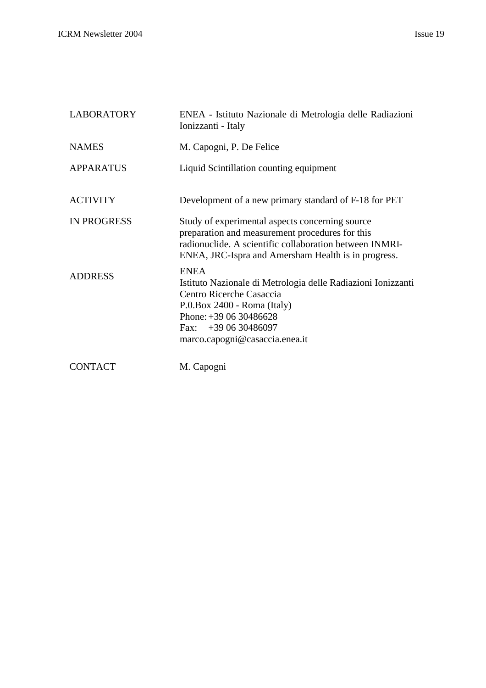| <b>LABORATORY</b>  | ENEA - Istituto Nazionale di Metrologia delle Radiazioni<br>Ionizzanti - Italy                                                                                                                                             |
|--------------------|----------------------------------------------------------------------------------------------------------------------------------------------------------------------------------------------------------------------------|
| <b>NAMES</b>       | M. Capogni, P. De Felice                                                                                                                                                                                                   |
| <b>APPARATUS</b>   | Liquid Scintillation counting equipment                                                                                                                                                                                    |
| <b>ACTIVITY</b>    | Development of a new primary standard of F-18 for PET                                                                                                                                                                      |
| <b>IN PROGRESS</b> | Study of experimental aspects concerning source<br>preparation and measurement procedures for this<br>radionuclide. A scientific collaboration between INMRI-<br>ENEA, JRC-Ispra and Amersham Health is in progress.       |
| <b>ADDRESS</b>     | <b>ENEA</b><br>Istituto Nazionale di Metrologia delle Radiazioni Ionizzanti<br>Centro Ricerche Casaccia<br>P.0.Box 2400 - Roma (Italy)<br>Phone: $+390630486628$<br>Fax: $+390630486097$<br>marco.capogni@casaccia.enea.it |
| <b>CONTACT</b>     | M. Capogni                                                                                                                                                                                                                 |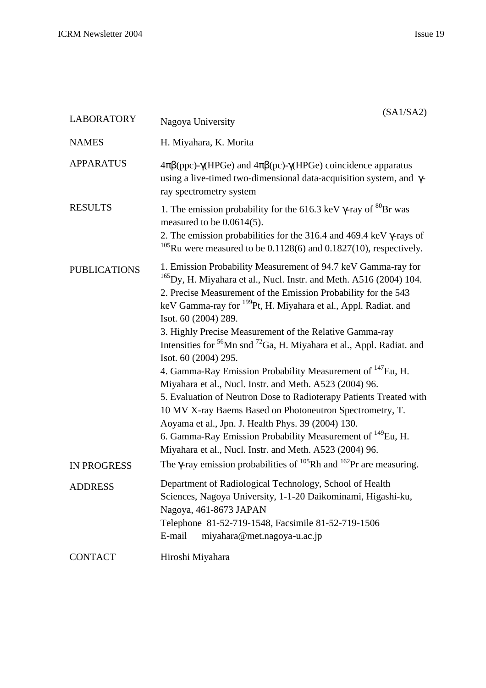| <b>LABORATORY</b>   | (SA1/SA2)<br>Nagoya University                                                                                                                                                                                                                                                                                                                                                                                                                                                                                                                                                                                                                                                                                                                                                                                                                                                                                                                                         |
|---------------------|------------------------------------------------------------------------------------------------------------------------------------------------------------------------------------------------------------------------------------------------------------------------------------------------------------------------------------------------------------------------------------------------------------------------------------------------------------------------------------------------------------------------------------------------------------------------------------------------------------------------------------------------------------------------------------------------------------------------------------------------------------------------------------------------------------------------------------------------------------------------------------------------------------------------------------------------------------------------|
| <b>NAMES</b>        | H. Miyahara, K. Morita                                                                                                                                                                                                                                                                                                                                                                                                                                                                                                                                                                                                                                                                                                                                                                                                                                                                                                                                                 |
| <b>APPARATUS</b>    | $4\pi\beta$ (ppc)- $\gamma$ (HPGe) and $4\pi\beta$ (pc)- $\gamma$ (HPGe) coincidence apparatus<br>using a live-timed two-dimensional data-acquisition system, and $\gamma$ -<br>ray spectrometry system                                                                                                                                                                                                                                                                                                                                                                                                                                                                                                                                                                                                                                                                                                                                                                |
| <b>RESULTS</b>      | 1. The emission probability for the 616.3 keV $\gamma$ -ray of ${}^{80}Br$ was<br>measured to be $0.0614(5)$ .<br>2. The emission probabilities for the 316.4 and 469.4 keV $\gamma$ -rays of<br><sup>105</sup> Ru were measured to be 0.1128(6) and 0.1827(10), respectively.                                                                                                                                                                                                                                                                                                                                                                                                                                                                                                                                                                                                                                                                                         |
| <b>PUBLICATIONS</b> | 1. Emission Probability Measurement of 94.7 keV Gamma-ray for<br>$^{165}$ Dy, H. Miyahara et al., Nucl. Instr. and Meth. A516 (2004) 104.<br>2. Precise Measurement of the Emission Probability for the 543<br>keV Gamma-ray for <sup>199</sup> Pt, H. Miyahara et al., Appl. Radiat. and<br>Isot. 60 (2004) 289.<br>3. Highly Precise Measurement of the Relative Gamma-ray<br>Intensities for <sup>56</sup> Mn snd <sup>72</sup> Ga, H. Miyahara et al., Appl. Radiat. and<br>Isot. 60 (2004) 295.<br>4. Gamma-Ray Emission Probability Measurement of <sup>147</sup> Eu, H.<br>Miyahara et al., Nucl. Instr. and Meth. A523 (2004) 96.<br>5. Evaluation of Neutron Dose to Radioterapy Patients Treated with<br>10 MV X-ray Baems Based on Photoneutron Spectrometry, T.<br>Aoyama et al., Jpn. J. Health Phys. 39 (2004) 130.<br>6. Gamma-Ray Emission Probability Measurement of <sup>149</sup> Eu, H.<br>Miyahara et al., Nucl. Instr. and Meth. A523 (2004) 96. |
| <b>IN PROGRESS</b>  | The $\gamma$ -ray emission probabilities of <sup>105</sup> Rh and <sup>162</sup> Pr are measuring.                                                                                                                                                                                                                                                                                                                                                                                                                                                                                                                                                                                                                                                                                                                                                                                                                                                                     |
| <b>ADDRESS</b>      | Department of Radiological Technology, School of Health<br>Sciences, Nagoya University, 1-1-20 Daikominami, Higashi-ku,<br>Nagoya, 461-8673 JAPAN<br>Telephone 81-52-719-1548, Facsimile 81-52-719-1506<br>E-mail<br>miyahara@met.nagoya-u.ac.jp                                                                                                                                                                                                                                                                                                                                                                                                                                                                                                                                                                                                                                                                                                                       |
| <b>CONTACT</b>      | Hiroshi Miyahara                                                                                                                                                                                                                                                                                                                                                                                                                                                                                                                                                                                                                                                                                                                                                                                                                                                                                                                                                       |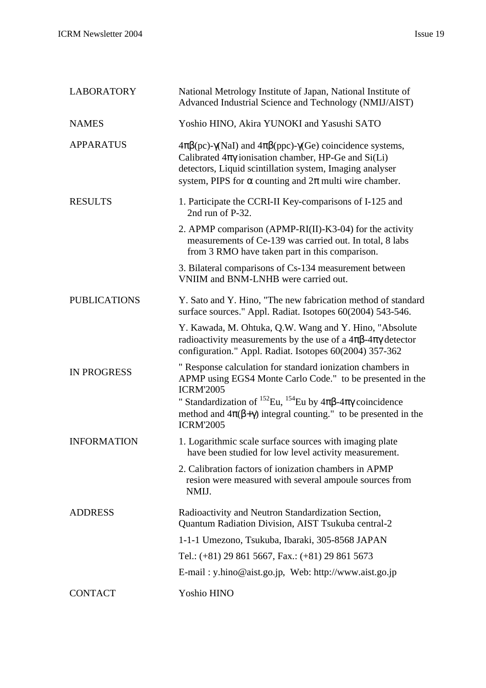| <b>LABORATORY</b>   | National Metrology Institute of Japan, National Institute of<br>Advanced Industrial Science and Technology (NMIJ/AIST)                                                                                                                                                                                                                               |
|---------------------|------------------------------------------------------------------------------------------------------------------------------------------------------------------------------------------------------------------------------------------------------------------------------------------------------------------------------------------------------|
| <b>NAMES</b>        | Yoshio HINO, Akira YUNOKI and Yasushi SATO                                                                                                                                                                                                                                                                                                           |
| <b>APPARATUS</b>    | $4\pi\beta$ (pc)- $\gamma$ (NaI) and $4\pi\beta$ (ppc)- $\gamma$ (Ge) coincidence systems,<br>Calibrated $4\pi\gamma$ ionisation chamber, HP-Ge and Si(Li)<br>detectors, Liquid scintillation system, Imaging analyser<br>system, PIPS for $\alpha$ counting and $2\pi$ multi wire chamber.                                                          |
| <b>RESULTS</b>      | 1. Participate the CCRI-II Key-comparisons of I-125 and<br>2nd run of P-32.                                                                                                                                                                                                                                                                          |
|                     | 2. APMP comparison (APMP-RI(II)-K3-04) for the activity<br>measurements of Ce-139 was carried out. In total, 8 labs<br>from 3 RMO have taken part in this comparison.                                                                                                                                                                                |
|                     | 3. Bilateral comparisons of Cs-134 measurement between<br>VNIIM and BNM-LNHB were carried out.                                                                                                                                                                                                                                                       |
| <b>PUBLICATIONS</b> | Y. Sato and Y. Hino, "The new fabrication method of standard<br>surface sources." Appl. Radiat. Isotopes 60(2004) 543-546.                                                                                                                                                                                                                           |
|                     | Y. Kawada, M. Ohtuka, Q.W. Wang and Y. Hino, "Absolute<br>radioactivity measurements by the use of a $4\pi\beta$ - $4\pi\gamma$ detector<br>configuration." Appl. Radiat. Isotopes 60(2004) 357-362                                                                                                                                                  |
| <b>IN PROGRESS</b>  | " Response calculation for standard ionization chambers in<br>APMP using EGS4 Monte Carlo Code." to be presented in the<br><b>ICRM'2005</b><br>" Standardization of <sup>152</sup> Eu, <sup>154</sup> Eu by $4\pi\beta$ - $4\pi\gamma$ coincidence<br>method and $4\pi(\beta+\gamma)$ integral counting." to be presented in the<br><b>ICRM'2005</b> |
| <b>INFORMATION</b>  | 1. Logarithmic scale surface sources with imaging plate<br>have been studied for low level activity measurement.                                                                                                                                                                                                                                     |
|                     | 2. Calibration factors of ionization chambers in APMP<br>resion were measured with several ampoule sources from<br>NMIJ.                                                                                                                                                                                                                             |
| <b>ADDRESS</b>      | Radioactivity and Neutron Standardization Section,<br>Quantum Radiation Division, AIST Tsukuba central-2                                                                                                                                                                                                                                             |
|                     | 1-1-1 Umezono, Tsukuba, Ibaraki, 305-8568 JAPAN                                                                                                                                                                                                                                                                                                      |
|                     | Tel.: (+81) 29 861 5667, Fax.: (+81) 29 861 5673                                                                                                                                                                                                                                                                                                     |
|                     | E-mail: y.hino@aist.go.jp, Web: http://www.aist.go.jp                                                                                                                                                                                                                                                                                                |
| <b>CONTACT</b>      | Yoshio HINO                                                                                                                                                                                                                                                                                                                                          |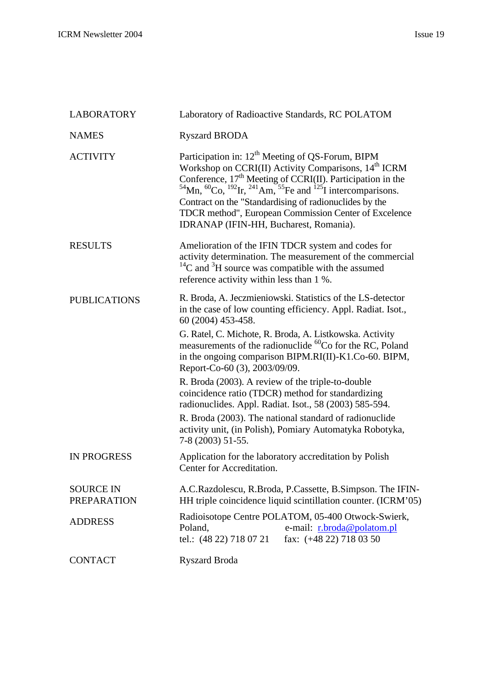| <b>LABORATORY</b>                      | Laboratory of Radioactive Standards, RC POLATOM                                                                                                                                                                                                                                                                                                                                                                                                                                                              |
|----------------------------------------|--------------------------------------------------------------------------------------------------------------------------------------------------------------------------------------------------------------------------------------------------------------------------------------------------------------------------------------------------------------------------------------------------------------------------------------------------------------------------------------------------------------|
| <b>NAMES</b>                           | <b>Ryszard BRODA</b>                                                                                                                                                                                                                                                                                                                                                                                                                                                                                         |
| <b>ACTIVITY</b>                        | Participation in: 12 <sup>th</sup> Meeting of QS-Forum, BIPM<br>Workshop on CCRI(II) Activity Comparisons, 14 <sup>th</sup> ICRM<br>Conference, 17 <sup>th</sup> Meeting of CCRI(II). Participation in the<br><sup>54</sup> Mn, <sup>60</sup> Co, <sup>192</sup> Ir, <sup>241</sup> Am, <sup>55</sup> Fe and <sup>125</sup> I intercomparisons.<br>Contract on the "Standardising of radionuclides by the<br>TDCR method", European Commission Center of Excelence<br>IDRANAP (IFIN-HH, Bucharest, Romania). |
| <b>RESULTS</b>                         | Amelioration of the IFIN TDCR system and codes for<br>activity determination. The measurement of the commercial<br>$^{14}$ C and $^{3}$ H source was compatible with the assumed<br>reference activity within less than 1 %.                                                                                                                                                                                                                                                                                 |
| <b>PUBLICATIONS</b>                    | R. Broda, A. Jeczmieniowski. Statistics of the LS-detector<br>in the case of low counting efficiency. Appl. Radiat. Isot.,<br>60 (2004) 453-458.                                                                                                                                                                                                                                                                                                                                                             |
|                                        | G. Ratel, C. Michote, R. Broda, A. Listkowska. Activity<br>measurements of the radionuclide <sup>60</sup> Co for the RC, Poland<br>in the ongoing comparison BIPM.RI(II)-K1.Co-60. BIPM,<br>Report-Co-60 (3), 2003/09/09.                                                                                                                                                                                                                                                                                    |
|                                        | R. Broda (2003). A review of the triple-to-double<br>coincidence ratio (TDCR) method for standardizing<br>radionuclides. Appl. Radiat. Isot., 58 (2003) 585-594.                                                                                                                                                                                                                                                                                                                                             |
|                                        | R. Broda (2003). The national standard of radionuclide<br>activity unit, (in Polish), Pomiary Automatyka Robotyka,<br>7-8 (2003) 51-55.                                                                                                                                                                                                                                                                                                                                                                      |
| <b>IN PROGRESS</b>                     | Application for the laboratory accreditation by Polish<br>Center for Accreditation.                                                                                                                                                                                                                                                                                                                                                                                                                          |
| <b>SOURCE IN</b><br><b>PREPARATION</b> | A.C.Razdolescu, R.Broda, P.Cassette, B.Simpson. The IFIN-<br>HH triple coincidence liquid scintillation counter. (ICRM'05)                                                                                                                                                                                                                                                                                                                                                                                   |
| <b>ADDRESS</b>                         | Radioisotope Centre POLATOM, 05-400 Otwock-Swierk,<br>e-mail: r.broda@polatom.pl<br>Poland,<br>tel.: (48 22) 718 07 21<br>fax: $(+48\ 22)\ 718\ 03\ 50$                                                                                                                                                                                                                                                                                                                                                      |
| <b>CONTACT</b>                         | <b>Ryszard Broda</b>                                                                                                                                                                                                                                                                                                                                                                                                                                                                                         |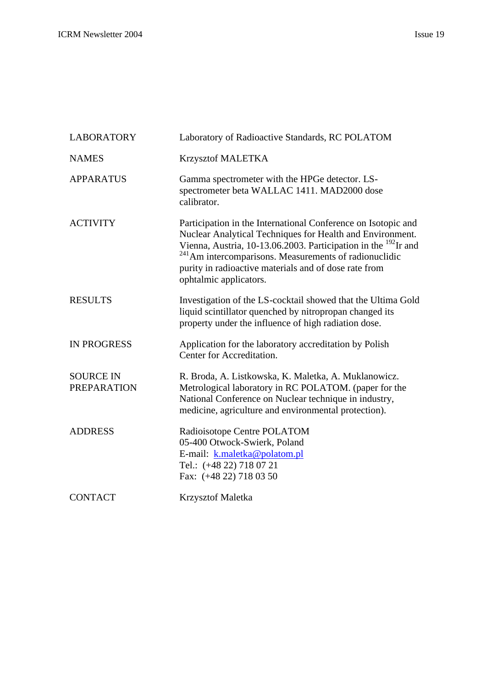| <b>LABORATORY</b>                      | Laboratory of Radioactive Standards, RC POLATOM                                                                                                                                                                                                                                                                                                                  |
|----------------------------------------|------------------------------------------------------------------------------------------------------------------------------------------------------------------------------------------------------------------------------------------------------------------------------------------------------------------------------------------------------------------|
| <b>NAMES</b>                           | Krzysztof MALETKA                                                                                                                                                                                                                                                                                                                                                |
| <b>APPARATUS</b>                       | Gamma spectrometer with the HPGe detector. LS-<br>spectrometer beta WALLAC 1411. MAD2000 dose<br>calibrator.                                                                                                                                                                                                                                                     |
| <b>ACTIVITY</b>                        | Participation in the International Conference on Isotopic and<br>Nuclear Analytical Techniques for Health and Environment.<br>Vienna, Austria, 10-13.06.2003. Participation in the <sup>192</sup> Ir and<br><sup>241</sup> Am intercomparisons. Measurements of radionuclidic<br>purity in radioactive materials and of dose rate from<br>ophtalmic applicators. |
| <b>RESULTS</b>                         | Investigation of the LS-cocktail showed that the Ultima Gold<br>liquid scintillator quenched by nitropropan changed its<br>property under the influence of high radiation dose.                                                                                                                                                                                  |
| <b>IN PROGRESS</b>                     | Application for the laboratory accreditation by Polish<br>Center for Accreditation.                                                                                                                                                                                                                                                                              |
| <b>SOURCE IN</b><br><b>PREPARATION</b> | R. Broda, A. Listkowska, K. Maletka, A. Muklanowicz.<br>Metrological laboratory in RC POLATOM. (paper for the<br>National Conference on Nuclear technique in industry,<br>medicine, agriculture and environmental protection).                                                                                                                                   |
| <b>ADDRESS</b>                         | Radioisotope Centre POLATOM<br>05-400 Otwock-Swierk, Poland<br>E-mail: k.maletka@polatom.pl<br>Tel.: (+48 22) 718 07 21<br>Fax: (+48 22) 718 03 50                                                                                                                                                                                                               |
| <b>CONTACT</b>                         | <b>Krzysztof Maletka</b>                                                                                                                                                                                                                                                                                                                                         |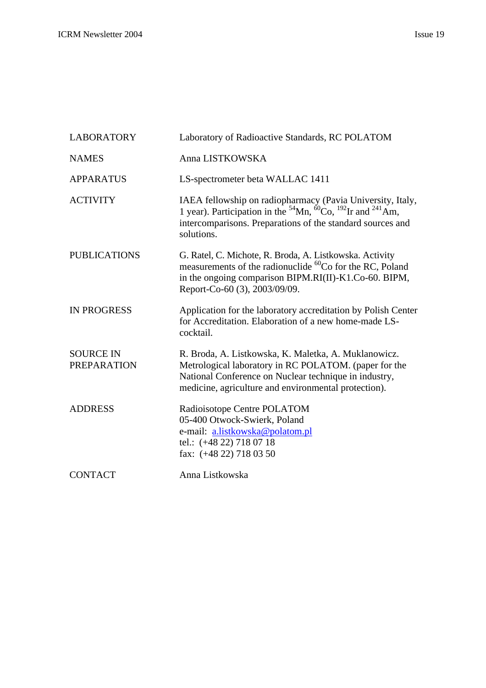| <b>LABORATORY</b>                      | Laboratory of Radioactive Standards, RC POLATOM                                                                                                                                                                                      |
|----------------------------------------|--------------------------------------------------------------------------------------------------------------------------------------------------------------------------------------------------------------------------------------|
| <b>NAMES</b>                           | Anna LISTKOWSKA                                                                                                                                                                                                                      |
| <b>APPARATUS</b>                       | LS-spectrometer beta WALLAC 1411                                                                                                                                                                                                     |
| <b>ACTIVITY</b>                        | IAEA fellowship on radiopharmacy (Pavia University, Italy,<br>1 year). Participation in the ${}^{54}$ Mn, ${}^{60}$ Co, ${}^{192}$ Ir and ${}^{241}$ Am,<br>intercomparisons. Preparations of the standard sources and<br>solutions. |
| <b>PUBLICATIONS</b>                    | G. Ratel, C. Michote, R. Broda, A. Listkowska. Activity<br>measurements of the radionuclide <sup>60</sup> Co for the RC, Poland<br>in the ongoing comparison BIPM.RI(II)-K1.Co-60. BIPM,<br>Report-Co-60 (3), 2003/09/09.            |
| <b>IN PROGRESS</b>                     | Application for the laboratory accreditation by Polish Center<br>for Accreditation. Elaboration of a new home-made LS-<br>cocktail.                                                                                                  |
| <b>SOURCE IN</b><br><b>PREPARATION</b> | R. Broda, A. Listkowska, K. Maletka, A. Muklanowicz.<br>Metrological laboratory in RC POLATOM. (paper for the<br>National Conference on Nuclear technique in industry,<br>medicine, agriculture and environmental protection).       |
| <b>ADDRESS</b>                         | Radioisotope Centre POLATOM<br>05-400 Otwock-Swierk, Poland<br>e-mail: a.listkowska@polatom.pl<br>tel.: $(+48\ 22)\ 718\ 07\ 18$<br>fax: $(+48\ 22)\ 718\ 03\ 50$                                                                    |
| <b>CONTACT</b>                         | Anna Listkowska                                                                                                                                                                                                                      |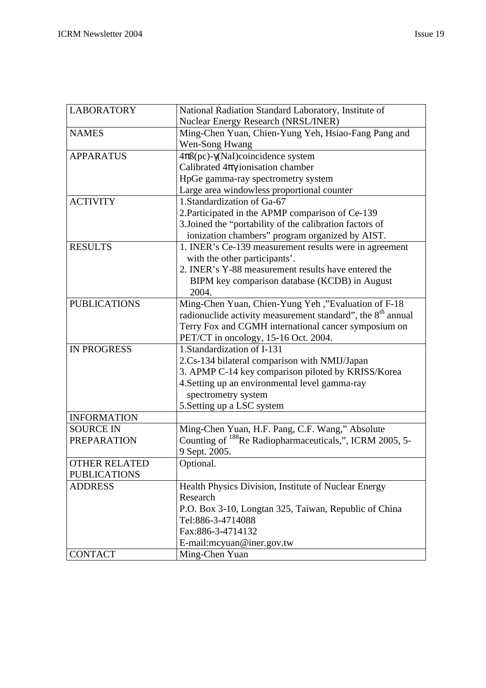| <b>LABORATORY</b>    | National Radiation Standard Laboratory, Institute of                    |
|----------------------|-------------------------------------------------------------------------|
|                      | Nuclear Energy Research (NRSL/INER)                                     |
| <b>NAMES</b>         | Ming-Chen Yuan, Chien-Yung Yeh, Hsiao-Fang Pang and                     |
|                      | Wen-Song Hwang                                                          |
| <b>APPARATUS</b>     | $4\pi\beta$ (pc)- $\gamma$ (NaI)coincidence system                      |
|                      | Calibrated $4\pi\gamma$ ionisation chamber                              |
|                      | HpGe gamma-ray spectrometry system                                      |
|                      | Large area windowless proportional counter                              |
| <b>ACTIVITY</b>      | 1.Standardization of Ga-67                                              |
|                      | 2. Participated in the APMP comparison of Ce-139                        |
|                      | 3. Joined the "portability of the calibration factors of                |
|                      | ionization chambers" program organized by AIST.                         |
| <b>RESULTS</b>       | 1. INER's Ce-139 measurement results were in agreement                  |
|                      | with the other participants'.                                           |
|                      | 2. INER's Y-88 measurement results have entered the                     |
|                      | BIPM key comparison database (KCDB) in August                           |
|                      | 2004.                                                                   |
| <b>PUBLICATIONS</b>  | Ming-Chen Yuan, Chien-Yung Yeh,"Evaluation of F-18                      |
|                      | radionuclide activity measurement standard", the 8 <sup>th</sup> annual |
|                      | Terry Fox and CGMH international cancer symposium on                    |
|                      | PET/CT in oncology, 15-16 Oct. 2004.                                    |
| <b>IN PROGRESS</b>   | 1. Standardization of I-131                                             |
|                      | 2.Cs-134 bilateral comparison with NMIJ/Japan                           |
|                      | 3. APMP C-14 key comparison piloted by KRISS/Korea                      |
|                      | 4. Setting up an environmental level gamma-ray                          |
|                      | spectrometry system                                                     |
|                      | 5. Setting up a LSC system                                              |
| <b>INFORMATION</b>   |                                                                         |
| <b>SOURCE IN</b>     | Ming-Chen Yuan, H.F. Pang, C.F. Wang," Absolute                         |
| <b>PREPARATION</b>   | Counting of <sup>188</sup> Re Radiopharmaceuticals,", ICRM 2005, 5-     |
|                      | 9 Sept. 2005.                                                           |
| <b>OTHER RELATED</b> | Optional.                                                               |
| <b>PUBLICATIONS</b>  |                                                                         |
| <b>ADDRESS</b>       | Health Physics Division, Institute of Nuclear Energy                    |
|                      | Research                                                                |
|                      | P.O. Box 3-10, Longtan 325, Taiwan, Republic of China                   |
|                      | Tel:886-3-4714088                                                       |
|                      | Fax:886-3-4714132                                                       |
|                      | E-mail:mcyuan@iner.gov.tw                                               |
| <b>CONTACT</b>       | Ming-Chen Yuan                                                          |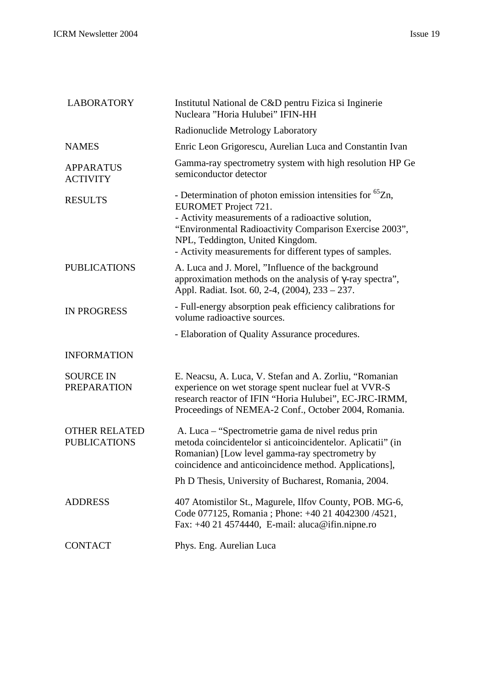| <b>LABORATORY</b>                           | Institutul National de C&D pentru Fizica si Inginerie<br>Nucleara "Horia Hulubei" IFIN-HH                                                                                                                                                                                                                           |
|---------------------------------------------|---------------------------------------------------------------------------------------------------------------------------------------------------------------------------------------------------------------------------------------------------------------------------------------------------------------------|
|                                             | Radionuclide Metrology Laboratory                                                                                                                                                                                                                                                                                   |
| <b>NAMES</b>                                | Enric Leon Grigorescu, Aurelian Luca and Constantin Ivan                                                                                                                                                                                                                                                            |
| <b>APPARATUS</b><br><b>ACTIVITY</b>         | Gamma-ray spectrometry system with high resolution HP Ge<br>semiconductor detector                                                                                                                                                                                                                                  |
| <b>RESULTS</b>                              | - Determination of photon emission intensities for <sup>65</sup> Zn,<br><b>EUROMET Project 721.</b><br>- Activity measurements of a radioactive solution,<br>"Environmental Radioactivity Comparison Exercise 2003",<br>NPL, Teddington, United Kingdom.<br>- Activity measurements for different types of samples. |
| <b>PUBLICATIONS</b>                         | A. Luca and J. Morel, "Influence of the background<br>approximation methods on the analysis of $\gamma$ -ray spectra",<br>Appl. Radiat. Isot. 60, 2-4, (2004), 233 - 237.                                                                                                                                           |
| <b>IN PROGRESS</b>                          | - Full-energy absorption peak efficiency calibrations for<br>volume radioactive sources.                                                                                                                                                                                                                            |
|                                             | - Elaboration of Quality Assurance procedures.                                                                                                                                                                                                                                                                      |
| <b>INFORMATION</b>                          |                                                                                                                                                                                                                                                                                                                     |
| <b>SOURCE IN</b><br><b>PREPARATION</b>      | E. Neacsu, A. Luca, V. Stefan and A. Zorliu, "Romanian<br>experience on wet storage spent nuclear fuel at VVR-S<br>research reactor of IFIN "Horia Hulubei", EC-JRC-IRMM,<br>Proceedings of NEMEA-2 Conf., October 2004, Romania.                                                                                   |
| <b>OTHER RELATED</b><br><b>PUBLICATIONS</b> | A. Luca – "Spectrometrie gama de nivel redus prin<br>metoda coincidentelor si anticoincidentelor. Aplicatii" (in<br>Romanian) [Low level gamma-ray spectrometry by<br>coincidence and anticoincidence method. Applications],                                                                                        |
|                                             | Ph D Thesis, University of Bucharest, Romania, 2004.                                                                                                                                                                                                                                                                |
| <b>ADDRESS</b>                              | 407 Atomistilor St., Magurele, Ilfov County, POB. MG-6,<br>Code 077125, Romania ; Phone: +40 21 4042300 /4521,<br>Fax: $+40$ 21 4574440, E-mail: aluca@ifin.nipne.ro                                                                                                                                                |
| <b>CONTACT</b>                              | Phys. Eng. Aurelian Luca                                                                                                                                                                                                                                                                                            |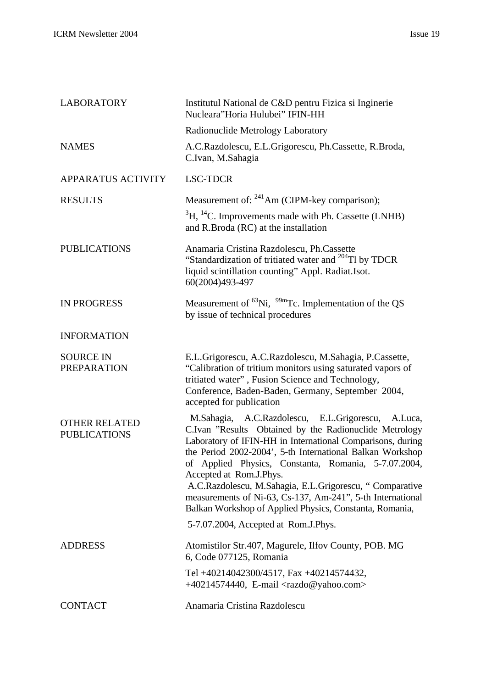| <b>LABORATORY</b>                           | Institutul National de C&D pentru Fizica si Inginerie<br>Nucleara"Horia Hulubei" IFIN-HH                                                                                                                                                                                                                                                                                                                                                                                                                                                                  |
|---------------------------------------------|-----------------------------------------------------------------------------------------------------------------------------------------------------------------------------------------------------------------------------------------------------------------------------------------------------------------------------------------------------------------------------------------------------------------------------------------------------------------------------------------------------------------------------------------------------------|
|                                             | Radionuclide Metrology Laboratory                                                                                                                                                                                                                                                                                                                                                                                                                                                                                                                         |
| <b>NAMES</b>                                | A.C.Razdolescu, E.L.Grigorescu, Ph.Cassette, R.Broda,<br>C.Ivan, M.Sahagia                                                                                                                                                                                                                                                                                                                                                                                                                                                                                |
| <b>APPARATUS ACTIVITY</b>                   | <b>LSC-TDCR</b>                                                                                                                                                                                                                                                                                                                                                                                                                                                                                                                                           |
| <b>RESULTS</b>                              | Measurement of: $241$ Am (CIPM-key comparison);                                                                                                                                                                                                                                                                                                                                                                                                                                                                                                           |
|                                             | ${}^{3}H, {}^{14}C.$ Improvements made with Ph. Cassette (LNHB)<br>and R.Broda (RC) at the installation                                                                                                                                                                                                                                                                                                                                                                                                                                                   |
| <b>PUBLICATIONS</b>                         | Anamaria Cristina Razdolescu, Ph.Cassette<br>"Standardization of tritiated water and <sup>204</sup> Tl by TDCR<br>liquid scintillation counting" Appl. Radiat.Isot.<br>60(2004)493-497                                                                                                                                                                                                                                                                                                                                                                    |
| <b>IN PROGRESS</b>                          | Measurement of ${}^{63}$ Ni, ${}^{99m}$ Tc. Implementation of the QS<br>by issue of technical procedures                                                                                                                                                                                                                                                                                                                                                                                                                                                  |
| <b>INFORMATION</b>                          |                                                                                                                                                                                                                                                                                                                                                                                                                                                                                                                                                           |
| <b>SOURCE IN</b><br><b>PREPARATION</b>      | E.L.Grigorescu, A.C.Razdolescu, M.Sahagia, P.Cassette,<br>"Calibration of tritium monitors using saturated vapors of<br>tritiated water", Fusion Science and Technology,<br>Conference, Baden-Baden, Germany, September 2004,<br>accepted for publication                                                                                                                                                                                                                                                                                                 |
| <b>OTHER RELATED</b><br><b>PUBLICATIONS</b> | M.Sahagia, A.C.Razdolescu, E.L.Grigorescu,<br>A.Luca,<br>C.Ivan "Results Obtained by the Radionuclide Metrology<br>Laboratory of IFIN-HH in International Comparisons, during<br>the Period 2002-2004', 5-th International Balkan Workshop<br>of Applied Physics, Constanta, Romania, 5-7.07.2004,<br>Accepted at Rom.J.Phys.<br>A.C.Razdolescu, M.Sahagia, E.L.Grigorescu, "Comparative<br>measurements of Ni-63, Cs-137, Am-241", 5-th International<br>Balkan Workshop of Applied Physics, Constanta, Romania,<br>5-7.07.2004, Accepted at Rom.J.Phys. |
|                                             |                                                                                                                                                                                                                                                                                                                                                                                                                                                                                                                                                           |
| <b>ADDRESS</b>                              | Atomistilor Str.407, Magurele, Ilfov County, POB. MG<br>6, Code 077125, Romania                                                                                                                                                                                                                                                                                                                                                                                                                                                                           |
|                                             | Tel +40214042300/4517, Fax +40214574432,<br>$+40214574440$ , E-mail <razdo@yahoo.com></razdo@yahoo.com>                                                                                                                                                                                                                                                                                                                                                                                                                                                   |
| <b>CONTACT</b>                              | Anamaria Cristina Razdolescu                                                                                                                                                                                                                                                                                                                                                                                                                                                                                                                              |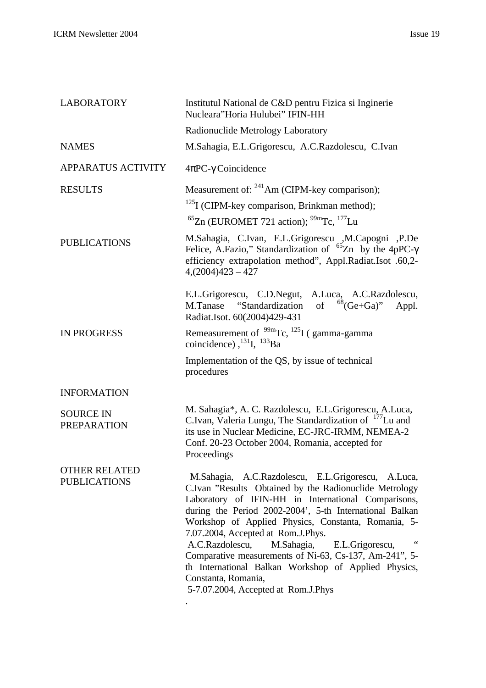| <b>LABORATORY</b>                           | Institutul National de C&D pentru Fizica si Inginerie<br>Nucleara"Horia Hulubei" IFIN-HH                                                                                                                                                                                                                                                                                                                                                                                                                                                                                    |
|---------------------------------------------|-----------------------------------------------------------------------------------------------------------------------------------------------------------------------------------------------------------------------------------------------------------------------------------------------------------------------------------------------------------------------------------------------------------------------------------------------------------------------------------------------------------------------------------------------------------------------------|
|                                             | Radionuclide Metrology Laboratory                                                                                                                                                                                                                                                                                                                                                                                                                                                                                                                                           |
| <b>NAMES</b>                                | M.Sahagia, E.L.Grigorescu, A.C.Razdolescu, C.Ivan                                                                                                                                                                                                                                                                                                                                                                                                                                                                                                                           |
| <b>APPARATUS ACTIVITY</b>                   | $4\pi$ PC- $\gamma$ Coincidence                                                                                                                                                                                                                                                                                                                                                                                                                                                                                                                                             |
| <b>RESULTS</b>                              | Measurement of: <sup>241</sup> Am (CIPM-key comparison);                                                                                                                                                                                                                                                                                                                                                                                                                                                                                                                    |
|                                             | $125$ I (CIPM-key comparison, Brinkman method);                                                                                                                                                                                                                                                                                                                                                                                                                                                                                                                             |
|                                             | ${}^{65}$ Zn (EUROMET 721 action); ${}^{99m}$ Tc, ${}^{177}$ Lu                                                                                                                                                                                                                                                                                                                                                                                                                                                                                                             |
| <b>PUBLICATIONS</b>                         | M.Sahagia, C.Ivan, E.L.Grigorescu ,M.Capogni ,P.De<br>Felice, A.Fazio," Standardization of ${}^{65}Zn$ by the 4pPC- $\gamma$<br>efficiency extrapolation method", Appl.Radiat.Isot .60,2-<br>$4(2004)423 - 427$                                                                                                                                                                                                                                                                                                                                                             |
|                                             | E.L.Grigorescu, C.D.Negut, A.Luca, A.C.Razdolescu,<br>of ${}^{68}$ (Ge+Ga)" Appl.<br>M.Tanase "Standardization"<br>Radiat.Isot. 60(2004)429-431                                                                                                                                                                                                                                                                                                                                                                                                                             |
| <b>IN PROGRESS</b>                          | Remeasurement of $\frac{99 \text{m}}{\text{Tc}}$ , $\frac{125 \text{I}}{\text{C}}$ (gamma-gamma<br>coincidence), $^{131}$ I, $^{133}$ Ba                                                                                                                                                                                                                                                                                                                                                                                                                                    |
|                                             | Implementation of the QS, by issue of technical<br>procedures                                                                                                                                                                                                                                                                                                                                                                                                                                                                                                               |
| <b>INFORMATION</b>                          |                                                                                                                                                                                                                                                                                                                                                                                                                                                                                                                                                                             |
| <b>SOURCE IN</b><br><b>PREPARATION</b>      | M. Sahagia*, A. C. Razdolescu, E.L.Grigorescu, A.Luca,<br>C.Ivan, Valeria Lungu, The Standardization of <sup>177</sup> Lu and<br>its use in Nuclear Medicine, EC-JRC-IRMM, NEMEA-2<br>Conf. 20-23 October 2004, Romania, accepted for<br>Proceedings                                                                                                                                                                                                                                                                                                                        |
| <b>OTHER RELATED</b><br><b>PUBLICATIONS</b> | M.Sahagia, A.C.Razdolescu, E.L.Grigorescu, A.Luca,<br>C.Ivan "Results Obtained by the Radionuclide Metrology<br>Laboratory of IFIN-HH in International Comparisons,<br>during the Period 2002-2004', 5-th International Balkan<br>Workshop of Applied Physics, Constanta, Romania, 5-<br>7.07.2004, Accepted at Rom.J.Phys.<br>$\,$ 4 $\,$<br>A.C.Razdolescu,<br>M.Sahagia, E.L.Grigorescu,<br>Comparative measurements of Ni-63, Cs-137, Am-241", 5-<br>th International Balkan Workshop of Applied Physics,<br>Constanta, Romania,<br>5-7.07.2004, Accepted at Rom.J.Phys |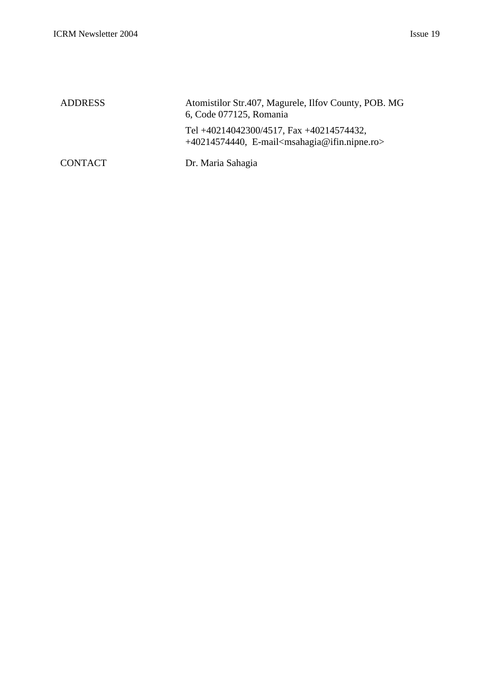| <b>ADDRESS</b> | Atomistilor Str.407, Magurele, Ilfov County, POB. MG<br>6, Code 077125, Romania             |
|----------------|---------------------------------------------------------------------------------------------|
|                | Tel +40214042300/4517, Fax +40214574432,<br>$+40214574440$ , E-mail msahagia@ifin.nipne.ro> |
| <b>CONTACT</b> | Dr. Maria Sahagia                                                                           |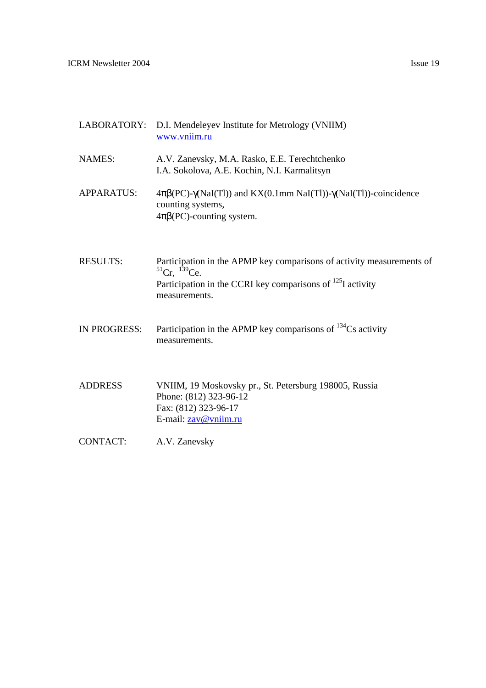| LABORATORY:         | D.I. Mendeleyev Institute for Metrology (VNIIM)<br>www.vniim.ru                                                                                                                        |
|---------------------|----------------------------------------------------------------------------------------------------------------------------------------------------------------------------------------|
| <b>NAMES:</b>       | A.V. Zanevsky, M.A. Rasko, E.E. Terechtchenko<br>I.A. Sokolova, A.E. Kochin, N.I. Karmalitsyn                                                                                          |
| <b>APPARATUS:</b>   | $4\pi\beta$ (PC)- $\gamma$ (NaI(Tl)) and KX(0.1mm NaI(Tl))- $\gamma$ (NaI(Tl))-coincidence<br>counting systems,<br>$4\pi\beta$ (PC)-counting system.                                   |
| <b>RESULTS:</b>     | Participation in the APMP key comparisons of activity measurements of<br>${}^{51}Cr, {}^{139}Ce.$<br>Participation in the CCRI key comparisons of $^{125}$ I activity<br>measurements. |
| <b>IN PROGRESS:</b> | Participation in the APMP key comparisons of $^{134}Cs$ activity<br>measurements.                                                                                                      |
| <b>ADDRESS</b>      | VNIIM, 19 Moskovsky pr., St. Petersburg 198005, Russia<br>Phone: (812) 323-96-12<br>Fax: (812) 323-96-17<br>E-mail: zav@vniim.ru                                                       |
| <b>CONTACT:</b>     | A.V. Zanevsky                                                                                                                                                                          |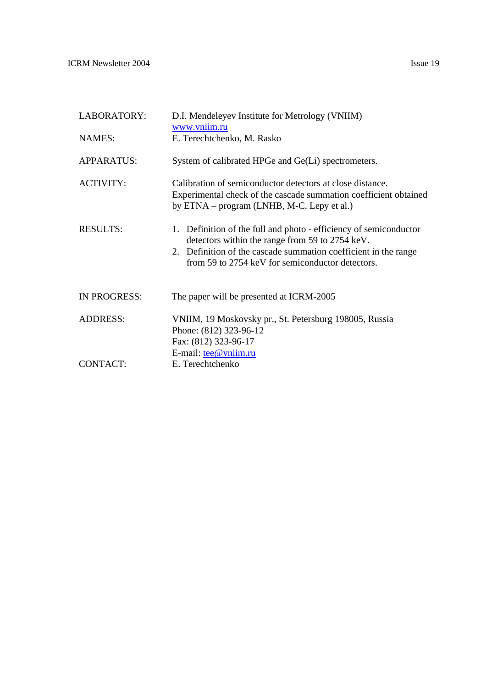ICRM Newsletter 2004 Issue 19

| LABORATORY:         | D.I. Mendeleyev Institute for Metrology (VNIIM)<br>www.vniim.ru                                                                                                                                                                             |
|---------------------|---------------------------------------------------------------------------------------------------------------------------------------------------------------------------------------------------------------------------------------------|
| <b>NAMES:</b>       | E. Terechtchenko, M. Rasko                                                                                                                                                                                                                  |
| <b>APPARATUS:</b>   | System of calibrated HPGe and Ge(Li) spectrometers.                                                                                                                                                                                         |
| <b>ACTIVITY:</b>    | Calibration of semiconductor detectors at close distance.<br>Experimental check of the cascade summation coefficient obtained<br>by ETNA – program (LNHB, M-C. Lepy et al.)                                                                 |
| <b>RESULTS:</b>     | 1. Definition of the full and photo - efficiency of semiconductor<br>detectors within the range from 59 to 2754 keV.<br>2. Definition of the cascade summation coefficient in the range<br>from 59 to 2754 keV for semiconductor detectors. |
| <b>IN PROGRESS:</b> | The paper will be presented at ICRM-2005                                                                                                                                                                                                    |
| <b>ADDRESS:</b>     | VNIIM, 19 Moskovsky pr., St. Petersburg 198005, Russia<br>Phone: (812) 323-96-12<br>Fax: (812) 323-96-17<br>E-mail: tee@vniim.ru                                                                                                            |
| CONTACT:            | E. Terechtchenko                                                                                                                                                                                                                            |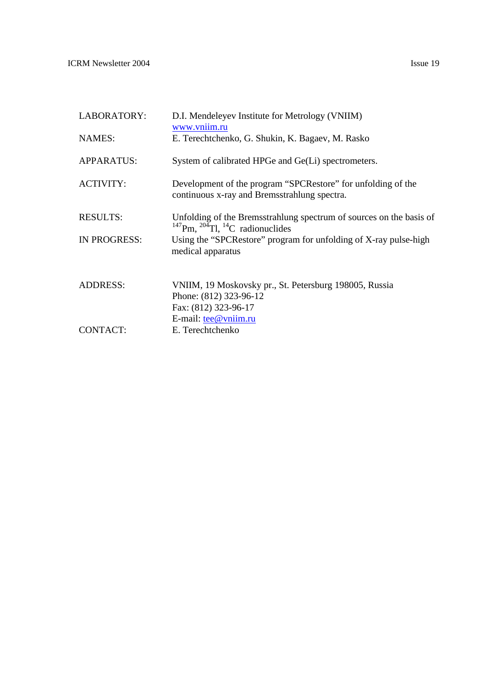ICRM Newsletter 2004 Issue 19

| LABORATORY:         | D.I. Mendeleyev Institute for Metrology (VNIIM)<br>www.vniim.ru                                                                            |
|---------------------|--------------------------------------------------------------------------------------------------------------------------------------------|
| <b>NAMES:</b>       | E. Terechtchenko, G. Shukin, K. Bagaev, M. Rasko                                                                                           |
| <b>APPARATUS:</b>   | System of calibrated HPGe and Ge(Li) spectrometers.                                                                                        |
| <b>ACTIVITY:</b>    | Development of the program "SPCRestore" for unfolding of the<br>continuous x-ray and Bremsstrahlung spectra.                               |
| <b>RESULTS:</b>     | Unfolding of the Bremsstrahlung spectrum of sources on the basis of<br><sup>147</sup> Pm, <sup>204</sup> Tl, <sup>14</sup> C radionuclides |
| <b>IN PROGRESS:</b> | Using the "SPCRestore" program for unfolding of X-ray pulse-high<br>medical apparatus                                                      |
| <b>ADDRESS:</b>     | VNIIM, 19 Moskovsky pr., St. Petersburg 198005, Russia<br>Phone: (812) 323-96-12<br>Fax: (812) 323-96-17<br>E-mail: $\text{tee@}$ vniim.ru |
| <b>CONTACT:</b>     | E. Terechtchenko                                                                                                                           |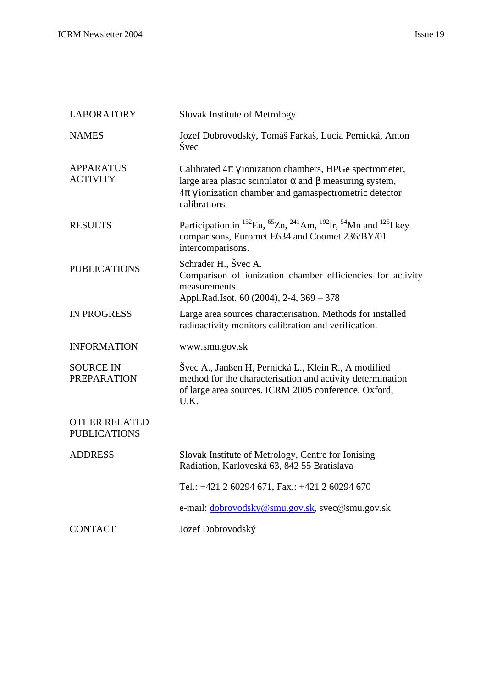| <b>LABORATORY</b>                           | Slovak Institute of Metrology                                                                                                                                                                                               |
|---------------------------------------------|-----------------------------------------------------------------------------------------------------------------------------------------------------------------------------------------------------------------------------|
| <b>NAMES</b>                                | Jozef Dobrovodský, Tomáš Farkaš, Lucia Pernická, Anton<br>Švec                                                                                                                                                              |
| <b>APPARATUS</b><br><b>ACTIVITY</b>         | Calibrated $4\pi \gamma$ ionization chambers, HPGe spectrometer,<br>large area plastic scintilator $\alpha$ and $\beta$ measuring system,<br>$4\pi\gamma$ ionization chamber and gamaspectrometric detector<br>calibrations |
| <b>RESULTS</b>                              | Participation in <sup>152</sup> Eu, <sup>65</sup> Zn, <sup>241</sup> Am, <sup>192</sup> Ir, <sup>54</sup> Mn and <sup>125</sup> I key<br>comparisons, Euromet E634 and Coomet 236/BY/01<br>intercomparisons.                |
| <b>PUBLICATIONS</b>                         | Schrader H., Švec A.<br>Comparison of ionization chamber efficiencies for activity<br>measurements.<br>Appl.Rad.Isot. 60 (2004), 2-4, 369 - 378                                                                             |
| <b>IN PROGRESS</b>                          | Large area sources characterisation. Methods for installed<br>radioactivity monitors calibration and verification.                                                                                                          |
| <b>INFORMATION</b>                          | www.smu.gov.sk                                                                                                                                                                                                              |
| <b>SOURCE IN</b><br><b>PREPARATION</b>      | Švec A., Janßen H, Pernická L., Klein R., A modified<br>method for the characterisation and activity determination<br>of large area sources. ICRM 2005 conference, Oxford,<br>U.K.                                          |
| <b>OTHER RELATED</b><br><b>PUBLICATIONS</b> |                                                                                                                                                                                                                             |
| <b>ADDRESS</b>                              | Slovak Institute of Metrology, Centre for Ionising<br>Radiation, Karloveská 63, 842 55 Bratislava                                                                                                                           |
|                                             | Tel.: +421 2 60294 671, Fax.: +421 2 60294 670                                                                                                                                                                              |
|                                             | e-mail: dobrovodsky@smu.gov.sk, svec@smu.gov.sk                                                                                                                                                                             |
| <b>CONTACT</b>                              | Jozef Dobrovodský                                                                                                                                                                                                           |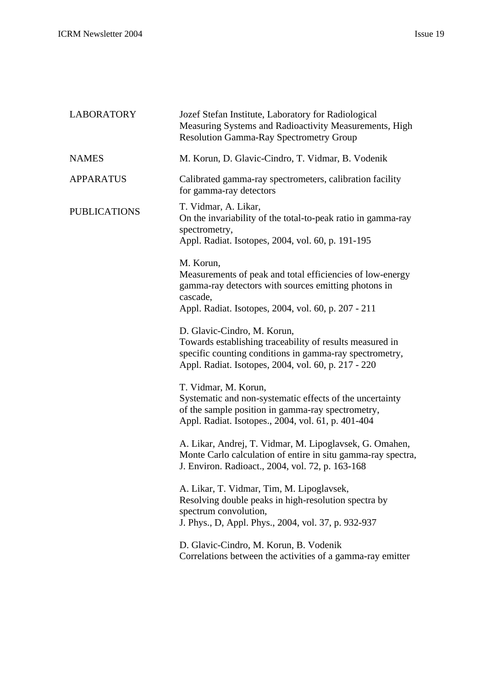| <b>LABORATORY</b>   | Jozef Stefan Institute, Laboratory for Radiological<br>Measuring Systems and Radioactivity Measurements, High<br><b>Resolution Gamma-Ray Spectrometry Group</b>                                           |
|---------------------|-----------------------------------------------------------------------------------------------------------------------------------------------------------------------------------------------------------|
| <b>NAMES</b>        | M. Korun, D. Glavic-Cindro, T. Vidmar, B. Vodenik                                                                                                                                                         |
| <b>APPARATUS</b>    | Calibrated gamma-ray spectrometers, calibration facility<br>for gamma-ray detectors                                                                                                                       |
| <b>PUBLICATIONS</b> | T. Vidmar, A. Likar,<br>On the invariability of the total-to-peak ratio in gamma-ray<br>spectrometry,<br>Appl. Radiat. Isotopes, 2004, vol. 60, p. 191-195                                                |
|                     | M. Korun,<br>Measurements of peak and total efficiencies of low-energy<br>gamma-ray detectors with sources emitting photons in<br>cascade,<br>Appl. Radiat. Isotopes, 2004, vol. 60, p. 207 - 211         |
|                     | D. Glavic-Cindro, M. Korun,<br>Towards establishing traceability of results measured in<br>specific counting conditions in gamma-ray spectrometry,<br>Appl. Radiat. Isotopes, 2004, vol. 60, p. 217 - 220 |
|                     | T. Vidmar, M. Korun,<br>Systematic and non-systematic effects of the uncertainty<br>of the sample position in gamma-ray spectrometry,<br>Appl. Radiat. Isotopes., 2004, vol. 61, p. 401-404               |
|                     | A. Likar, Andrej, T. Vidmar, M. Lipoglavsek, G. Omahen,<br>Monte Carlo calculation of entire in situ gamma-ray spectra,<br>J. Environ. Radioact., 2004, vol. 72, p. 163-168                               |
|                     | A. Likar, T. Vidmar, Tim, M. Lipoglavsek,<br>Resolving double peaks in high-resolution spectra by<br>spectrum convolution,<br>J. Phys., D, Appl. Phys., 2004, vol. 37, p. 932-937                         |
|                     | D. Glavic-Cindro, M. Korun, B. Vodenik<br>Correlations between the activities of a gamma-ray emitter                                                                                                      |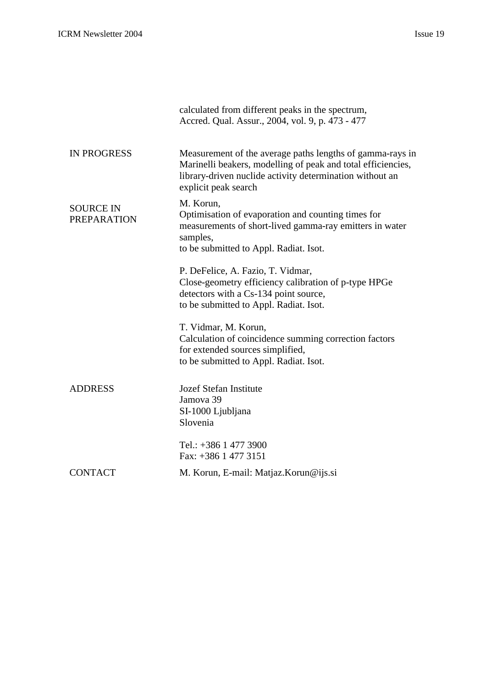|                                        | calculated from different peaks in the spectrum,<br>Accred. Qual. Assur., 2004, vol. 9, p. 473 - 477                                                                                                          |
|----------------------------------------|---------------------------------------------------------------------------------------------------------------------------------------------------------------------------------------------------------------|
| <b>IN PROGRESS</b>                     | Measurement of the average paths lengths of gamma-rays in<br>Marinelli beakers, modelling of peak and total efficiencies,<br>library-driven nuclide activity determination without an<br>explicit peak search |
| <b>SOURCE IN</b><br><b>PREPARATION</b> | M. Korun,<br>Optimisation of evaporation and counting times for<br>measurements of short-lived gamma-ray emitters in water<br>samples,<br>to be submitted to Appl. Radiat. Isot.                              |
|                                        | P. DeFelice, A. Fazio, T. Vidmar,<br>Close-geometry efficiency calibration of p-type HPGe<br>detectors with a Cs-134 point source,<br>to be submitted to Appl. Radiat. Isot.                                  |
|                                        | T. Vidmar, M. Korun,<br>Calculation of coincidence summing correction factors<br>for extended sources simplified,<br>to be submitted to Appl. Radiat. Isot.                                                   |
| <b>ADDRESS</b>                         | <b>Jozef Stefan Institute</b><br>Jamova 39<br>SI-1000 Ljubljana<br>Slovenia                                                                                                                                   |
|                                        | Tel.: +386 1 477 3900<br>Fax: +386 1 477 3151                                                                                                                                                                 |
| <b>CONTACT</b>                         | M. Korun, E-mail: Matjaz. Korun@ijs.si                                                                                                                                                                        |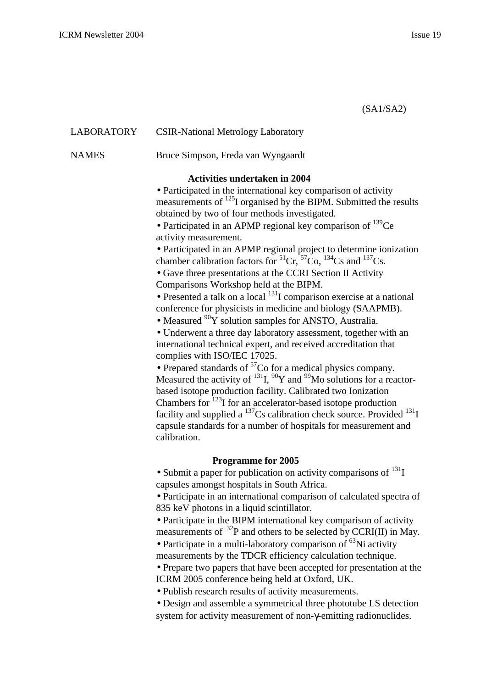|              | (SA1/SA2)                                                                                                                                                                                                                                                                                                                                                                                                                                                                                                                                                                                                                                                                                                                                                                                                                                                                                                                                                                                                                                                                                                                                                                                                                                                                                                                                                                                                                                 |
|--------------|-------------------------------------------------------------------------------------------------------------------------------------------------------------------------------------------------------------------------------------------------------------------------------------------------------------------------------------------------------------------------------------------------------------------------------------------------------------------------------------------------------------------------------------------------------------------------------------------------------------------------------------------------------------------------------------------------------------------------------------------------------------------------------------------------------------------------------------------------------------------------------------------------------------------------------------------------------------------------------------------------------------------------------------------------------------------------------------------------------------------------------------------------------------------------------------------------------------------------------------------------------------------------------------------------------------------------------------------------------------------------------------------------------------------------------------------|
| LABORATORY   | <b>CSIR-National Metrology Laboratory</b>                                                                                                                                                                                                                                                                                                                                                                                                                                                                                                                                                                                                                                                                                                                                                                                                                                                                                                                                                                                                                                                                                                                                                                                                                                                                                                                                                                                                 |
| <b>NAMES</b> | Bruce Simpson, Freda van Wyngaardt                                                                                                                                                                                                                                                                                                                                                                                                                                                                                                                                                                                                                                                                                                                                                                                                                                                                                                                                                                                                                                                                                                                                                                                                                                                                                                                                                                                                        |
|              | <b>Activities undertaken in 2004</b>                                                                                                                                                                                                                                                                                                                                                                                                                                                                                                                                                                                                                                                                                                                                                                                                                                                                                                                                                                                                                                                                                                                                                                                                                                                                                                                                                                                                      |
|              | · Participated in the international key comparison of activity<br>measurements of <sup>125</sup> I organised by the BIPM. Submitted the results<br>obtained by two of four methods investigated.<br>• Participated in an APMP regional key comparison of $^{139}Ce$<br>activity measurement.<br>• Participated in an APMP regional project to determine ionization<br>chamber calibration factors for ${}^{51}Cr$ , ${}^{57}Co$ , ${}^{134}Cs$ and ${}^{137}Cs$ .<br>• Gave three presentations at the CCRI Section II Activity<br>Comparisons Workshop held at the BIPM.<br>• Presented a talk on a local $^{131}I$ comparison exercise at a national<br>conference for physicists in medicine and biology (SAAPMB).<br>• Measured $90Y$ solution samples for ANSTO, Australia.<br>• Underwent a three day laboratory assessment, together with an<br>international technical expert, and received accreditation that<br>complies with ISO/IEC 17025.<br>• Prepared standards of ${}^{57}Co$ for a medical physics company.<br>Measured the activity of $^{131}I$ , $^{90}Y$ and $^{99}Mo$ solutions for a reactor-<br>based isotope production facility. Calibrated two Ionization<br>Chambers for <sup>123</sup> I for an accelerator-based isotope production<br>facility and supplied a $^{137}$ Cs calibration check source. Provided $^{131}$ I<br>capsule standards for a number of hospitals for measurement and<br>calibration. |
|              | <b>Programme for 2005</b>                                                                                                                                                                                                                                                                                                                                                                                                                                                                                                                                                                                                                                                                                                                                                                                                                                                                                                                                                                                                                                                                                                                                                                                                                                                                                                                                                                                                                 |
|              | • Submit a paper for publication on activity comparisons of $^{131}I$<br>capsules amongst hospitals in South Africa.<br>• Participate in an international comparison of calculated spectra of<br>835 keV photons in a liquid scintillator.<br>• Participate in the BIPM international key comparison of activity<br>measurements of $^{32}P$ and others to be selected by CCRI(II) in May.<br>• Participate in a multi-laboratory comparison of ${}^{63}$ Ni activity<br>measurements by the TDCR efficiency calculation technique.<br>• Prepare two papers that have been accepted for presentation at the<br>ICRM 2005 conference being held at Oxford, UK.<br>• Publish research results of activity measurements.<br>· Design and assemble a symmetrical three phototube LS detection<br>system for activity measurement of non-y-emitting radionuclides.                                                                                                                                                                                                                                                                                                                                                                                                                                                                                                                                                                             |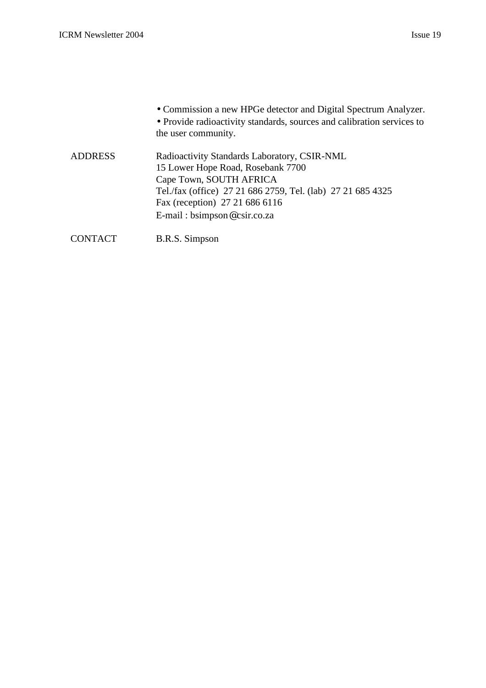|                | • Commission a new HPGe detector and Digital Spectrum Analyzer.<br>• Provide radioactivity standards, sources and calibration services to<br>the user community. |
|----------------|------------------------------------------------------------------------------------------------------------------------------------------------------------------|
| <b>ADDRESS</b> | Radioactivity Standards Laboratory, CSIR-NML<br>15 Lower Hope Road, Rosebank 7700<br>Cape Town, SOUTH AFRICA                                                     |
|                | Tel./fax (office) 27 21 686 2759, Tel. (lab) 27 21 685 4325                                                                                                      |
|                | Fax (reception) 27 21 686 6116                                                                                                                                   |
|                | E-mail: bsimpson@csir.co.za                                                                                                                                      |
|                |                                                                                                                                                                  |

CONTACT B.R.S. Simpson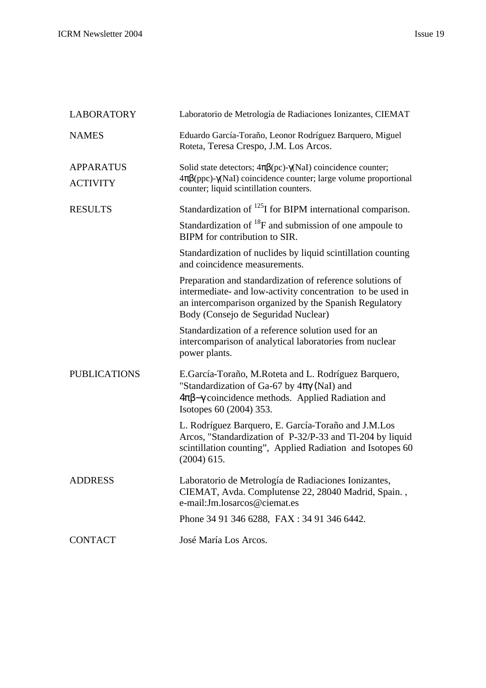| <b>LABORATORY</b>                   | Laboratorio de Metrología de Radiaciones Ionizantes, CIEMAT                                                                                                                                                              |
|-------------------------------------|--------------------------------------------------------------------------------------------------------------------------------------------------------------------------------------------------------------------------|
| <b>NAMES</b>                        | Eduardo García-Toraño, Leonor Rodríguez Barquero, Miguel<br>Roteta, Teresa Crespo, J.M. Los Arcos.                                                                                                                       |
| <b>APPARATUS</b><br><b>ACTIVITY</b> | Solid state detectors; $4\pi\beta$ (pc)- $\gamma$ (NaI) coincidence counter;<br>$4\pi\beta$ (ppc)- $\gamma$ (NaI) coincidence counter; large volume proportional<br>counter; liquid scintillation counters.              |
| <b>RESULTS</b>                      | Standardization of $^{125}$ I for BIPM international comparison.                                                                                                                                                         |
|                                     | Standardization of ${}^{18}F$ and submission of one ampoule to<br>BIPM for contribution to SIR.                                                                                                                          |
|                                     | Standardization of nuclides by liquid scintillation counting<br>and coincidence measurements.                                                                                                                            |
|                                     | Preparation and standardization of reference solutions of<br>intermediate- and low-activity concentration to be used in<br>an intercomparison organized by the Spanish Regulatory<br>Body (Consejo de Seguridad Nuclear) |
|                                     | Standardization of a reference solution used for an<br>intercomparison of analytical laboratories from nuclear<br>power plants.                                                                                          |
| <b>PUBLICATIONS</b>                 | E.García-Toraño, M.Roteta and L. Rodríguez Barquero,<br>"Standardization of Ga-67 by $4\pi\gamma$ (NaI) and<br>$4\pi\beta-\gamma$ coincidence methods. Applied Radiation and<br>Isotopes 60 (2004) 353.                  |
|                                     | L. Rodríguez Barquero, E. García-Toraño and J.M.Los<br>Arcos, "Standardization of P-32/P-33 and Tl-204 by liquid<br>scintillation counting", Applied Radiation and Isotopes 60<br>$(2004)$ 615.                          |
| <b>ADDRESS</b>                      | Laboratorio de Metrología de Radiaciones Ionizantes,<br>CIEMAT, Avda. Complutense 22, 28040 Madrid, Spain.,<br>e-mail: Jm. losarcos@ciemat.es                                                                            |
|                                     | Phone 34 91 346 6288, FAX : 34 91 346 6442.                                                                                                                                                                              |
| <b>CONTACT</b>                      | José María Los Arcos.                                                                                                                                                                                                    |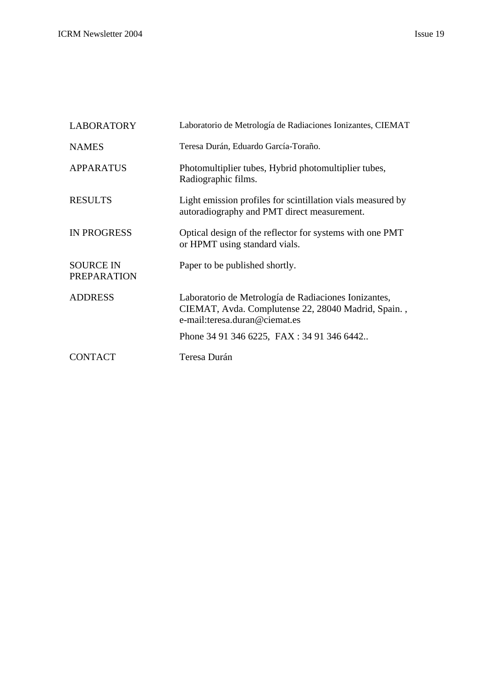| <b>LABORATORY</b>                      | Laboratorio de Metrología de Radiaciones Ionizantes, CIEMAT                                                 |
|----------------------------------------|-------------------------------------------------------------------------------------------------------------|
| <b>NAMES</b>                           | Teresa Durán, Eduardo García-Toraño.                                                                        |
| <b>APPARATUS</b>                       | Photomultiplier tubes, Hybrid photomultiplier tubes,<br>Radiographic films.                                 |
| <b>RESULTS</b>                         | Light emission profiles for scintillation vials measured by<br>autoradiography and PMT direct measurement.  |
| <b>IN PROGRESS</b>                     | Optical design of the reflector for systems with one PMT<br>or HPMT using standard vials.                   |
| <b>SOURCE IN</b><br><b>PREPARATION</b> | Paper to be published shortly.                                                                              |
| <b>ADDRESS</b>                         | Laboratorio de Metrología de Radiaciones Ionizantes,<br>CIEMAT, Avda. Complutense 22, 28040 Madrid, Spain., |

e-mail:teresa.duran@ciemat.es

CONTACT Teresa Durán

Phone 34 91 346 6225, FAX : 34 91 346 6442..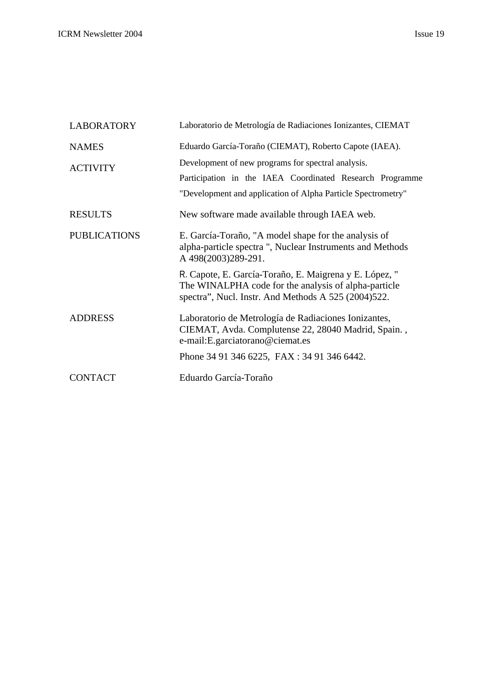| <b>LABORATORY</b>   | Laboratorio de Metrología de Radiaciones Ionizantes, CIEMAT                                                                                                                    |
|---------------------|--------------------------------------------------------------------------------------------------------------------------------------------------------------------------------|
| <b>NAMES</b>        | Eduardo García-Toraño (CIEMAT), Roberto Capote (IAEA).                                                                                                                         |
| <b>ACTIVITY</b>     | Development of new programs for spectral analysis.<br>Participation in the IAEA Coordinated Research Programme<br>"Development and application of Alpha Particle Spectrometry" |
| <b>RESULTS</b>      | New software made available through IAEA web.                                                                                                                                  |
| <b>PUBLICATIONS</b> | E. García-Toraño, "A model shape for the analysis of<br>alpha-particle spectra ", Nuclear Instruments and Methods<br>A 498(2003)289-291.                                       |
|                     | R. Capote, E. García-Toraño, E. Maigrena y E. López, "<br>The WINALPHA code for the analysis of alpha-particle<br>spectra", Nucl. Instr. And Methods A 525 (2004)522.          |
| <b>ADDRESS</b>      | Laboratorio de Metrología de Radiaciones Ionizantes,<br>CIEMAT, Avda. Complutense 22, 28040 Madrid, Spain.,<br>e-mail: E.garciatorano@ciemat.es                                |
|                     | Phone 34 91 346 6225, FAX : 34 91 346 6442.                                                                                                                                    |
| <b>CONTACT</b>      | Eduardo García-Toraño                                                                                                                                                          |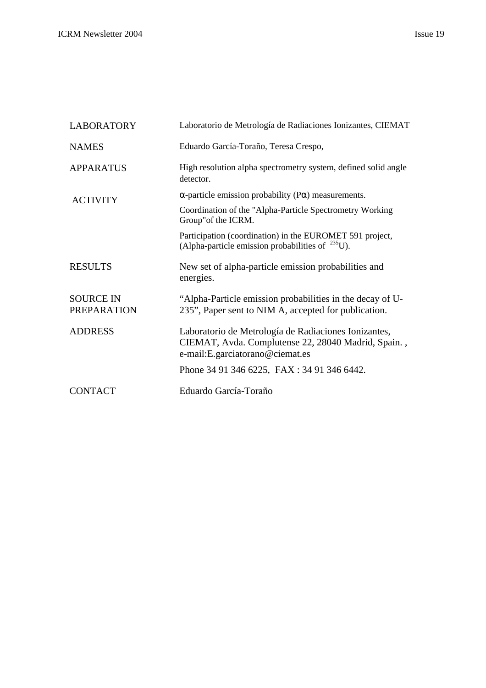| <b>LABORATORY</b>                      | Laboratorio de Metrología de Radiaciones Ionizantes, CIEMAT                                                                                      |
|----------------------------------------|--------------------------------------------------------------------------------------------------------------------------------------------------|
| <b>NAMES</b>                           | Eduardo García-Toraño, Teresa Crespo,                                                                                                            |
| <b>APPARATUS</b>                       | High resolution alpha spectrometry system, defined solid angle<br>detector.                                                                      |
| <b>ACTIVITY</b>                        | $\alpha$ -particle emission probability (P $\alpha$ ) measurements.                                                                              |
|                                        | Coordination of the "Alpha-Particle Spectrometry Working<br>Group" of the ICRM.                                                                  |
|                                        | Participation (coordination) in the EUROMET 591 project,<br>(Alpha-particle emission probabilities of $^{235}$ U).                               |
| <b>RESULTS</b>                         | New set of alpha-particle emission probabilities and<br>energies.                                                                                |
| <b>SOURCE IN</b><br><b>PREPARATION</b> | "Alpha-Particle emission probabilities in the decay of U-<br>235", Paper sent to NIM A, accepted for publication.                                |
| <b>ADDRESS</b>                         | Laboratorio de Metrología de Radiaciones Ionizantes,<br>CIEMAT, Avda. Complutense 22, 28040 Madrid, Spain.,<br>e-mail: E. garciatorano@ciemat.es |
|                                        | Phone 34 91 346 6225, FAX : 34 91 346 6442.                                                                                                      |
| <b>CONTACT</b>                         | Eduardo García-Toraño                                                                                                                            |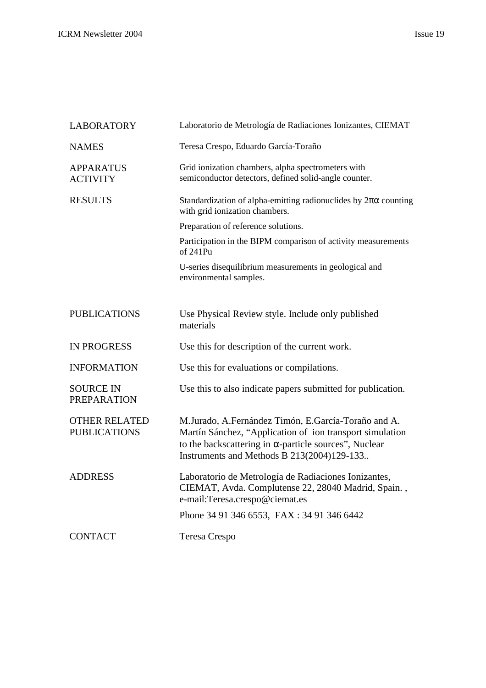| <b>LABORATORY</b>                           | Laboratorio de Metrología de Radiaciones Ionizantes, CIEMAT                                                                                                                                                                    |
|---------------------------------------------|--------------------------------------------------------------------------------------------------------------------------------------------------------------------------------------------------------------------------------|
| <b>NAMES</b>                                | Teresa Crespo, Eduardo García-Toraño                                                                                                                                                                                           |
| <b>APPARATUS</b><br><b>ACTIVITY</b>         | Grid ionization chambers, alpha spectrometers with<br>semiconductor detectors, defined solid-angle counter.                                                                                                                    |
| <b>RESULTS</b>                              | Standardization of alpha-emitting radionuclides by $2\pi\alpha$ counting<br>with grid ionization chambers.                                                                                                                     |
|                                             | Preparation of reference solutions.                                                                                                                                                                                            |
|                                             | Participation in the BIPM comparison of activity measurements<br>of 241Pu                                                                                                                                                      |
|                                             | U-series disequilibrium measurements in geological and<br>environmental samples.                                                                                                                                               |
| <b>PUBLICATIONS</b>                         | Use Physical Review style. Include only published<br>materials                                                                                                                                                                 |
| <b>IN PROGRESS</b>                          | Use this for description of the current work.                                                                                                                                                                                  |
| <b>INFORMATION</b>                          | Use this for evaluations or compilations.                                                                                                                                                                                      |
| <b>SOURCE IN</b><br><b>PREPARATION</b>      | Use this to also indicate papers submitted for publication.                                                                                                                                                                    |
| <b>OTHER RELATED</b><br><b>PUBLICATIONS</b> | M.Jurado, A.Fernández Timón, E.García-Toraño and A.<br>Martín Sánchez, "Application of ion transport simulation<br>to the backscattering in $\alpha$ -particle sources", Nuclear<br>Instruments and Methods B 213(2004)129-133 |
| <b>ADDRESS</b>                              | Laboratorio de Metrología de Radiaciones Ionizantes,<br>CIEMAT, Avda. Complutense 22, 28040 Madrid, Spain.,<br>e-mail:Teresa.crespo@ciemat.es                                                                                  |
|                                             | Phone 34 91 346 6553, FAX : 34 91 346 6442                                                                                                                                                                                     |
| <b>CONTACT</b>                              | <b>Teresa Crespo</b>                                                                                                                                                                                                           |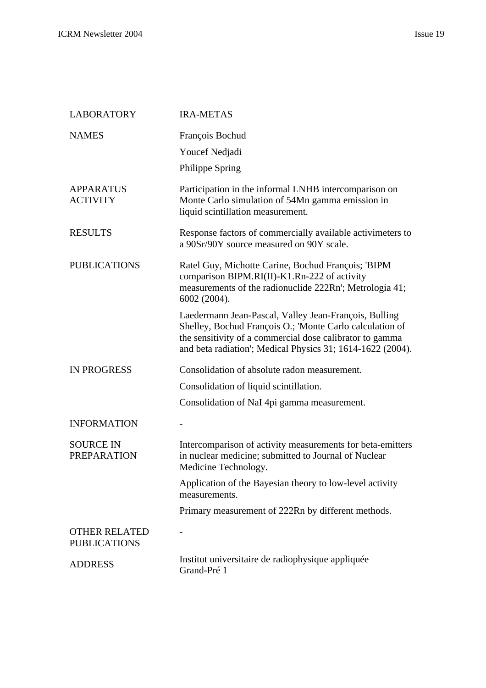| <b>LABORATORY</b>                           | <b>IRA-METAS</b>                                                                                                                                                                                                                            |
|---------------------------------------------|---------------------------------------------------------------------------------------------------------------------------------------------------------------------------------------------------------------------------------------------|
| <b>NAMES</b>                                | François Bochud                                                                                                                                                                                                                             |
|                                             | Youcef Nedjadi                                                                                                                                                                                                                              |
|                                             | <b>Philippe Spring</b>                                                                                                                                                                                                                      |
| <b>APPARATUS</b><br><b>ACTIVITY</b>         | Participation in the informal LNHB intercomparison on<br>Monte Carlo simulation of 54Mn gamma emission in<br>liquid scintillation measurement.                                                                                              |
| <b>RESULTS</b>                              | Response factors of commercially available activimeters to<br>a 90Sr/90Y source measured on 90Y scale.                                                                                                                                      |
| <b>PUBLICATIONS</b>                         | Ratel Guy, Michotte Carine, Bochud François; 'BIPM<br>comparison BIPM.RI(II)-K1.Rn-222 of activity<br>measurements of the radionuclide 222Rn'; Metrologia 41;<br>6002 (2004).                                                               |
|                                             | Laedermann Jean-Pascal, Valley Jean-François, Bulling<br>Shelley, Bochud François O.; 'Monte Carlo calculation of<br>the sensitivity of a commercial dose calibrator to gamma<br>and beta radiation'; Medical Physics 31; 1614-1622 (2004). |
| <b>IN PROGRESS</b>                          | Consolidation of absolute radon measurement.                                                                                                                                                                                                |
|                                             | Consolidation of liquid scintillation.                                                                                                                                                                                                      |
|                                             | Consolidation of NaI 4pi gamma measurement.                                                                                                                                                                                                 |
| <b>INFORMATION</b>                          |                                                                                                                                                                                                                                             |
| <b>SOURCE IN</b><br><b>PREPARATION</b>      | Intercomparison of activity measurements for beta-emitters<br>in nuclear medicine; submitted to Journal of Nuclear<br>Medicine Technology.                                                                                                  |
|                                             | Application of the Bayesian theory to low-level activity<br>measurements.                                                                                                                                                                   |
|                                             | Primary measurement of 222Rn by different methods.                                                                                                                                                                                          |
| <b>OTHER RELATED</b><br><b>PUBLICATIONS</b> |                                                                                                                                                                                                                                             |
| <b>ADDRESS</b>                              | Institut universitaire de radiophysique appliquée<br>Grand-Pré 1                                                                                                                                                                            |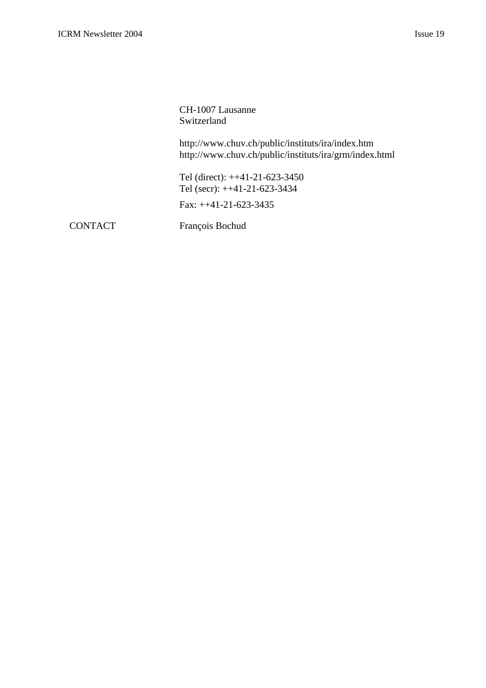CH-1007 Lausanne Switzerland

http://www.chuv.ch/public/instituts/ira/index.htm http://www.chuv.ch/public/instituts/ira/grm/index.html

Tel (direct): ++41-21-623-3450 Tel (secr): ++41-21-623-3434

Fax: ++41-21-623-3435

CONTACT François Bochud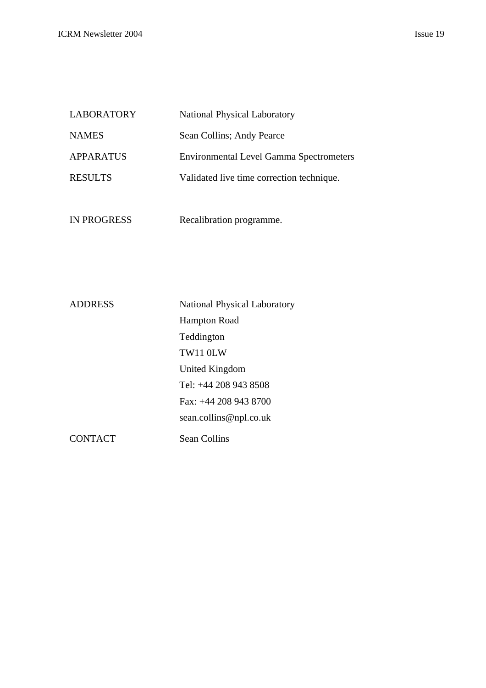| <b>LABORATORY</b> | <b>National Physical Laboratory</b>            |
|-------------------|------------------------------------------------|
| <b>NAMES</b>      | Sean Collins; Andy Pearce                      |
| <b>APPARATUS</b>  | <b>Environmental Level Gamma Spectrometers</b> |
| <b>RESULTS</b>    | Validated live time correction technique.      |
|                   |                                                |

| IN PROGRESS | Recalibration programme. |
|-------------|--------------------------|
|             |                          |

| <b>ADDRESS</b> | <b>National Physical Laboratory</b> |
|----------------|-------------------------------------|
|                | <b>Hampton Road</b>                 |
|                | Teddington                          |
|                | TW11 0LW                            |
|                | United Kingdom                      |
|                | Tel: +44 208 943 8508               |
|                | Fax: $+44$ 208 943 8700             |
|                | sean.collins@npl.co.uk              |
| CONTACT        | Sean Collins                        |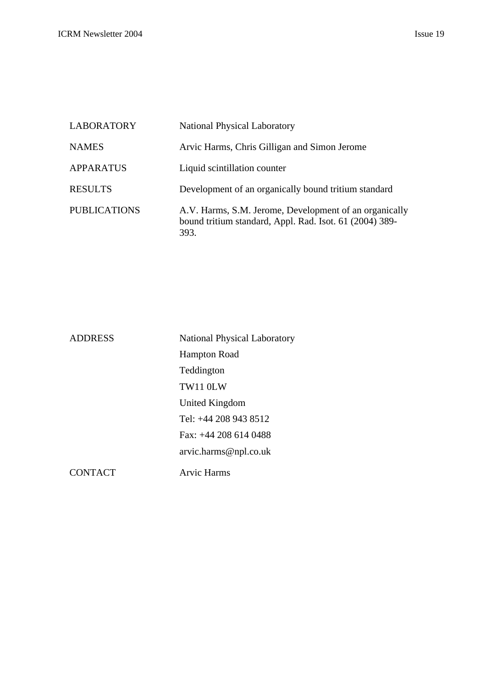| <b>LABORATORY</b>   | <b>National Physical Laboratory</b>                                                                                       |
|---------------------|---------------------------------------------------------------------------------------------------------------------------|
| <b>NAMES</b>        | Arvic Harms, Chris Gilligan and Simon Jerome                                                                              |
| <b>APPARATUS</b>    | Liquid scintillation counter                                                                                              |
| <b>RESULTS</b>      | Development of an organically bound tritium standard                                                                      |
| <b>PUBLICATIONS</b> | A.V. Harms, S.M. Jerome, Development of an organically<br>bound tritium standard, Appl. Rad. Isot. 61 (2004) 389-<br>393. |

| <b>ADDRESS</b> | <b>National Physical Laboratory</b> |
|----------------|-------------------------------------|
|                | <b>Hampton Road</b>                 |
|                | Teddington                          |
|                | TW11 0LW                            |
|                | United Kingdom                      |
|                | Tel: +44 208 943 8512               |
|                | Fax: $+44$ 208 614 0488             |
|                | arvic.harms@npl.co.uk               |
| <b>CONTACT</b> | Arvic Harms                         |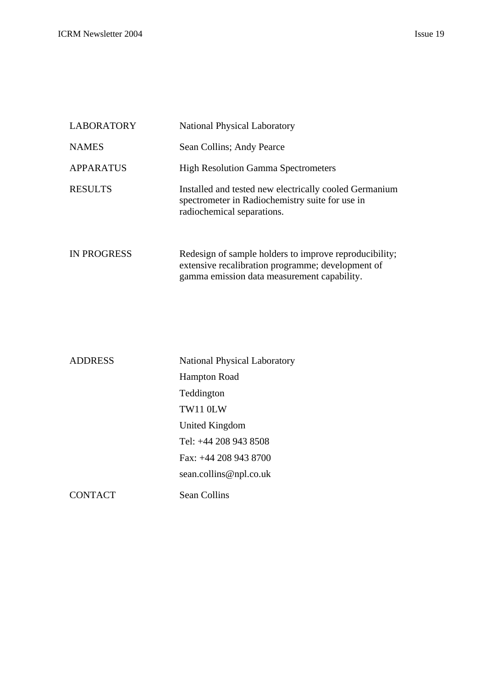| <b>LABORATORY</b>  | <b>National Physical Laboratory</b>                                                                                                                        |
|--------------------|------------------------------------------------------------------------------------------------------------------------------------------------------------|
| <b>NAMES</b>       | Sean Collins; Andy Pearce                                                                                                                                  |
| <b>APPARATUS</b>   | <b>High Resolution Gamma Spectrometers</b>                                                                                                                 |
| <b>RESULTS</b>     | Installed and tested new electrically cooled Germanium<br>spectrometer in Radiochemistry suite for use in<br>radiochemical separations.                    |
| <b>IN PROGRESS</b> | Redesign of sample holders to improve reproducibility;<br>extensive recalibration programme; development of<br>gamma emission data measurement capability. |

| <b>ADDRESS</b> | <b>National Physical Laboratory</b> |
|----------------|-------------------------------------|
|                | <b>Hampton Road</b>                 |
|                | Teddington                          |
|                | <b>TW11 0LW</b>                     |
|                | United Kingdom                      |
|                | Tel: +44 208 943 8508               |
|                | Fax: +44 208 943 8700               |
|                | sean.collins@npl.co.uk              |
| CONTACT        | Sean Collins                        |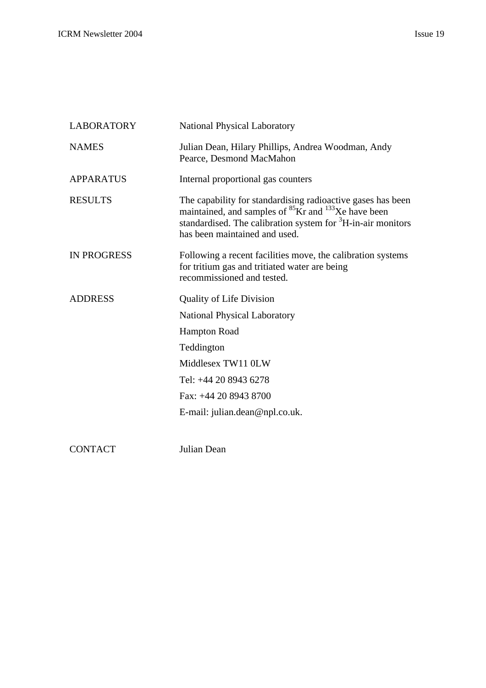| <b>LABORATORY</b>  | <b>National Physical Laboratory</b>                                                                                                                                                                                                                    |
|--------------------|--------------------------------------------------------------------------------------------------------------------------------------------------------------------------------------------------------------------------------------------------------|
| <b>NAMES</b>       | Julian Dean, Hilary Phillips, Andrea Woodman, Andy<br>Pearce, Desmond MacMahon                                                                                                                                                                         |
| <b>APPARATUS</b>   | Internal proportional gas counters                                                                                                                                                                                                                     |
| <b>RESULTS</b>     | The capability for standardising radioactive gases has been<br>maintained, and samples of <sup>85</sup> Kr and <sup>133</sup> Xe have been<br>standardised. The calibration system for <sup>3</sup> H-in-air monitors<br>has been maintained and used. |
| <b>IN PROGRESS</b> | Following a recent facilities move, the calibration systems<br>for tritium gas and tritiated water are being<br>recommissioned and tested.                                                                                                             |
| <b>ADDRESS</b>     | <b>Quality of Life Division</b>                                                                                                                                                                                                                        |
|                    | <b>National Physical Laboratory</b>                                                                                                                                                                                                                    |
|                    | <b>Hampton Road</b>                                                                                                                                                                                                                                    |
|                    | Teddington                                                                                                                                                                                                                                             |
|                    | Middlesex TW11 0LW                                                                                                                                                                                                                                     |
|                    | Tel: +44 20 8943 6278                                                                                                                                                                                                                                  |
|                    | Fax: +44 20 8943 8700                                                                                                                                                                                                                                  |
|                    | E-mail: julian.dean@npl.co.uk.                                                                                                                                                                                                                         |
|                    |                                                                                                                                                                                                                                                        |

CONTACT Julian Dean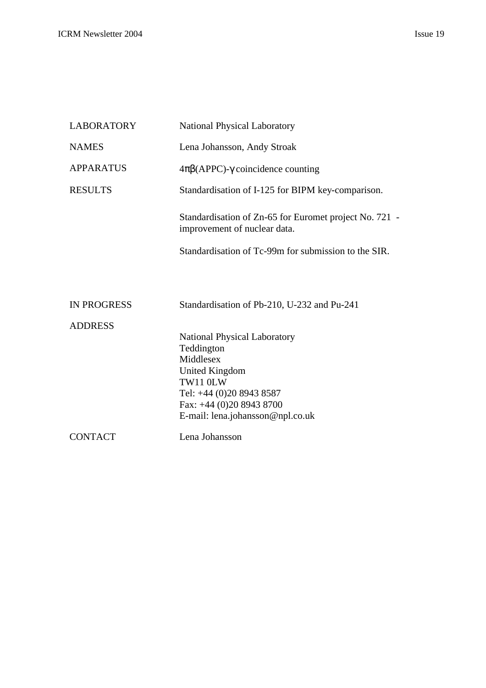| <b>LABORATORY</b>  | <b>National Physical Laboratory</b>                                                    |
|--------------------|----------------------------------------------------------------------------------------|
| <b>NAMES</b>       | Lena Johansson, Andy Stroak                                                            |
| <b>APPARATUS</b>   | $4\pi\beta$ (APPC)- $\gamma$ coincidence counting                                      |
| <b>RESULTS</b>     | Standardisation of I-125 for BIPM key-comparison.                                      |
|                    | Standardisation of Zn-65 for Euromet project No. 721 -<br>improvement of nuclear data. |
|                    | Standardisation of Tc-99m for submission to the SIR.                                   |
|                    |                                                                                        |
| <b>IN PROGRESS</b> | Standardisation of Pb-210, U-232 and Pu-241                                            |
| <b>ADDRESS</b>     |                                                                                        |
|                    | <b>National Physical Laboratory</b>                                                    |
|                    | Teddington                                                                             |
|                    | Middlesex                                                                              |
|                    | United Kingdom<br>TW11 0LW                                                             |
|                    | Tel: +44 (0)20 8943 8587                                                               |
|                    | Fax: +44 (0)20 8943 8700                                                               |
|                    | E-mail: lena.johansson@npl.co.uk                                                       |
| <b>CONTACT</b>     | Lena Johansson                                                                         |
|                    |                                                                                        |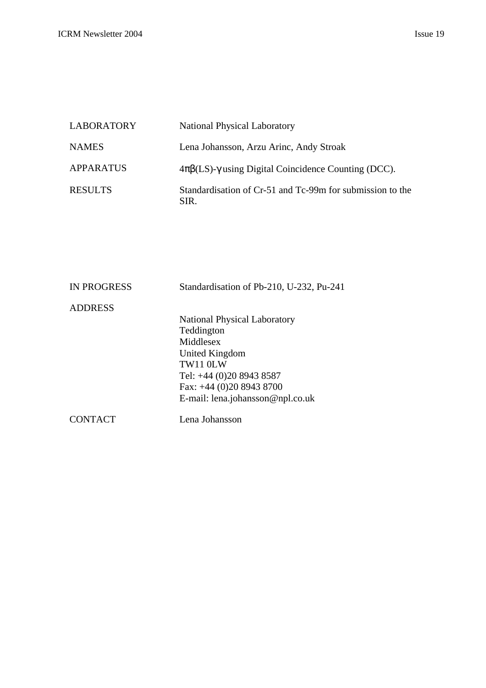| <b>LABORATORY</b> | <b>National Physical Laboratory</b>                                  |
|-------------------|----------------------------------------------------------------------|
| <b>NAMES</b>      | Lena Johansson, Arzu Arinc, Andy Stroak                              |
| APPARATUS         | $4\pi\beta$ (LS)- $\gamma$ using Digital Coincidence Counting (DCC). |
| <b>RESULTS</b>    | Standardisation of Cr-51 and Tc-99m for submission to the<br>SIR.    |

| <b>IN PROGRESS</b> | Standardisation of Pb-210, U-232, Pu-241 |
|--------------------|------------------------------------------|
| <b>ADDRESS</b>     |                                          |
|                    | <b>National Physical Laboratory</b>      |
|                    | Teddington                               |
|                    | Middlesex                                |
|                    | United Kingdom                           |
|                    | TW11 0LW                                 |
|                    | Tel: +44 (0)20 8943 8587                 |
|                    | Fax: $+44$ (0)20 8943 8700               |
|                    | E-mail: lena.johansson@npl.co.uk         |
| CONTACT            | Lena Johansson                           |